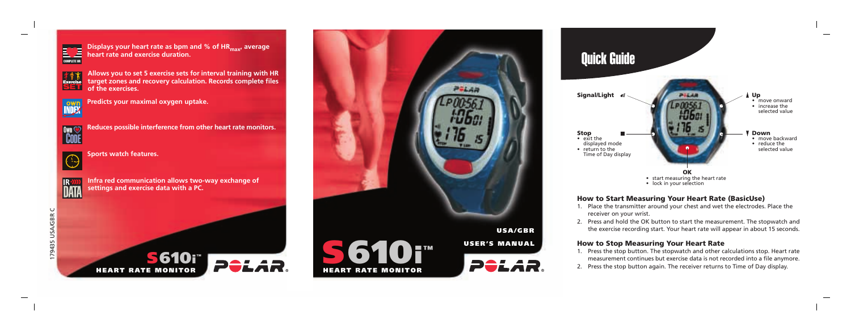

**Displays your heart rate as bpm and % of HR<sub>may</sub>, average heart rate and exercise duration.**

**Allows you to set 5 exercise sets for interval training with HR target zones and recovery calculation. Records complete files**

**すすす** SET

**Predicts your maximal oxygen uptake.**





**Reduces possible interference from other heart rate monitors.**



**Sports watch features.**

**of the exercises.**





**Infra red communication allows two-way exchange of settings and exercise data with a PC.**







#### **How to Start Measuring Your Heart Rate (BasicUse)**

- 1. Place the transmitter around your chest and wet the electrodes. Place the receiver on your wrist.
- 2. Press and hold the OK button to start the measurement. The stopwatch and the exercise recording start. Your heart rate will appear in about 15 seconds.

#### **How to Stop Measuring Your Heart Rate**

- 1. Press the stop button. The stopwatch and other calculations stop. Heart rate measurement continues but exercise data is not recorded into a file anymore.
- 2. Press the stop button again. The receiver returns to Time of Day display.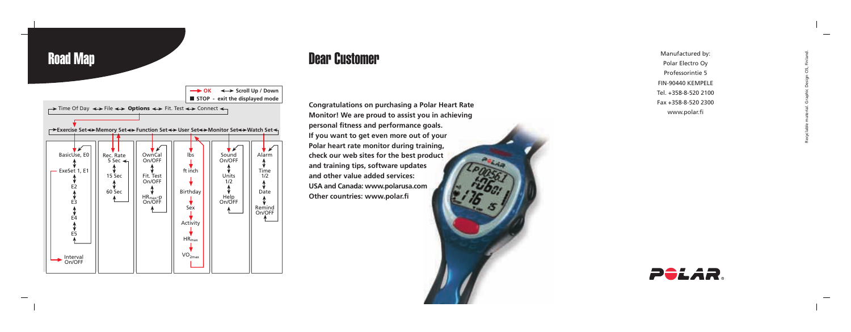

Road Map

## Dear Customer

**Congratulations on purchasing a Polar Heart Rate Monitor! We are proud to assist you in achieving personal fitness and performance goals. If you want to get even more out of your Polar heart rate monitor during training, check our web sites for the best product and training tips, software updates and other value added services: USA and Canada: www.polarusa.com Other countries: www.polar.fi**



Manufactured by: Polar Electro Oy Professorintie 5 FIN-90440 KEMPELE Tel. +358-8-520 2100 Fax +358-8-520 2300 www.polar.fi

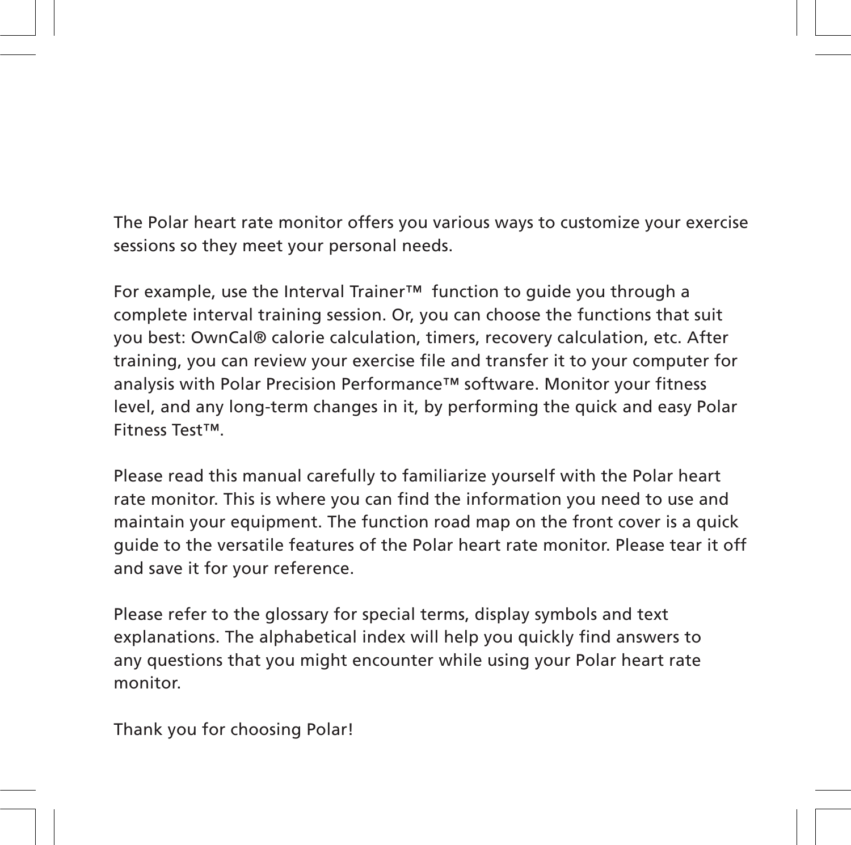The Polar heart rate monitor offers you various ways to customize your exercise sessions so they meet your personal needs.

For example, use the Interval Trainer™ function to guide you through a complete interval training session. Or, you can choose the functions that suit you best: OwnCal® calorie calculation, timers, recovery calculation, etc. After training, you can review your exercise file and transfer it to your computer for analysis with Polar Precision Performance™ software. Monitor your fitness level, and any long-term changes in it, by performing the quick and easy Polar Fitness Test™.

Please read this manual carefully to familiarize yourself with the Polar heart rate monitor. This is where you can find the information you need to use and maintain your equipment. The function road map on the front cover is a quick guide to the versatile features of the Polar heart rate monitor. Please tear it off and save it for your reference.

Please refer to the glossary for special terms, display symbols and text explanations. The alphabetical index will help you quickly find answers to any questions that you might encounter while using your Polar heart rate monitor.

Thank you for choosing Polar!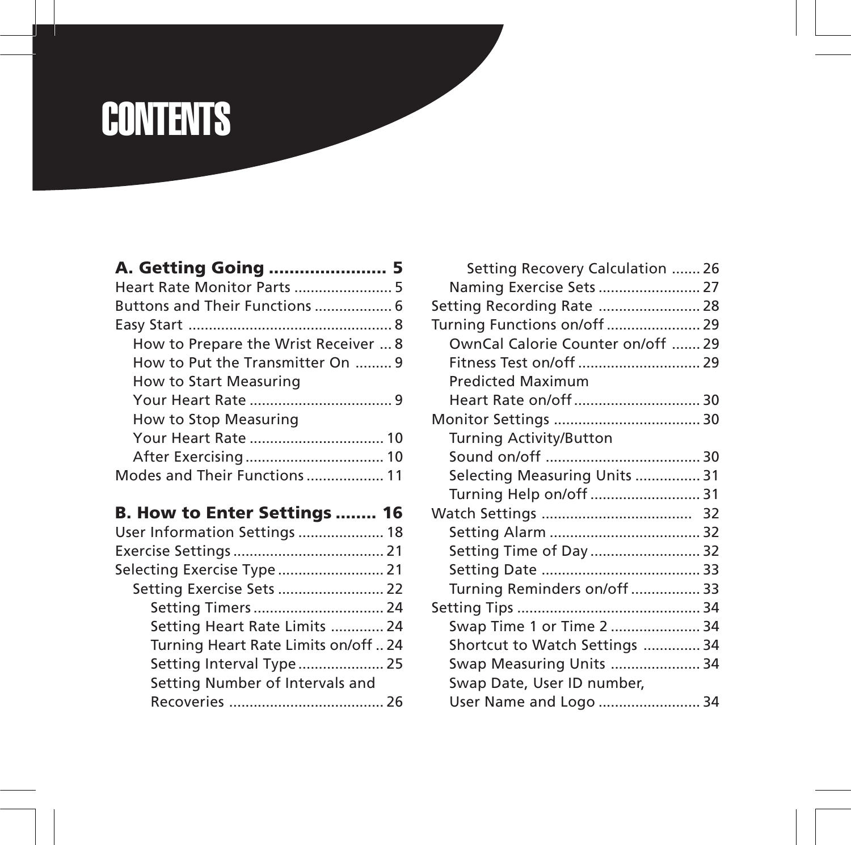## **CONTENTS**

| How to Prepare the Wrist Receiver  8 |  |
|--------------------------------------|--|
| How to Put the Transmitter On  9     |  |
| How to Start Measuring               |  |
|                                      |  |
| How to Stop Measuring                |  |
| Your Heart Rate  10                  |  |
|                                      |  |
| Modes and Their Functions  11        |  |
|                                      |  |

## **B. How to Enter Settings ........ 16**

| User Information Settings  18        |  |
|--------------------------------------|--|
|                                      |  |
| Selecting Exercise Type 21           |  |
| Setting Exercise Sets  22            |  |
| Setting Timers  24                   |  |
| Setting Heart Rate Limits  24        |  |
| Turning Heart Rate Limits on/off  24 |  |
| Setting Interval Type 25             |  |
| Setting Number of Intervals and      |  |
|                                      |  |
|                                      |  |

| <b>Setting Recovery Calculation  26</b> |  |
|-----------------------------------------|--|
| Naming Exercise Sets  27                |  |
| Setting Recording Rate  28              |  |
| Turning Functions on/off  29            |  |
| OwnCal Calorie Counter on/off  29       |  |
|                                         |  |
| <b>Predicted Maximum</b>                |  |
|                                         |  |
|                                         |  |
| <b>Turning Activity/Button</b>          |  |
|                                         |  |
| Selecting Measuring Units  31           |  |
| Turning Help on/off  31                 |  |
|                                         |  |
|                                         |  |
| Setting Time of Day  32                 |  |
|                                         |  |
| Turning Reminders on/off  33            |  |
|                                         |  |
| Swap Time 1 or Time 2  34               |  |
| Shortcut to Watch Settings  34          |  |
| Swap Measuring Units  34                |  |
| Swap Date, User ID number,              |  |
| User Name and Logo  34                  |  |
|                                         |  |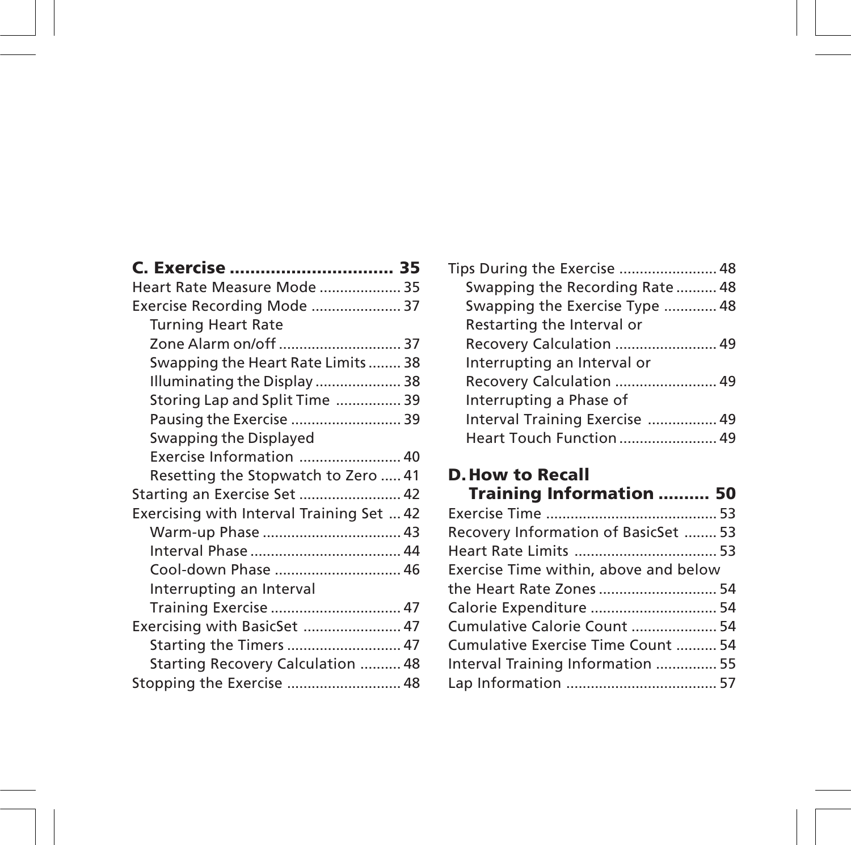| C. Exercise  35                           |  |
|-------------------------------------------|--|
| Heart Rate Measure Mode  35               |  |
| Exercise Recording Mode  37               |  |
| <b>Turning Heart Rate</b>                 |  |
| Zone Alarm on/off  37                     |  |
| Swapping the Heart Rate Limits 38         |  |
| Illuminating the Display 38               |  |
| Storing Lap and Split Time  39            |  |
| Pausing the Exercise  39                  |  |
| Swapping the Displayed                    |  |
| Exercise Information  40                  |  |
| Resetting the Stopwatch to Zero  41       |  |
| Starting an Exercise Set  42              |  |
| Exercising with Interval Training Set  42 |  |
| Warm-up Phase  43                         |  |
|                                           |  |
| Cool-down Phase  46                       |  |
| Interrupting an Interval                  |  |
| Training Exercise  47                     |  |
| Exercising with BasicSet  47              |  |
| Starting the Timers  47                   |  |
| Starting Recovery Calculation  48         |  |
| Stopping the Exercise  48                 |  |
|                                           |  |

| Tips During the Exercise  48    |  |
|---------------------------------|--|
| Swapping the Recording Rate  48 |  |
| Swapping the Exercise Type  48  |  |
| Restarting the Interval or      |  |
| Recovery Calculation  49        |  |
| Interrupting an Interval or     |  |
| Recovery Calculation  49        |  |
| Interrupting a Phase of         |  |
| Interval Training Exercise  49  |  |
|                                 |  |
|                                 |  |

## **D.How to Recall**

| <b>Training Information  50</b>       |  |
|---------------------------------------|--|
|                                       |  |
| Recovery Information of BasicSet  53  |  |
|                                       |  |
| Exercise Time within, above and below |  |
| the Heart Rate Zones  54              |  |
|                                       |  |
| Cumulative Calorie Count  54          |  |
| Cumulative Exercise Time Count  54    |  |
| Interval Training Information  55     |  |
|                                       |  |
|                                       |  |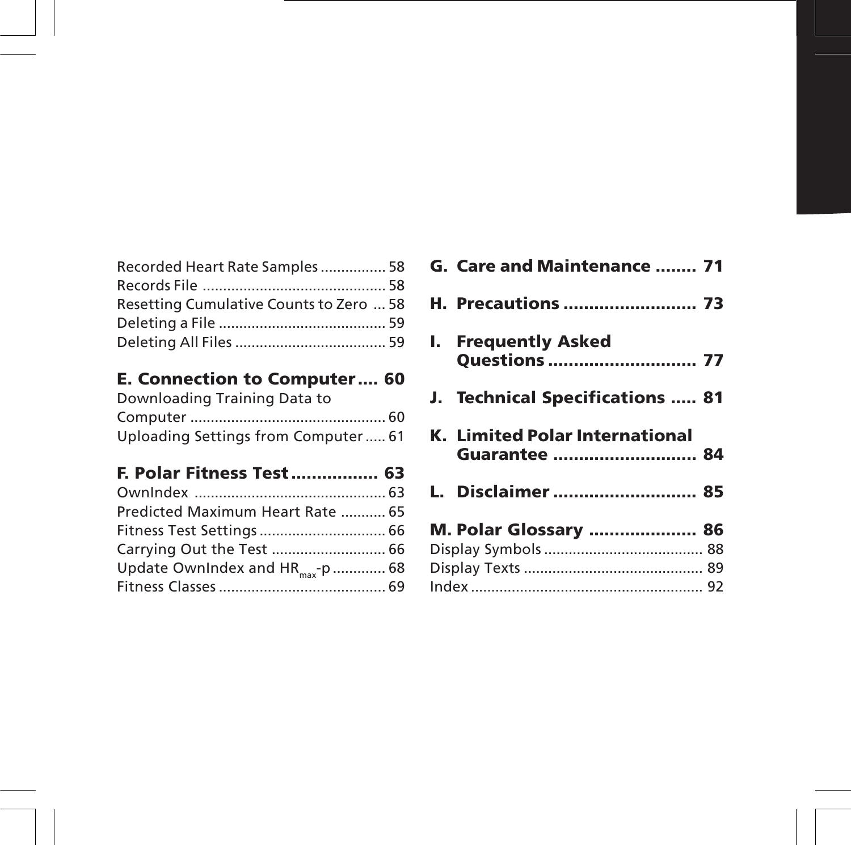| Recorded Heart Rate Samples 58          |  |
|-----------------------------------------|--|
|                                         |  |
| Resetting Cumulative Counts to Zero  58 |  |
|                                         |  |
|                                         |  |

#### **E. Connection to Computer .... 60**

| Downloading Training Data to        |  |
|-------------------------------------|--|
|                                     |  |
| Uploading Settings from Computer 61 |  |

## **F. Polar Fitness Test ................. 63**

| Predicted Maximum Heart Rate  65             |  |
|----------------------------------------------|--|
| Fitness Test Settings  66                    |  |
| Carrying Out the Test  66                    |  |
| Update OwnIndex and HR <sub>max</sub> -p  68 |  |
|                                              |  |

| G. Care and Maintenance  71                            |  |
|--------------------------------------------------------|--|
| <b>H. Precautions  73</b>                              |  |
| I. Frequently Asked<br><b>Ouestions  77</b>            |  |
| J. Technical Specifications  81                        |  |
|                                                        |  |
| <b>K. Limited Polar International</b><br>Guarantee  84 |  |
| L. Disclaimer  85                                      |  |
|                                                        |  |
| M. Polar Glossary  86                                  |  |
|                                                        |  |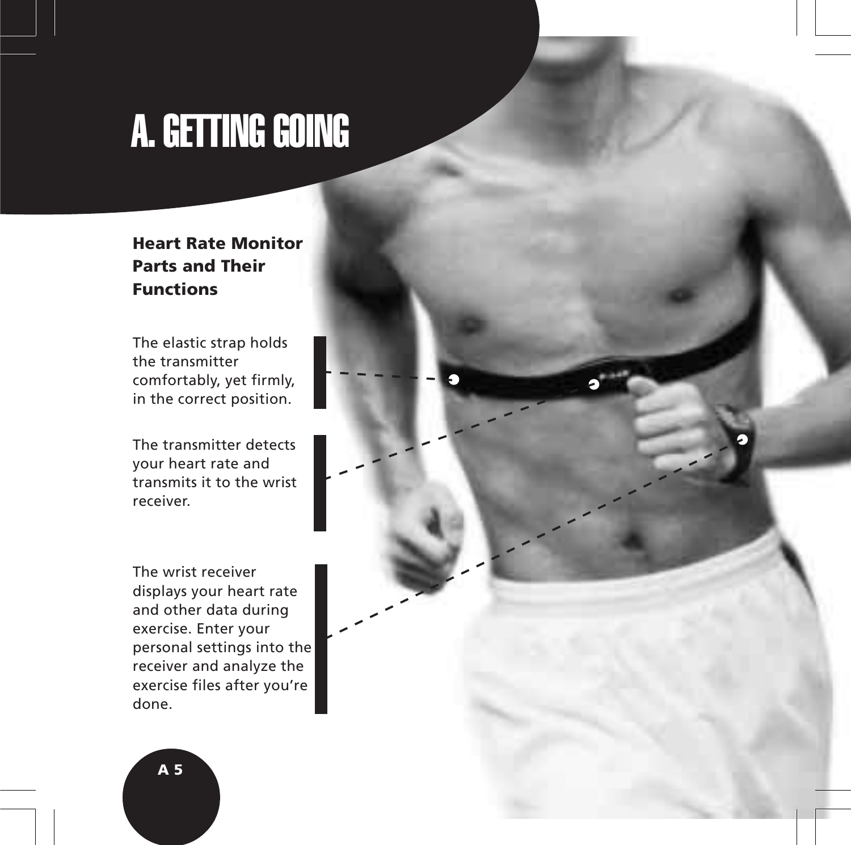## A. GETTING GOING

#### **Heart Rate Monitor Parts and Their Functions**

The elastic strap holds the transmitter comfortably, yet firmly, in the correct position.

The transmitter detects your heart rate and transmits it to the wrist receiver.

The wrist receiver displays your heart rate and other data during exercise. Enter your personal settings into the receiver and analyze the exercise files after you're done.



**A 5**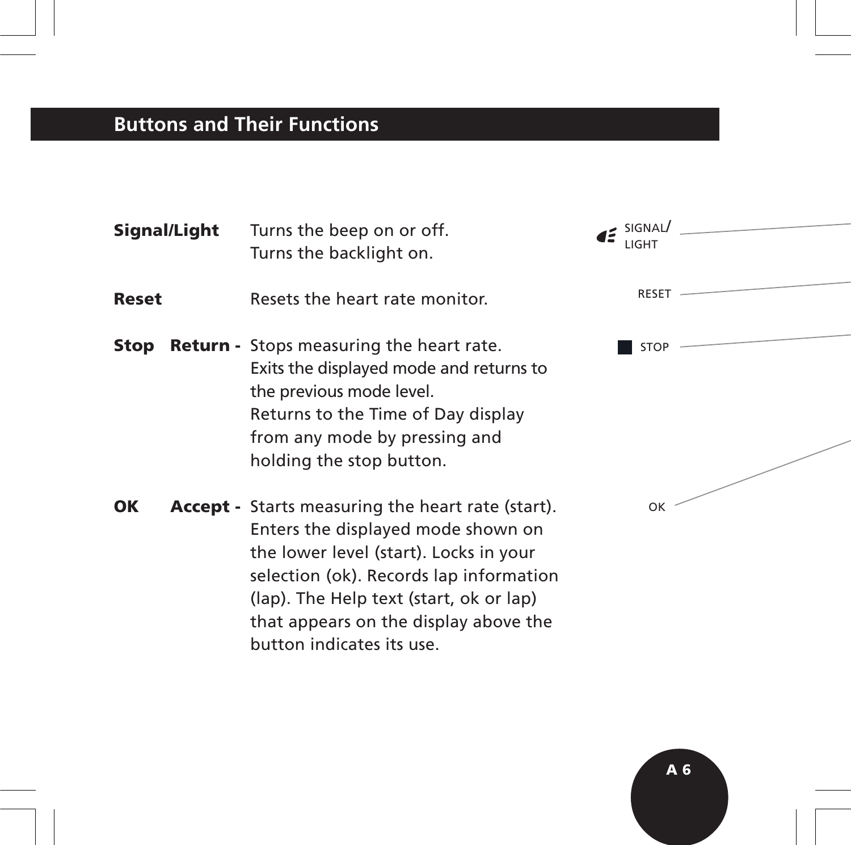## **Buttons and Their Functions**

| Signal/Light | Turns the beep on or off.<br>Turns the backlight on.                                                                                                                                                                                                                                                 | $I^{\leq}$ SIGNAL<br>LIGH <sub>1</sub> |  |
|--------------|------------------------------------------------------------------------------------------------------------------------------------------------------------------------------------------------------------------------------------------------------------------------------------------------------|----------------------------------------|--|
| <b>Reset</b> | Resets the heart rate monitor.                                                                                                                                                                                                                                                                       | <b>RESET</b>                           |  |
| Stop         | <b>Return</b> - Stops measuring the heart rate.<br>Exits the displayed mode and returns to<br>the previous mode level.<br>Returns to the Time of Day display<br>from any mode by pressing and<br>holding the stop button.                                                                            | <b>STOP</b>                            |  |
| OК           | <b>Accept</b> - Starts measuring the heart rate (start).<br>Enters the displayed mode shown on<br>the lower level (start). Locks in your<br>selection (ok). Records lap information<br>(lap). The Help text (start, ok or lap)<br>that appears on the display above the<br>button indicates its use. | OK                                     |  |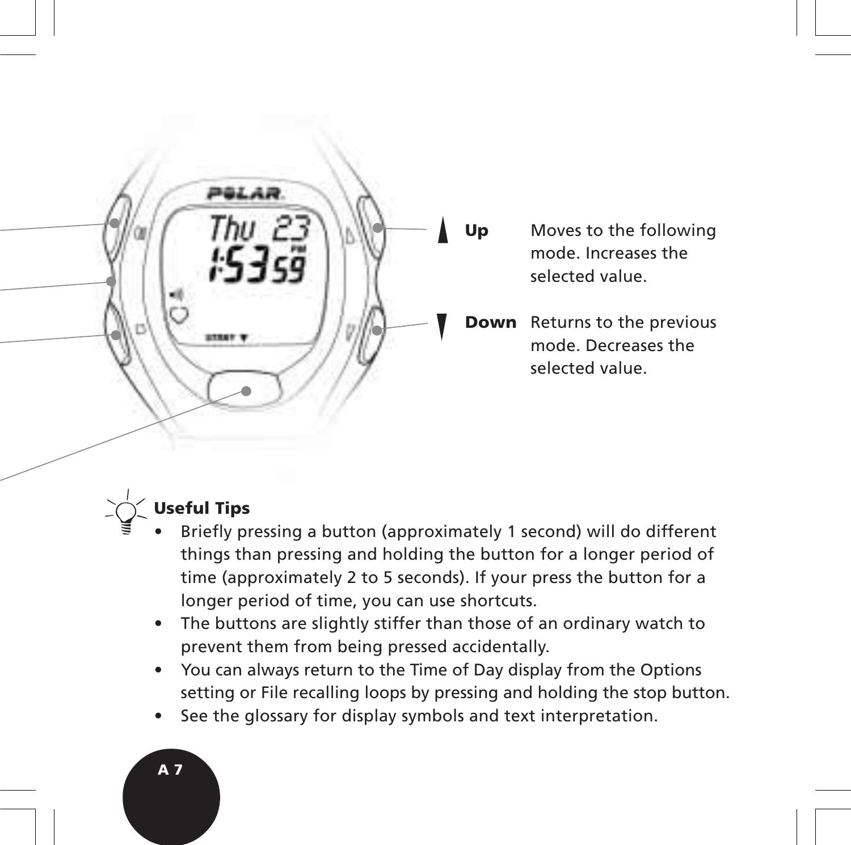

**Up** Moves to the following mode. Increases the selected value.

**Down** Returns to the previous mode. Decreases the selected value.



## **Useful Tips**

- Briefly pressing a button (approximately 1 second) will do different things than pressing and holding the button for a longer period of time (approximately 2 to 5 seconds). If your press the button for a longer period of time, you can use shortcuts.
- The buttons are slightly stiffer than those of an ordinary watch to prevent them from being pressed accidentally.
- You can always return to the Time of Day display from the Options setting or File recalling loops by pressing and holding the stop button.
- See the glossary for display symbols and text interpretation.

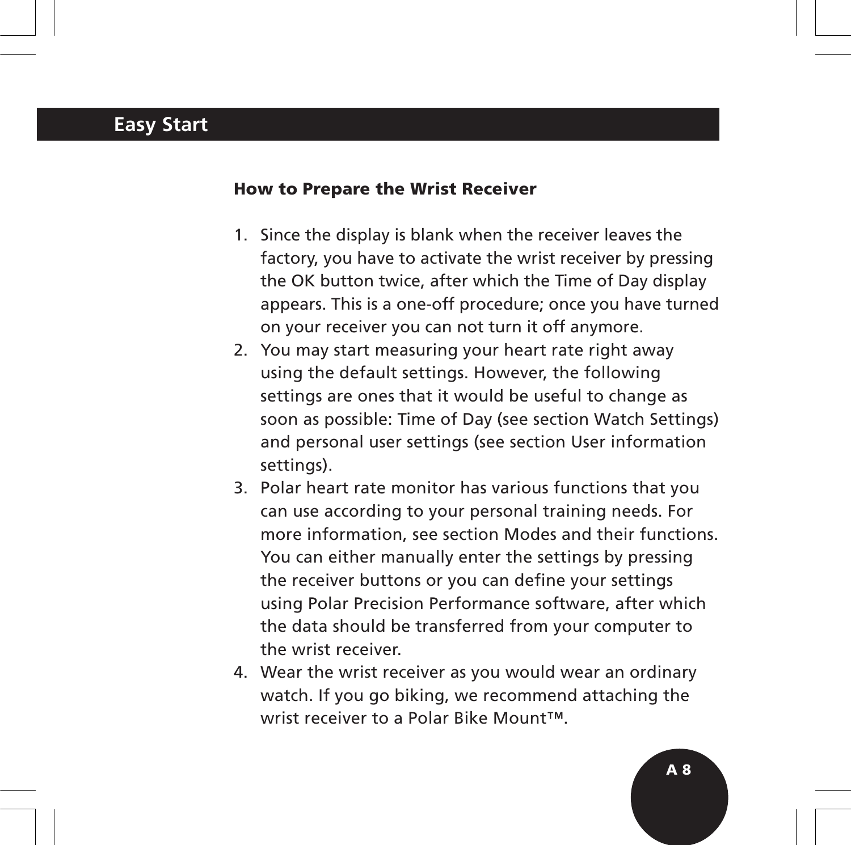## **Easy Start**

#### **How to Prepare the Wrist Receiver**

- 1. Since the display is blank when the receiver leaves the factory, you have to activate the wrist receiver by pressing the OK button twice, after which the Time of Day display appears. This is a one-off procedure; once you have turned on your receiver you can not turn it off anymore.
- 2. You may start measuring your heart rate right away using the default settings. However, the following settings are ones that it would be useful to change as soon as possible: Time of Day (see section Watch Settings) and personal user settings (see section User information settings).
- 3. Polar heart rate monitor has various functions that you can use according to your personal training needs. For more information, see section Modes and their functions. You can either manually enter the settings by pressing the receiver buttons or you can define your settings using Polar Precision Performance software, after which the data should be transferred from your computer to the wrist receiver.
- 4. Wear the wrist receiver as you would wear an ordinary watch. If you go biking, we recommend attaching the wrist receiver to a Polar Bike Mount™.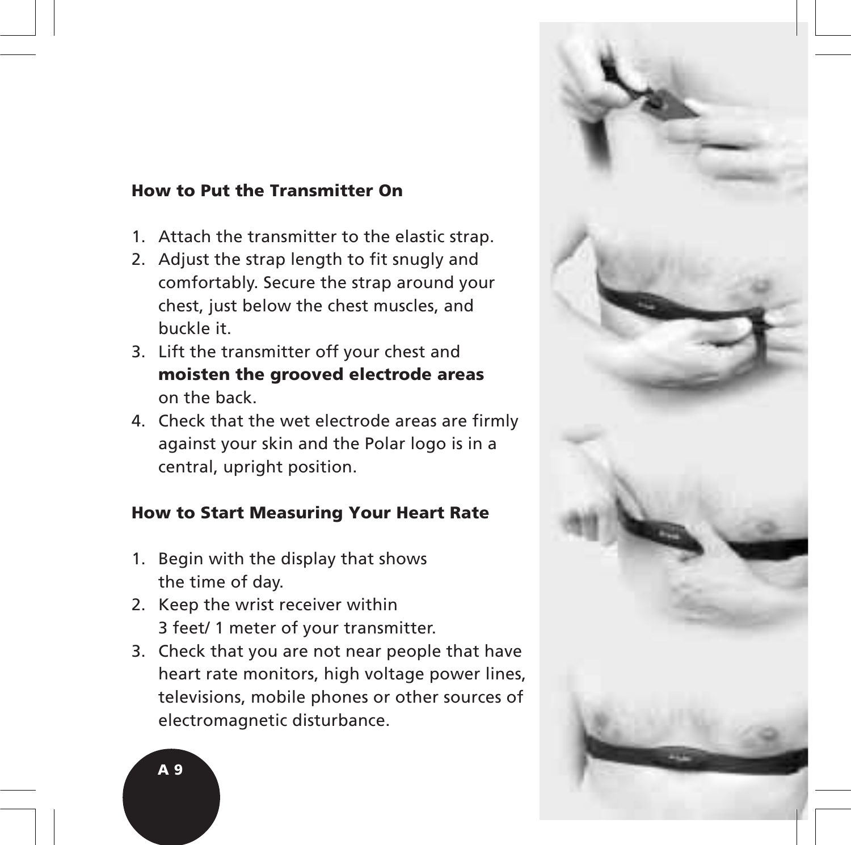#### **How to Put the Transmitter On**

- 1. Attach the transmitter to the elastic strap.
- 2. Adjust the strap length to fit snugly and comfortably. Secure the strap around your chest, just below the chest muscles, and buckle it.
- 3. Lift the transmitter off your chest and **moisten the grooved electrode areas** on the back.
- 4. Check that the wet electrode areas are firmly against your skin and the Polar logo is in a central, upright position.

#### **How to Start Measuring Your Heart Rate**

- 1. Begin with the display that shows the time of day.
- 2. Keep the wrist receiver within 3 feet/ 1 meter of your transmitter.
- 3. Check that you are not near people that have heart rate monitors, high voltage power lines, televisions, mobile phones or other sources of electromagnetic disturbance.



**A 9**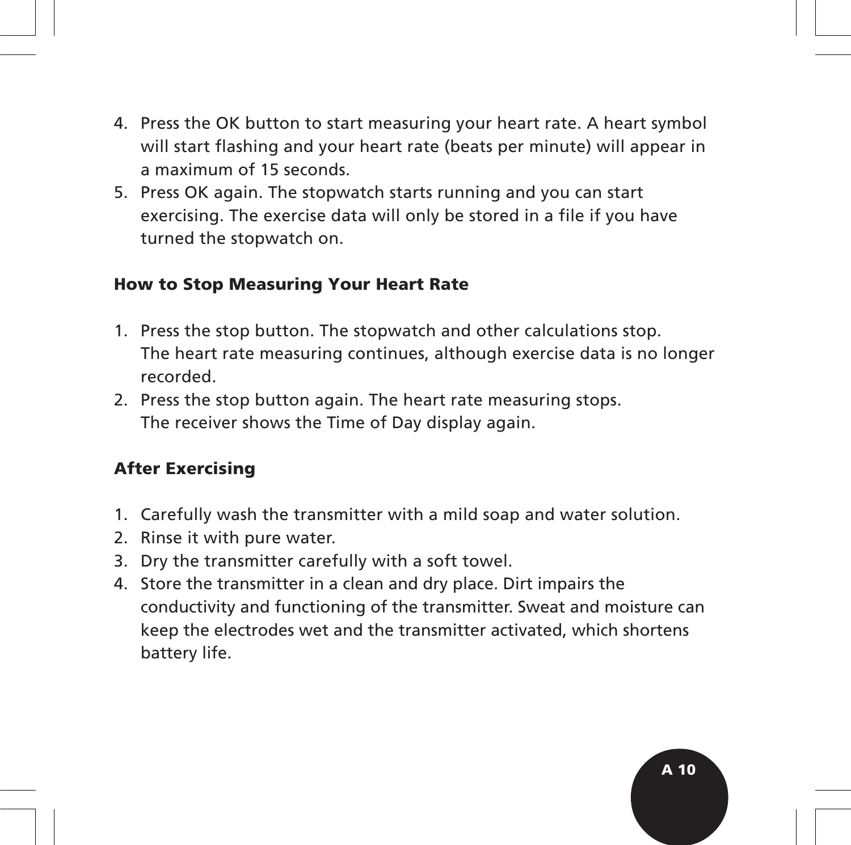- 4. Press the OK button to start measuring your heart rate. A heart symbol will start flashing and your heart rate (beats per minute) will appear in a maximum of 15 seconds.
- 5. Press OK again. The stopwatch starts running and you can start exercising. The exercise data will only be stored in a file if you have turned the stopwatch on.

#### **How to Stop Measuring Your Heart Rate**

- 1. Press the stop button. The stopwatch and other calculations stop. The heart rate measuring continues, although exercise data is no longer recorded.
- 2. Press the stop button again. The heart rate measuring stops. The receiver shows the Time of Day display again.

#### **After Exercising**

- 1. Carefully wash the transmitter with a mild soap and water solution.
- 2. Rinse it with pure water.
- 3. Dry the transmitter carefully with a soft towel.
- 4. Store the transmitter in a clean and dry place. Dirt impairs the conductivity and functioning of the transmitter. Sweat and moisture can keep the electrodes wet and the transmitter activated, which shortens battery life.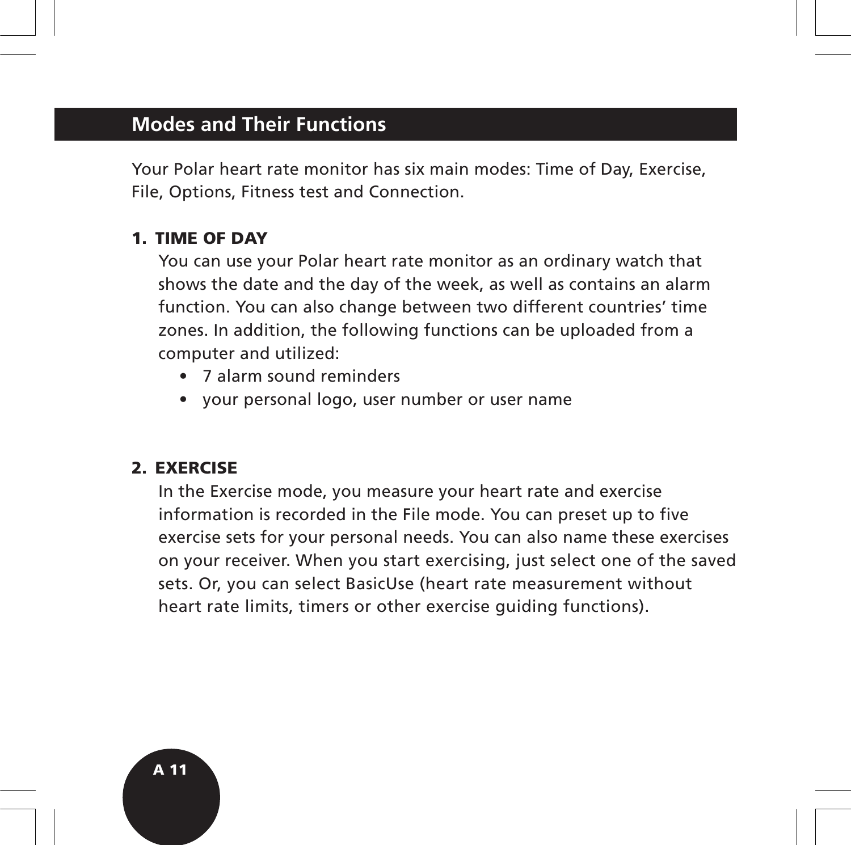## **Modes and Their Functions**

Your Polar heart rate monitor has six main modes: Time of Day, Exercise, File, Options, Fitness test and Connection.

#### **1. TIME OF DAY**

You can use your Polar heart rate monitor as an ordinary watch that shows the date and the day of the week, as well as contains an alarm function. You can also change between two different countries' time zones. In addition, the following functions can be uploaded from a computer and utilized:

- 7 alarm sound reminders
- your personal logo, user number or user name

#### **2. EXERCISE**

In the Exercise mode, you measure your heart rate and exercise information is recorded in the File mode. You can preset up to five exercise sets for your personal needs. You can also name these exercises on your receiver. When you start exercising, just select one of the saved sets. Or, you can select BasicUse (heart rate measurement without heart rate limits, timers or other exercise guiding functions).

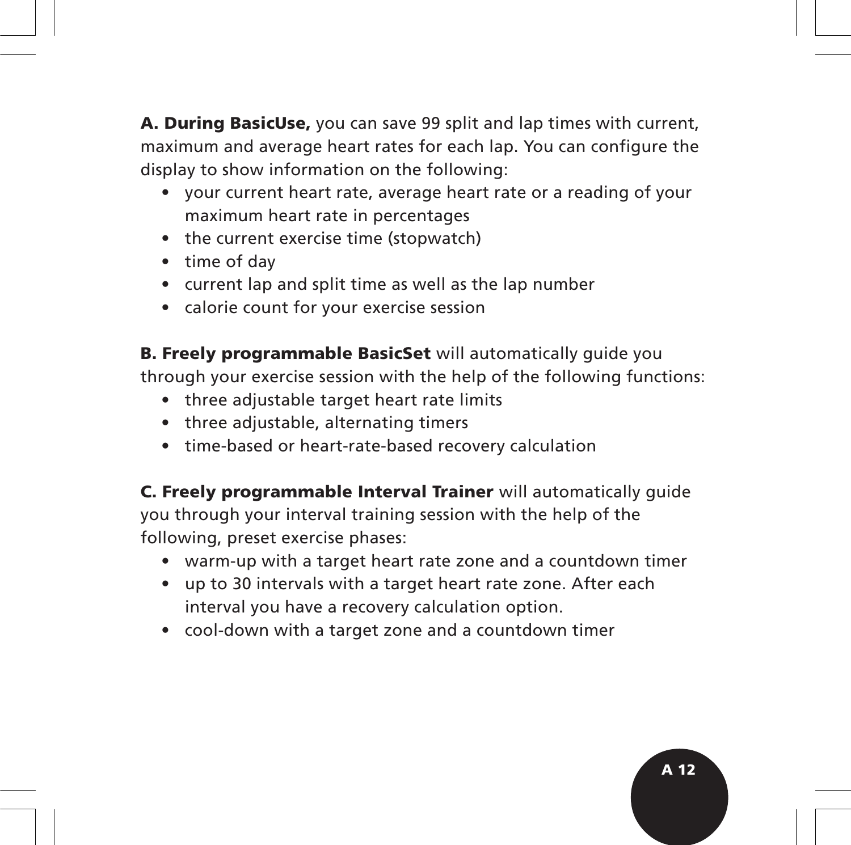**A. During BasicUse,** you can save 99 split and lap times with current, maximum and average heart rates for each lap. You can configure the display to show information on the following:

- your current heart rate, average heart rate or a reading of your maximum heart rate in percentages
- the current exercise time (stopwatch)
- time of day
- current lap and split time as well as the lap number
- calorie count for your exercise session

**B. Freely programmable BasicSet** will automatically guide you through your exercise session with the help of the following functions:

- three adjustable target heart rate limits
- three adjustable, alternating timers
- time-based or heart-rate-based recovery calculation

**C. Freely programmable Interval Trainer** will automatically guide you through your interval training session with the help of the following, preset exercise phases:

- warm-up with a target heart rate zone and a countdown timer
- up to 30 intervals with a target heart rate zone. After each interval you have a recovery calculation option.
- cool-down with a target zone and a countdown timer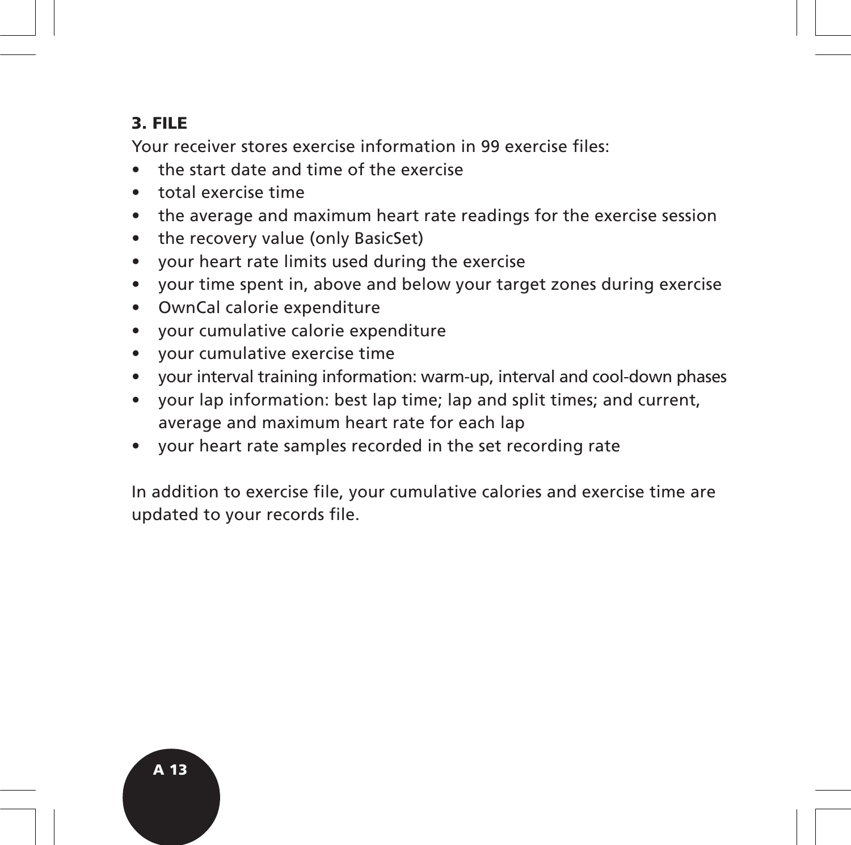### **3. FILE**

Your receiver stores exercise information in 99 exercise files:

- the start date and time of the exercise
- total exercise time
- the average and maximum heart rate readings for the exercise session
- the recovery value (only BasicSet)
- your heart rate limits used during the exercise
- your time spent in, above and below your target zones during exercise
- OwnCal calorie expenditure
- your cumulative calorie expenditure
- your cumulative exercise time
- your interval training information: warm-up, interval and cool-down phases
- your lap information: best lap time; lap and split times; and current, average and maximum heart rate for each lap
- your heart rate samples recorded in the set recording rate

In addition to exercise file, your cumulative calories and exercise time are updated to your records file.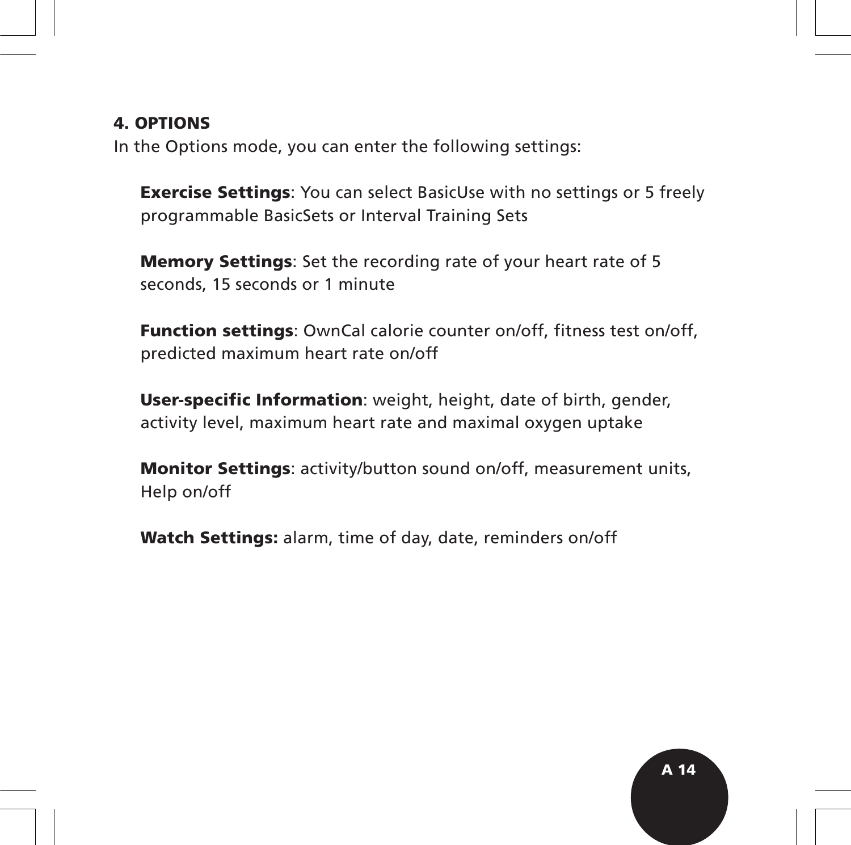#### **4. OPTIONS**

In the Options mode, you can enter the following settings:

**Exercise Settings**: You can select BasicUse with no settings or 5 freely programmable BasicSets or Interval Training Sets

**Memory Settings**: Set the recording rate of your heart rate of 5 seconds, 15 seconds or 1 minute

**Function settings**: OwnCal calorie counter on/off, fitness test on/off, predicted maximum heart rate on/off

**User-specific Information**: weight, height, date of birth, gender, activity level, maximum heart rate and maximal oxygen uptake

**Monitor Settings**: activity/button sound on/off, measurement units, Help on/off

**Watch Settings:** alarm, time of day, date, reminders on/off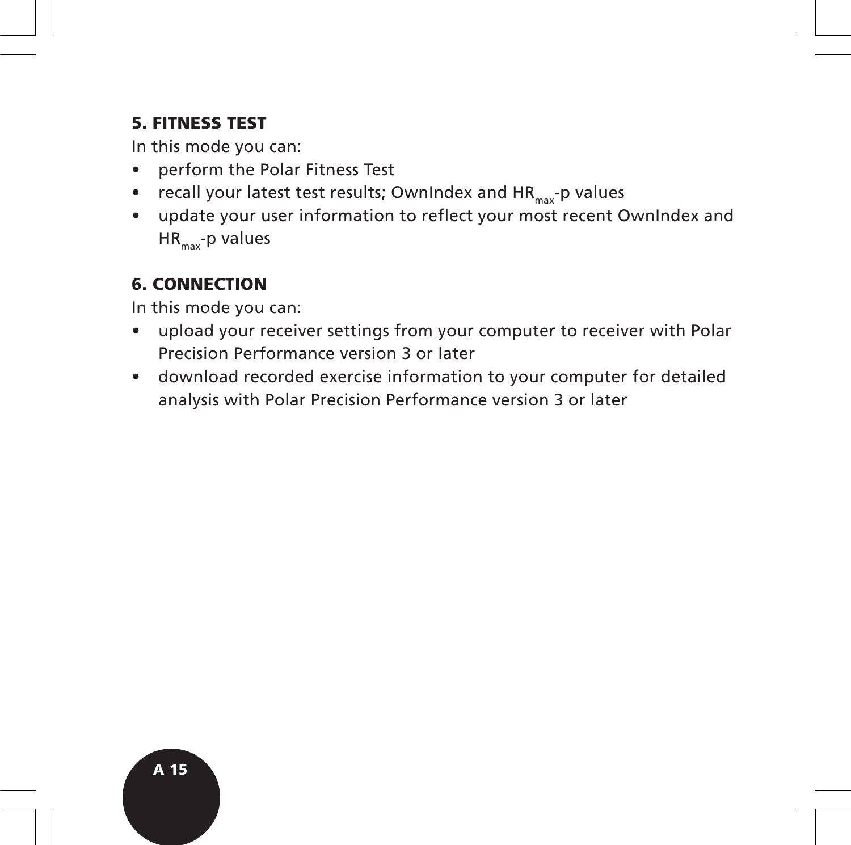#### **5. FITNESS TEST**

In this mode you can:

- perform the Polar Fitness Test
- recall your latest test results; OwnIndex and  $HR_{max}$ -p values
- update your user information to reflect your most recent OwnIndex and  $HR_{\text{max}}$ -p values

## **6. CONNECTION**

In this mode you can:

- upload your receiver settings from your computer to receiver with Polar Precision Performance version 3 or later
- download recorded exercise information to your computer for detailed analysis with Polar Precision Performance version 3 or later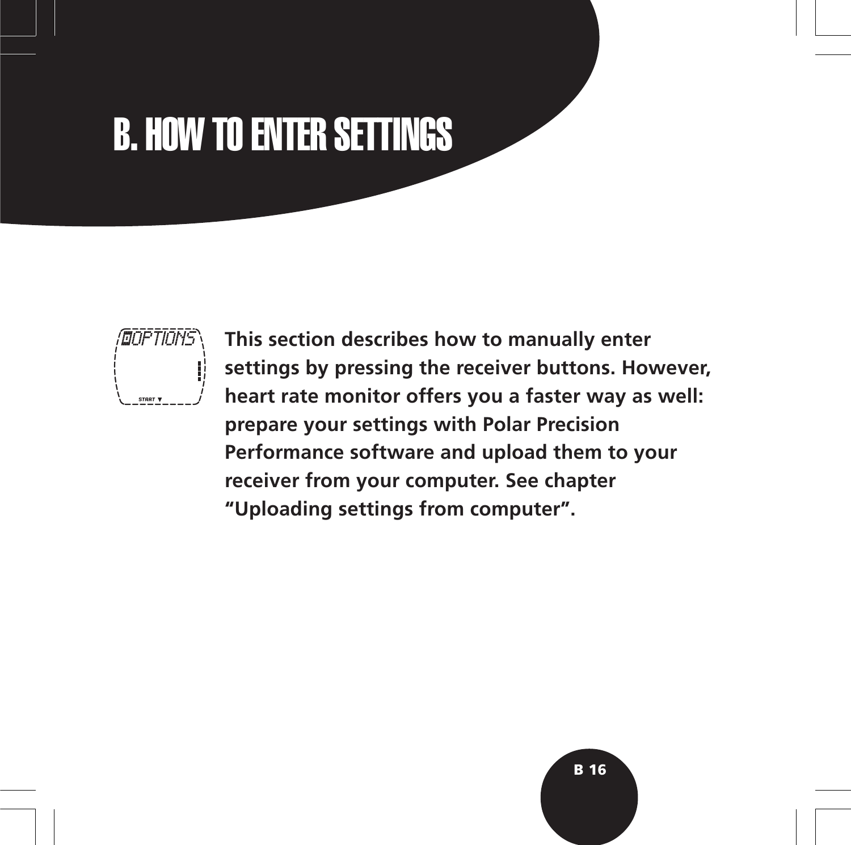# B. HOW TO ENTER SETTINGS



**This section describes how to manually enter settings by pressing the receiver buttons. However, heart rate monitor offers you a faster way as well: prepare your settings with Polar Precision Performance software and upload them to your receiver from your computer. See chapter "Uploading settings from computer".**

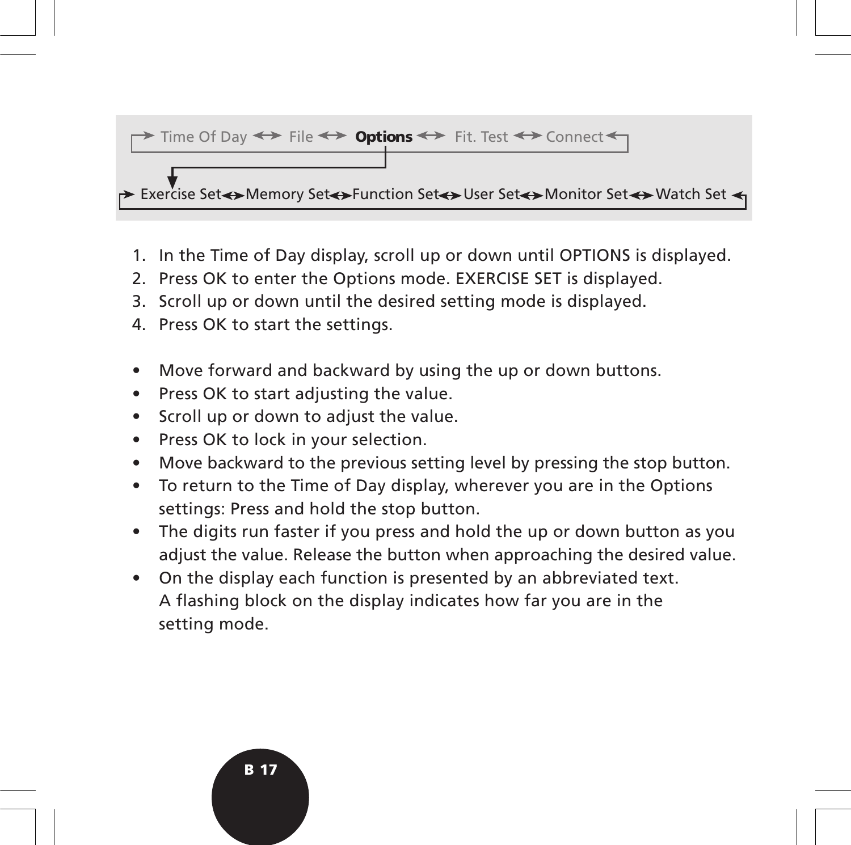#### $\rightarrow$  Time Of Day  $\leftrightarrow$  File  $\leftrightarrow$  **Options**  $\leftrightarrow$  Fit. Test  $\leftrightarrow$  Connect

► Exercise Set $\leftrightarrow$ Memory Set $\leftrightarrow$ Function Set $\leftrightarrow$ User Set $\leftrightarrow$ Monitor Set $\leftrightarrow$ Watch Set  $\prec$ 

- 1. In the Time of Day display, scroll up or down until OPTIONS is displayed.
- 2. Press OK to enter the Options mode. EXERCISE SET is displayed.
- 3. Scroll up or down until the desired setting mode is displayed.
- 4. Press OK to start the settings.
- Move forward and backward by using the up or down buttons.
- Press OK to start adjusting the value.
- Scroll up or down to adjust the value.
- Press OK to lock in your selection.
- Move backward to the previous setting level by pressing the stop button.
- To return to the Time of Day display, wherever you are in the Options settings: Press and hold the stop button.
- The digits run faster if you press and hold the up or down button as you adjust the value. Release the button when approaching the desired value.
- On the display each function is presented by an abbreviated text. A flashing block on the display indicates how far you are in the setting mode.

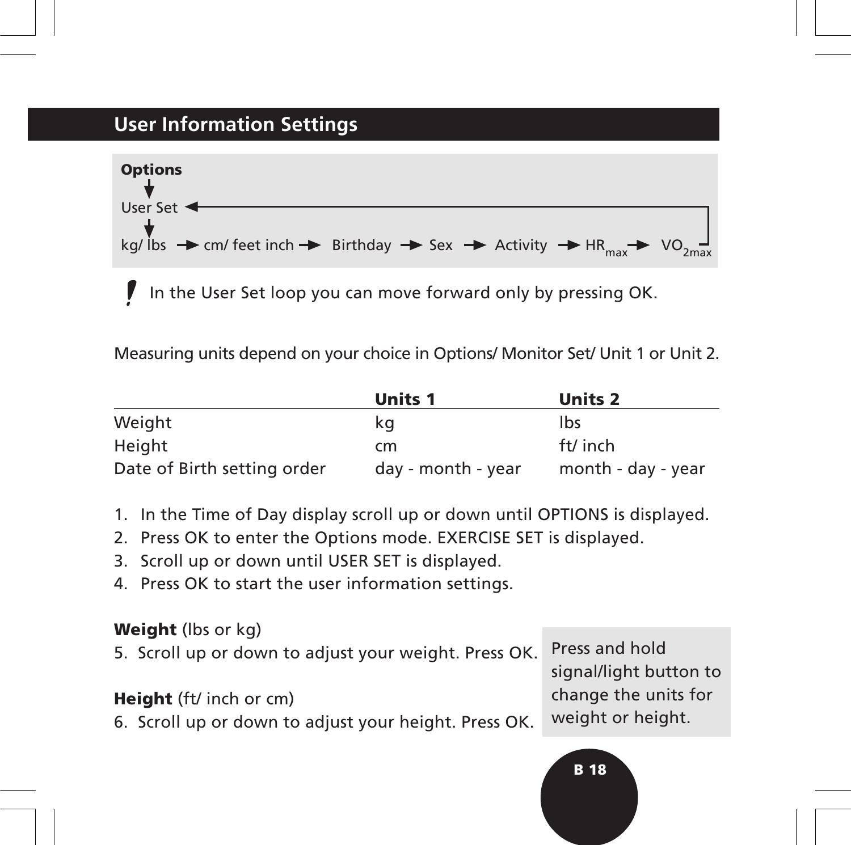## **User Information Settings**



In the User Set loop you can move forward only by pressing OK.

Measuring units depend on your choice in Options/ Monitor Set/ Unit 1 or Unit 2.

|                             | <b>Units 1</b>     | <b>Units 2</b>     |
|-----------------------------|--------------------|--------------------|
| Weight                      | kq                 | lbs                |
| Height                      | cm                 | ft/ inch           |
| Date of Birth setting order | day - month - year | month - day - year |

- 1. In the Time of Day display scroll up or down until OPTIONS is displayed.
- 2. Press OK to enter the Options mode. EXERCISE SET is displayed.
- 3. Scroll up or down until USER SET is displayed.
- 4. Press OK to start the user information settings.

#### **Weight** (lbs or kg)

5. Scroll up or down to adjust your weight. Press OK.

#### **Height** (ft/ inch or cm)

6. Scroll up or down to adjust your height. Press OK.

Press and hold signal/light button to change the units for weight or height.

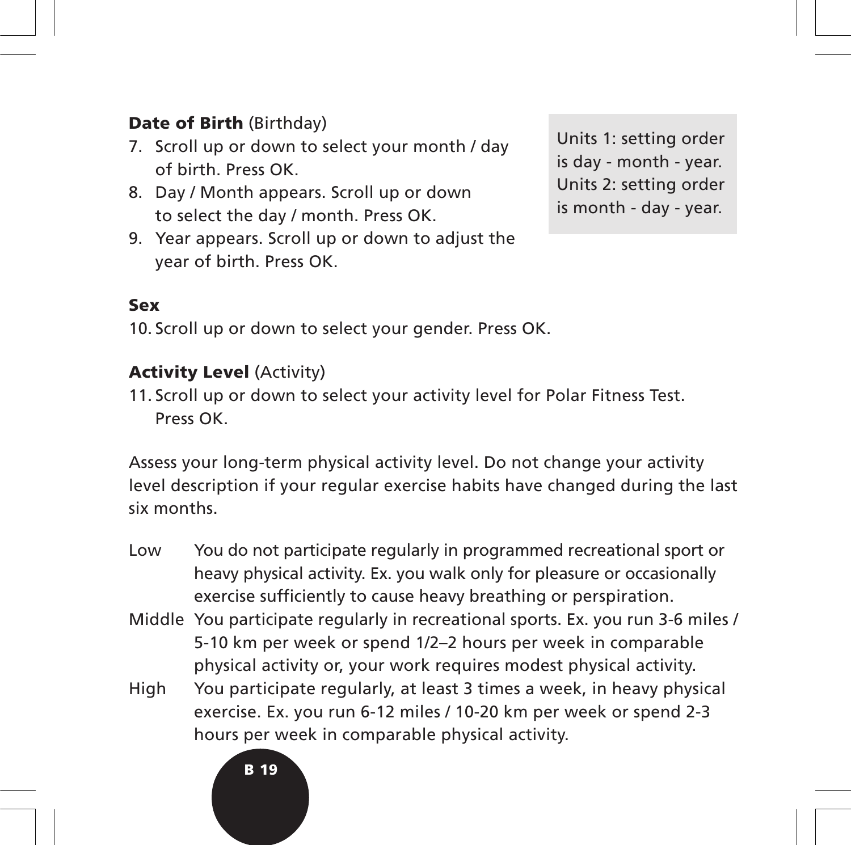### **Date of Birth** (Birthday)

- 7. Scroll up or down to select your month / day of birth. Press OK.
- 8. Day / Month appears. Scroll up or down to select the day / month. Press OK.
- 9. Year appears. Scroll up or down to adjust the year of birth. Press OK.

Units 1: setting order is day - month - year. Units 2: setting order is month - day - year.

#### **Sex**

10. Scroll up or down to select your gender. Press OK.

#### **Activity Level** (Activity)

11. Scroll up or down to select your activity level for Polar Fitness Test. Press OK.

Assess your long-term physical activity level. Do not change your activity level description if your regular exercise habits have changed during the last six months.

- Low You do not participate regularly in programmed recreational sport or heavy physical activity. Ex. you walk only for pleasure or occasionally exercise sufficiently to cause heavy breathing or perspiration.
- Middle You participate regularly in recreational sports. Ex. you run 3-6 miles / 5-10 km per week or spend 1/2–2 hours per week in comparable physical activity or, your work requires modest physical activity.
- High You participate regularly, at least 3 times a week, in heavy physical exercise. Ex. you run 6-12 miles / 10-20 km per week or spend 2-3 hours per week in comparable physical activity.

#### **B 19**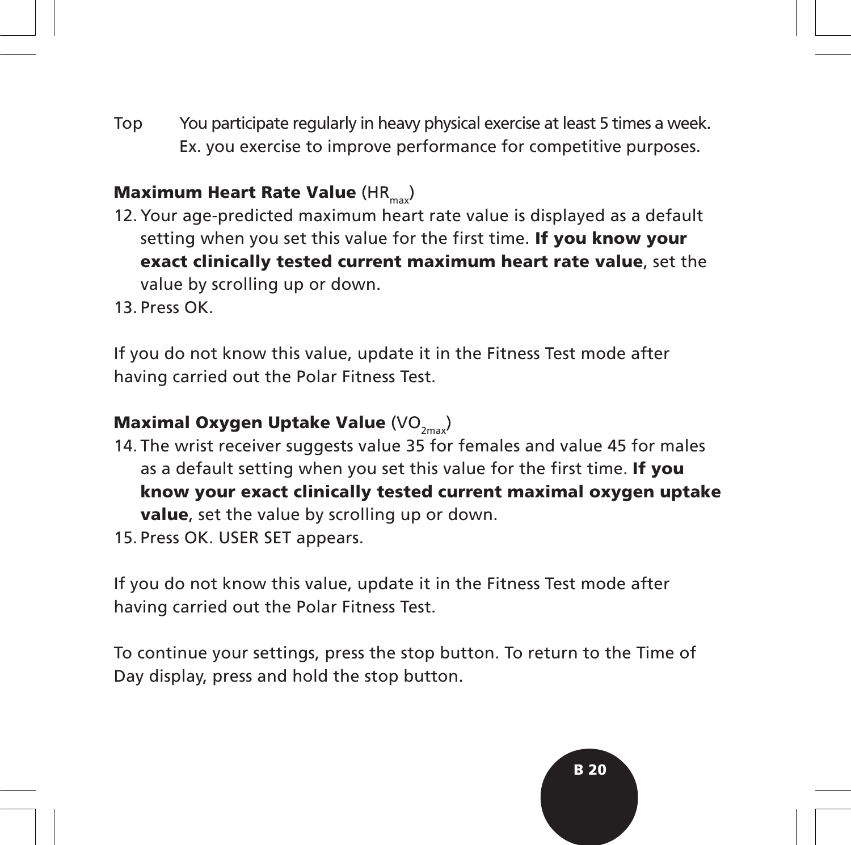Top You participate regularly in heavy physical exercise at least 5 times a week. Ex. you exercise to improve performance for competitive purposes.

## **Maximum Heart Rate Value (HRM)**

- 12. Your age-predicted maximum heart rate value is displayed as a default setting when you set this value for the first time. **If you know your exact clinically tested current maximum heart rate value**, set the value by scrolling up or down.
- 13. Press OK.

If you do not know this value, update it in the Fitness Test mode after having carried out the Polar Fitness Test.

## **Maximal Oxygen Uptake Value** (VO<sub>2max</sub>)

- 14. The wrist receiver suggests value 35 for females and value 45 for males as a default setting when you set this value for the first time. **If you know your exact clinically tested current maximal oxygen uptake value**, set the value by scrolling up or down.
- 15. Press OK. USER SET appears.

If you do not know this value, update it in the Fitness Test mode after having carried out the Polar Fitness Test.

To continue your settings, press the stop button. To return to the Time of Day display, press and hold the stop button.

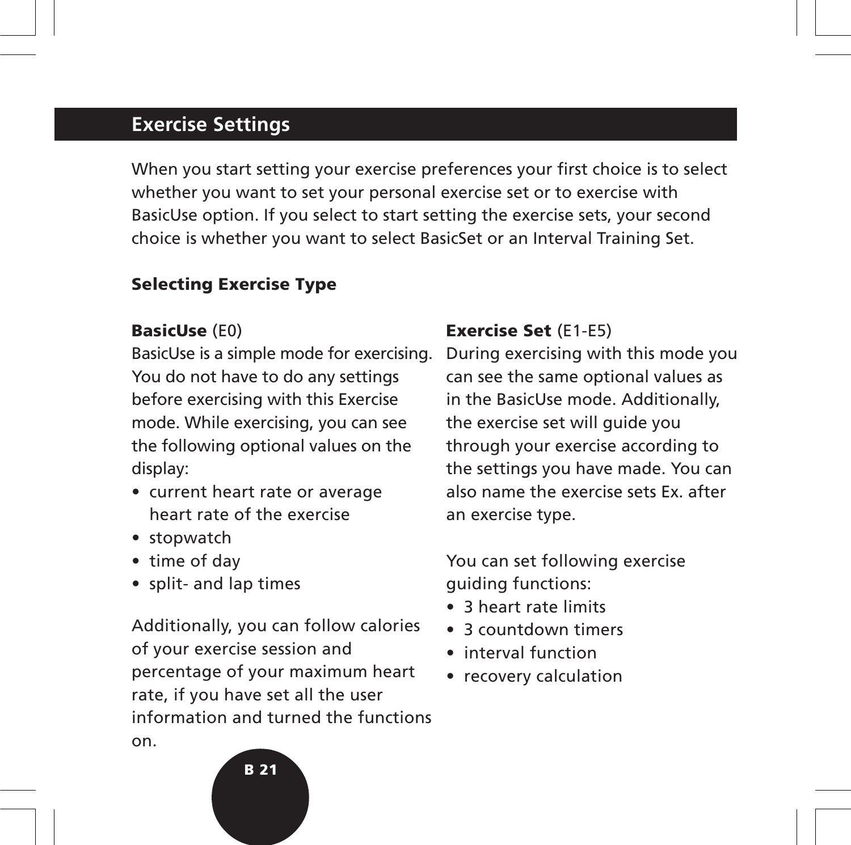## **Exercise Settings**

When you start setting your exercise preferences your first choice is to select whether you want to set your personal exercise set or to exercise with BasicUse option. If you select to start setting the exercise sets, your second choice is whether you want to select BasicSet or an Interval Training Set.

#### **Selecting Exercise Type**

#### **BasicUse** (E0)

BasicUse is a simple mode for exercising. You do not have to do any settings before exercising with this Exercise mode. While exercising, you can see the following optional values on the display:

- current heart rate or average heart rate of the exercise
- stopwatch
- time of day
- split- and lap times

Additionally, you can follow calories of your exercise session and percentage of your maximum heart rate, if you have set all the user information and turned the functions on.

#### **Exercise Set** (E1-E5)

During exercising with this mode you can see the same optional values as in the BasicUse mode. Additionally, the exercise set will guide you through your exercise according to the settings you have made. You can also name the exercise sets Ex. after an exercise type.

#### You can set following exercise guiding functions:

- 3 heart rate limits
- 3 countdown timers
- interval function
- recovery calculation

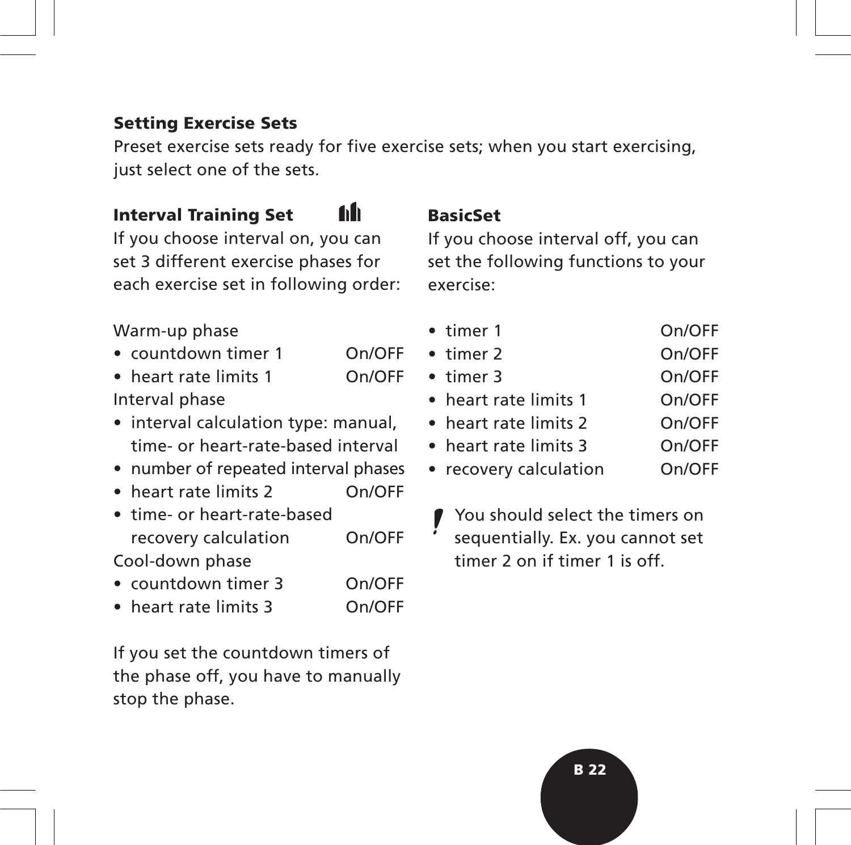#### **Setting Exercise Sets**

Preset exercise sets ready for five exercise sets; when you start exercising, just select one of the sets.

#### 60 **Interval Training Set**

If you choose interval on, you can set 3 different exercise phases for each exercise set in following order:

#### Warm-up phase

- countdown timer 1 On/OFF
- heart rate limits 1 On/OFF Interval phase
- interval calculation type: manual, time- or heart-rate-based interval
- number of repeated interval phases
- heart rate limits 2 On/OFF
- time- or heart-rate-based recovery calculation On/OFF Cool-down phase
- countdown timer 3 On/OFF
- heart rate limits 3 On/OFF

If you set the countdown timers of the phase off, you have to manually stop the phase.

#### **BasicSet**

If you choose interval off, you can set the following functions to your exercise:

- timer 1 On/OFF
- timer 2 On/OFF
- timer 3 On/OFF
	- heart rate limits 1 On/OFF
- heart rate limits 2 On/OFF
- heart rate limits 3 On/OFF
- recovery calculation On/OFF
	- You should select the timers on sequentially. Ex. you cannot set timer 2 on if timer 1 is off.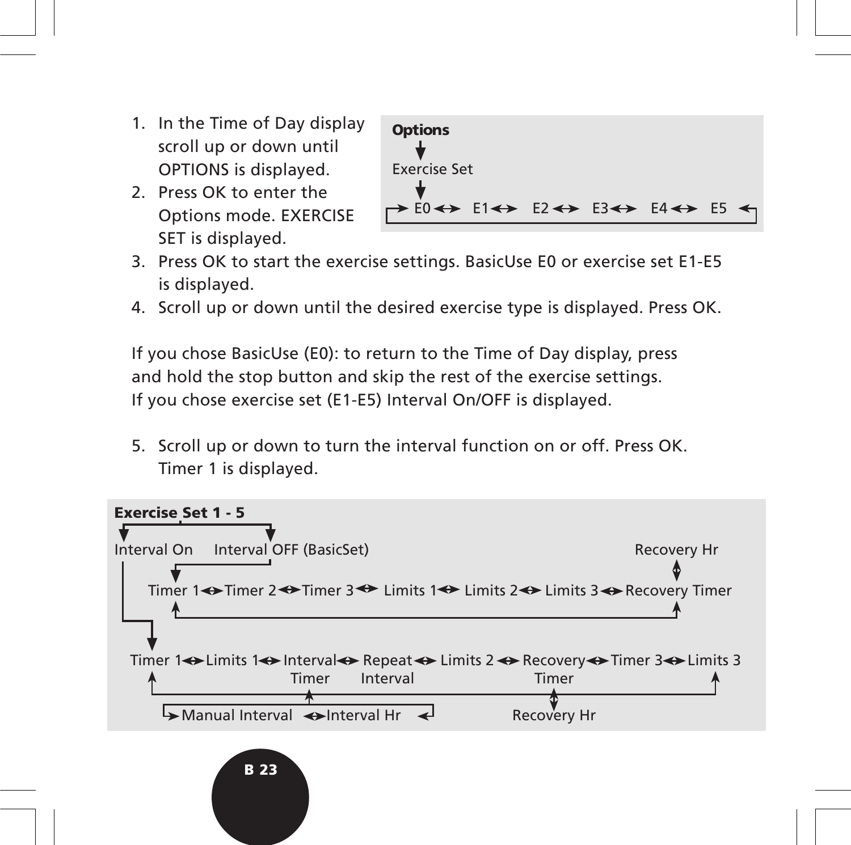- 1. In the Time of Day display scroll up or down until OPTIONS is displayed.
- 2. Press OK to enter the Options mode. EXERCISE SET is displayed.

**B 23**



- 3. Press OK to start the exercise settings. BasicUse E0 or exercise set E1-E5 is displayed.
- 4. Scroll up or down until the desired exercise type is displayed. Press OK.

If you chose BasicUse (E0): to return to the Time of Day display, press and hold the stop button and skip the rest of the exercise settings. If you chose exercise set (E1-E5) Interval On/OFF is displayed.

5. Scroll up or down to turn the interval function on or off. Press OK. Timer 1 is displayed.

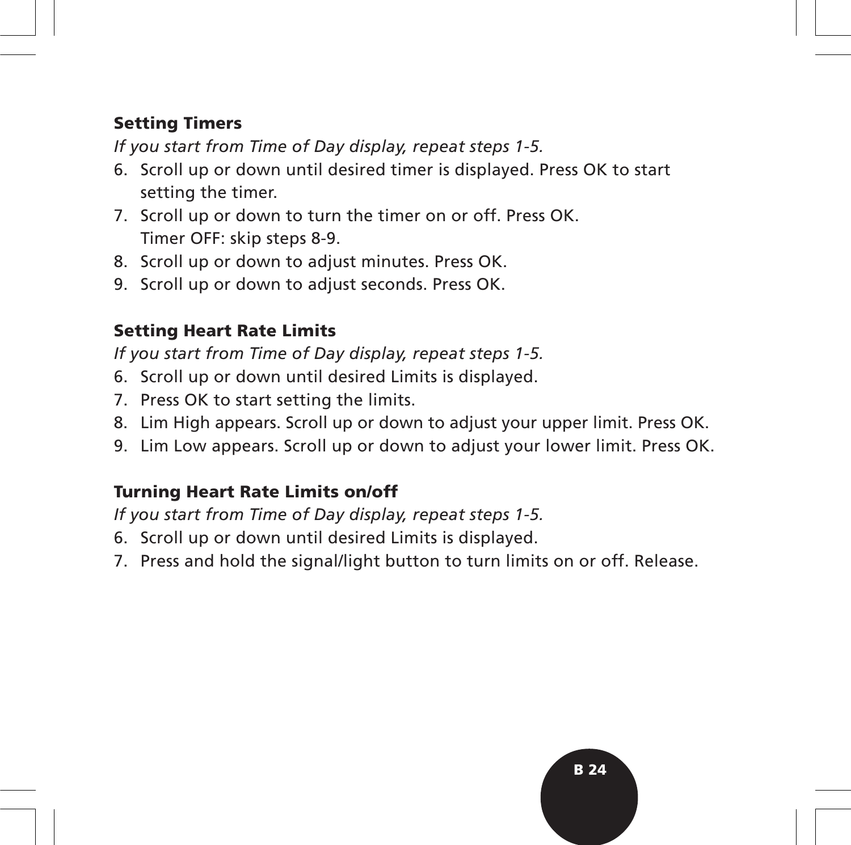#### **Setting Timers**

*If you start from Time of Day display, repeat steps 1-5.*

- 6. Scroll up or down until desired timer is displayed. Press OK to start setting the timer.
- 7. Scroll up or down to turn the timer on or off. Press OK. Timer OFF: skip steps 8-9.
- 8. Scroll up or down to adjust minutes. Press OK.
- 9. Scroll up or down to adjust seconds. Press OK.

## **Setting Heart Rate Limits**

*If you start from Time of Day display, repeat steps 1-5.*

- 6. Scroll up or down until desired Limits is displayed.
- 7. Press OK to start setting the limits.
- 8. Lim High appears. Scroll up or down to adjust your upper limit. Press OK.
- 9. Lim Low appears. Scroll up or down to adjust your lower limit. Press OK.

### **Turning Heart Rate Limits on/off**

*If you start from Time of Day display, repeat steps 1-5.*

- 6. Scroll up or down until desired Limits is displayed.
- 7. Press and hold the signal/light button to turn limits on or off. Release.

**B 24**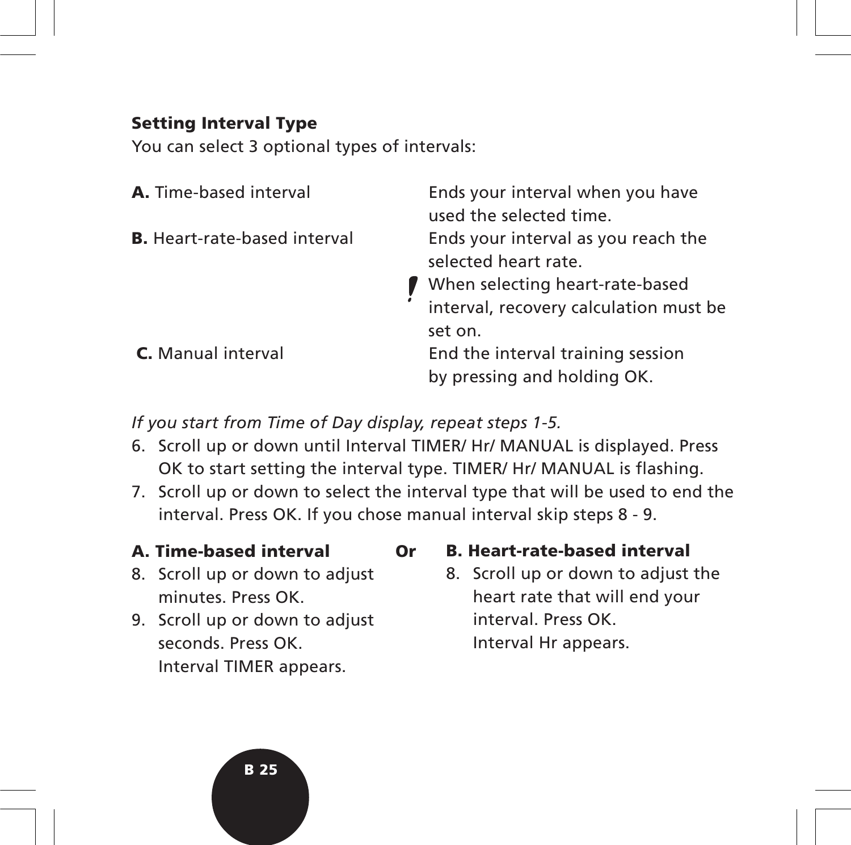#### **Setting Interval Type**

You can select 3 optional types of intervals:

| <b>A.</b> Time-based interval       | Ends your interval when you have<br>used the selected time.                                                                              |
|-------------------------------------|------------------------------------------------------------------------------------------------------------------------------------------|
| <b>B.</b> Heart-rate-based interval | Ends your interval as you reach the<br>selected heart rate.<br>When selecting heart-rate-based<br>interval, recovery calculation must be |
| C. Manual interval                  | set on.<br>End the interval training session<br>by pressing and holding OK.                                                              |

*If you start from Time of Day display, repeat steps 1-5.*

- 6. Scroll up or down until Interval TIMER/ Hr/ MANUAL is displayed. Press OK to start setting the interval type. TIMER/ Hr/ MANUAL is flashing.
- 7. Scroll up or down to select the interval type that will be used to end the interval. Press OK. If you chose manual interval skip steps 8 - 9.

#### **A. Time-based interval Or**

- 8. Scroll up or down to adjust minutes. Press OK.
- 9. Scroll up or down to adjust seconds. Press OK. Interval TIMER appears.

#### **B. Heart-rate-based interval**

8. Scroll up or down to adjust the heart rate that will end your interval. Press OK. Interval Hr appears.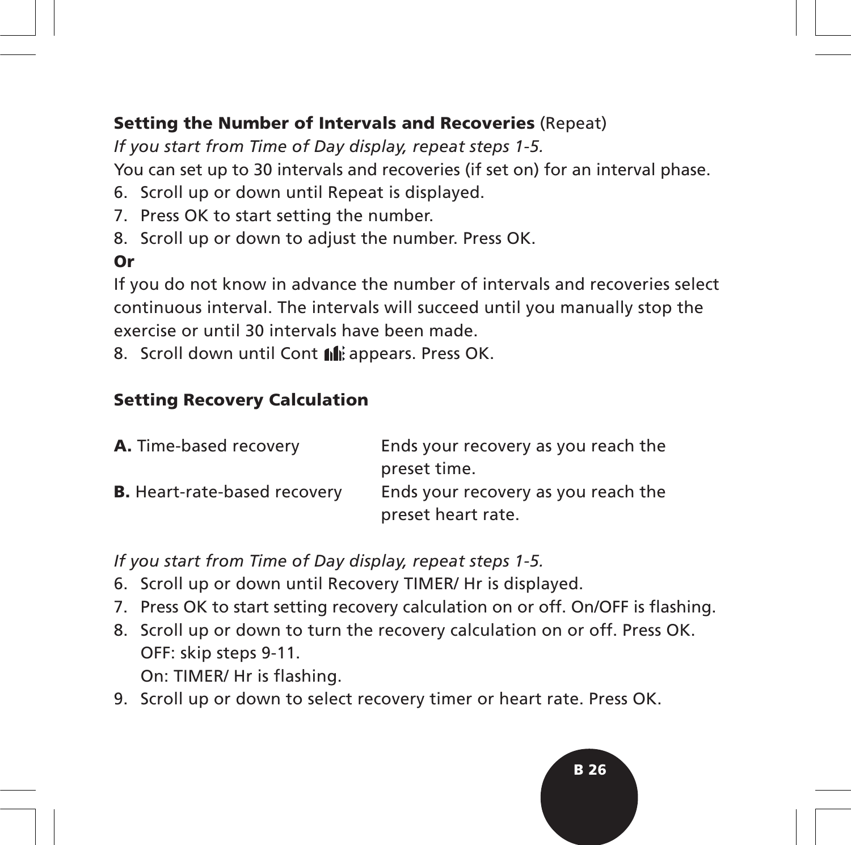#### **Setting the Number of Intervals and Recoveries** (Repeat)

*If you start from Time of Day display, repeat steps 1-5.* You can set up to 30 intervals and recoveries (if set on) for an interval phase.

- 6. Scroll up or down until Repeat is displayed.
- 7. Press OK to start setting the number.
- 8. Scroll up or down to adjust the number. Press OK.

### **Or**

If you do not know in advance the number of intervals and recoveries select continuous interval. The intervals will succeed until you manually stop the exercise or until 30 intervals have been made.

8. Scroll down until Cont  $\|\cdot\|$  appears. Press OK.

#### **Setting Recovery Calculation**

| A. Time-based recovery              | Ends your recovery as you reach the |
|-------------------------------------|-------------------------------------|
|                                     | preset time.                        |
| <b>B.</b> Heart-rate-based recovery | Ends your recovery as you reach the |
|                                     | preset heart rate.                  |

*If you start from Time of Day display, repeat steps 1-5.*

- 6. Scroll up or down until Recovery TIMER/ Hr is displayed.
- 7. Press OK to start setting recovery calculation on or off. On/OFF is flashing.
- 8. Scroll up or down to turn the recovery calculation on or off. Press OK. OFF: skip steps 9-11.

On: TIMER/ Hr is flashing.

9. Scroll up or down to select recovery timer or heart rate. Press OK.

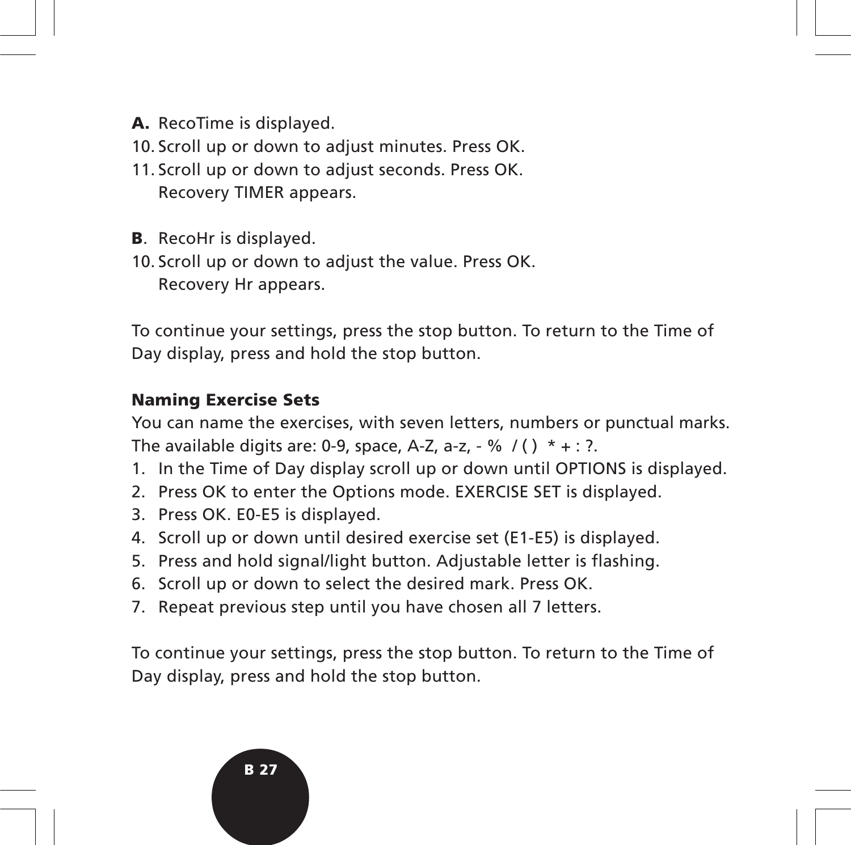- **A.** RecoTime is displayed.
- 10. Scroll up or down to adjust minutes. Press OK.
- 11. Scroll up or down to adjust seconds. Press OK. Recovery TIMER appears.
- **B**. RecoHr is displayed.
- 10. Scroll up or down to adjust the value. Press OK. Recovery Hr appears.

To continue your settings, press the stop button. To return to the Time of Day display, press and hold the stop button.

#### **Naming Exercise Sets**

You can name the exercises, with seven letters, numbers or punctual marks. The available digits are: 0-9, space, A-Z, a-z,  $-$  % /()  $* + : ?$ .

- 1. In the Time of Day display scroll up or down until OPTIONS is displayed.
- 2. Press OK to enter the Options mode. EXERCISE SET is displayed.
- 3. Press OK. E0-E5 is displayed.
- 4. Scroll up or down until desired exercise set (E1-E5) is displayed.
- 5. Press and hold signal/light button. Adjustable letter is flashing.
- 6. Scroll up or down to select the desired mark. Press OK.
- 7. Repeat previous step until you have chosen all 7 letters.

To continue your settings, press the stop button. To return to the Time of Day display, press and hold the stop button.

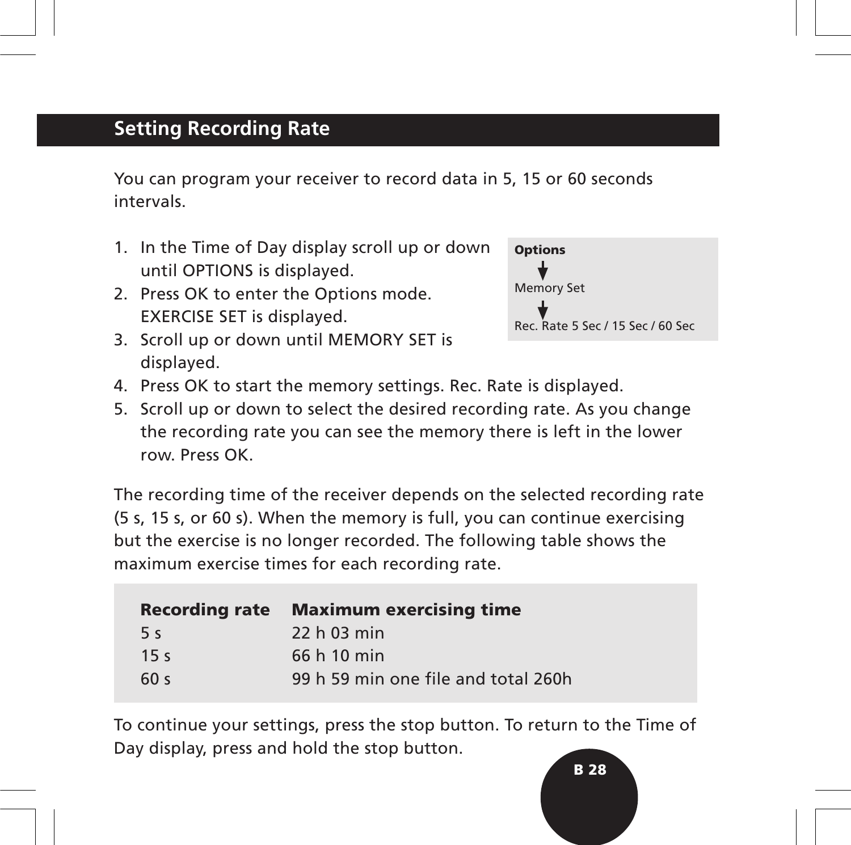## **Setting Recording Rate**

You can program your receiver to record data in 5, 15 or 60 seconds intervals.

- 1. In the Time of Day display scroll up or down until OPTIONS is displayed.
- 2. Press OK to enter the Options mode. EXERCISE SET is displayed.



- 3. Scroll up or down until MEMORY SET is displayed.
- 4. Press OK to start the memory settings. Rec. Rate is displayed.
- 5. Scroll up or down to select the desired recording rate. As you change the recording rate you can see the memory there is left in the lower row. Press OK.

The recording time of the receiver depends on the selected recording rate (5 s, 15 s, or 60 s). When the memory is full, you can continue exercising but the exercise is no longer recorded. The following table shows the maximum exercise times for each recording rate.

| <b>Recording rate</b> | <b>Maximum exercising time</b>      |
|-----------------------|-------------------------------------|
| 5 <sub>s</sub>        | 22 h 03 min                         |
| 15 <sub>s</sub>       | 66 h 10 min                         |
| 60 <sub>s</sub>       | 99 h 59 min one file and total 260h |

To continue your settings, press the stop button. To return to the Time of Day display, press and hold the stop button.

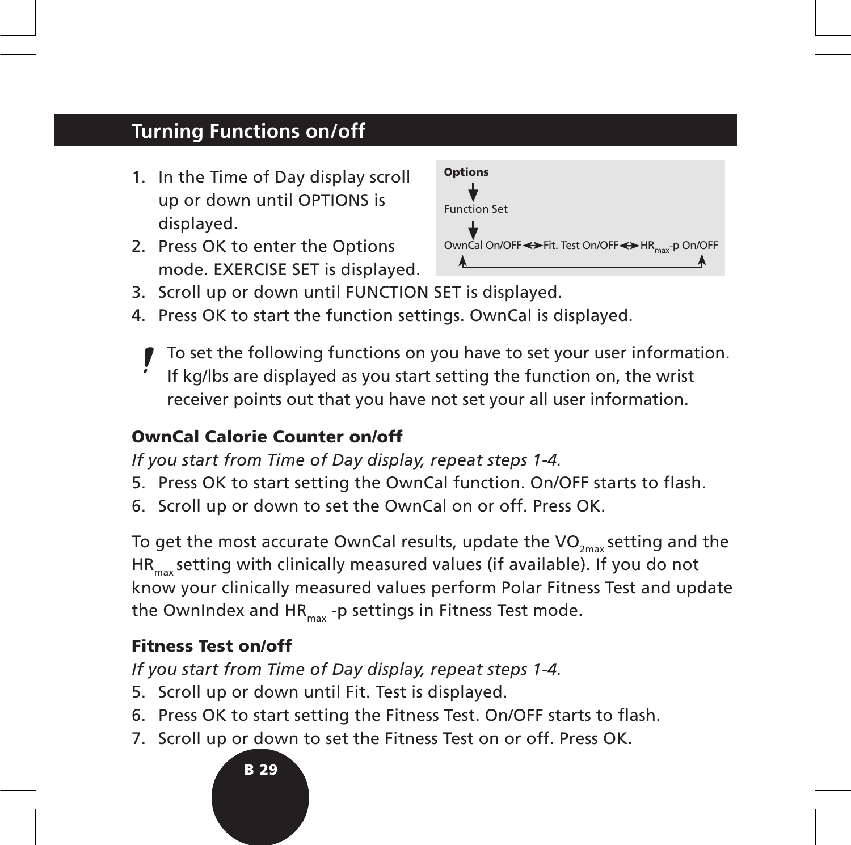## **Turning Functions on/off**

- 1. In the Time of Day display scroll up or down until OPTIONS is displayed.
- 2. Press OK to enter the Options mode. EXERCISE SET is displayed.



- 3. Scroll up or down until FUNCTION SET is displayed.
- 4. Press OK to start the function settings. OwnCal is displayed.
	- To set the following functions on you have to set your user information. If kg/lbs are displayed as you start setting the function on, the wrist receiver points out that you have not set your all user information.

#### **OwnCal Calorie Counter on/off**

*If you start from Time of Day display, repeat steps 1-4.*

- 5. Press OK to start setting the OwnCal function. On/OFF starts to flash.
- 6. Scroll up or down to set the OwnCal on or off. Press OK.

To get the most accurate OwnCal results, update the VO<sub>2max</sub> setting and the HR<sub>max</sub> setting with clinically measured values (if available). If you do not know your clinically measured values perform Polar Fitness Test and update the OwnIndex and HR $_{max}$  -p settings in Fitness Test mode.

### **Fitness Test on/off**

*If you start from Time of Day display, repeat steps 1-4.*

- 5. Scroll up or down until Fit. Test is displayed.
- 6. Press OK to start setting the Fitness Test. On/OFF starts to flash.
- 7. Scroll up or down to set the Fitness Test on or off. Press OK.

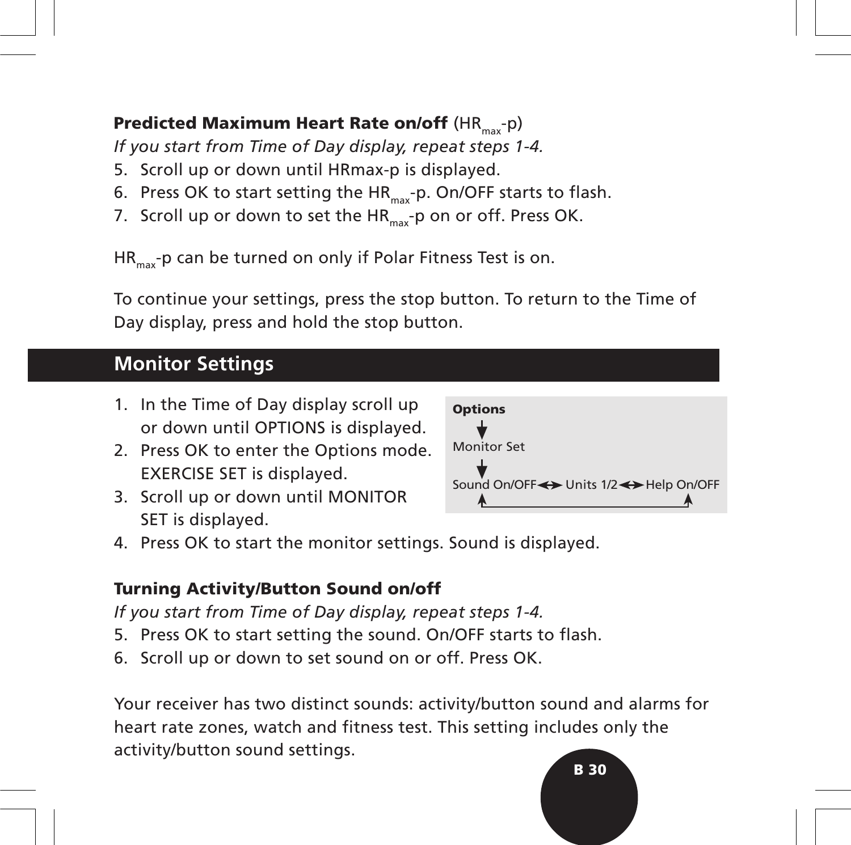## **Predicted Maximum Heart Rate on/off (HR<sub>max</sub>-p)**

*If you start from Time of Day display, repeat steps 1-4.*

- 5. Scroll up or down until HRmax-p is displayed.
- 6. Press OK to start setting the  $HR_{max}$ -p. On/OFF starts to flash.
- 7. Scroll up or down to set the  $HR_{max}$ -p on or off. Press OK.

 $HR_{\text{max}}$ -p can be turned on only if Polar Fitness Test is on.

To continue your settings, press the stop button. To return to the Time of Day display, press and hold the stop button.

## **Monitor Settings**

- 1. In the Time of Day display scroll up or down until OPTIONS is displayed.
- 2. Press OK to enter the Options mode. EXERCISE SET is displayed.
- 3. Scroll up or down until MONITOR SET is displayed.



4. Press OK to start the monitor settings. Sound is displayed.

#### **Turning Activity/Button Sound on/off**

*If you start from Time of Day display, repeat steps 1-4.*

- 5. Press OK to start setting the sound. On/OFF starts to flash.
- 6. Scroll up or down to set sound on or off. Press OK.

**B 30** Your receiver has two distinct sounds: activity/button sound and alarms for heart rate zones, watch and fitness test. This setting includes only the activity/button sound settings.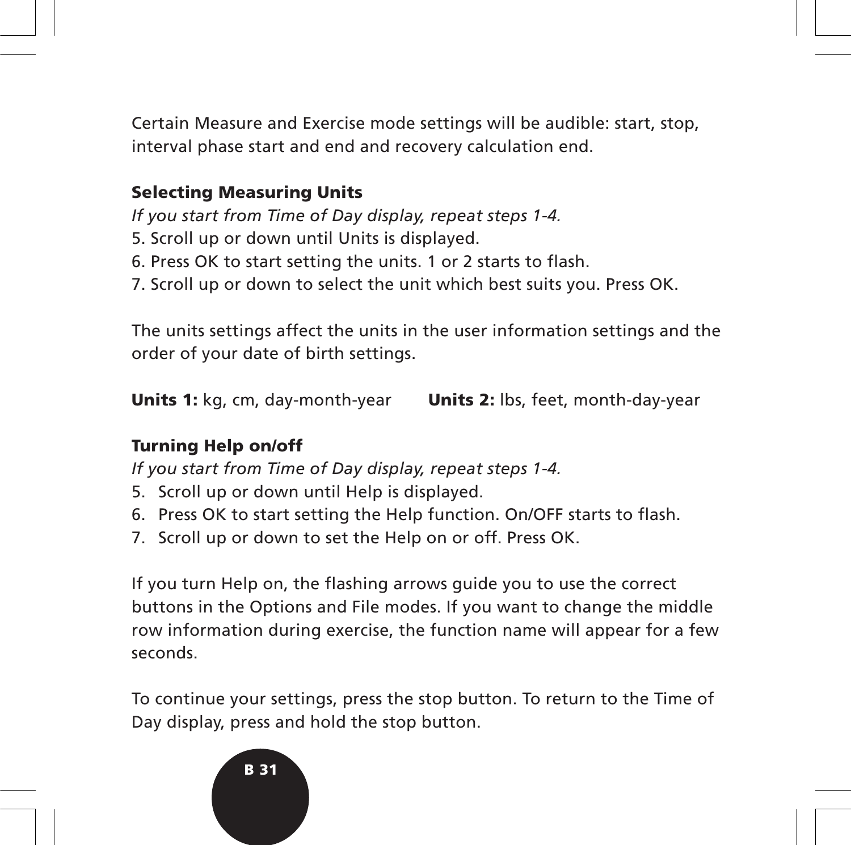Certain Measure and Exercise mode settings will be audible: start, stop, interval phase start and end and recovery calculation end.

#### **Selecting Measuring Units**

*If you start from Time of Day display, repeat steps 1-4.*

- 5. Scroll up or down until Units is displayed.
- 6. Press OK to start setting the units. 1 or 2 starts to flash.
- 7. Scroll up or down to select the unit which best suits you. Press OK.

The units settings affect the units in the user information settings and the order of your date of birth settings.

**Units 1:** kg, cm, day-month-year **Units 2:** lbs, feet, month-day-year

#### **Turning Help on/off**

*If you start from Time of Day display, repeat steps 1-4.*

- 5. Scroll up or down until Help is displayed.
- 6. Press OK to start setting the Help function. On/OFF starts to flash.
- 7. Scroll up or down to set the Help on or off. Press OK.

If you turn Help on, the flashing arrows guide you to use the correct buttons in the Options and File modes. If you want to change the middle row information during exercise, the function name will appear for a few seconds.

To continue your settings, press the stop button. To return to the Time of Day display, press and hold the stop button.

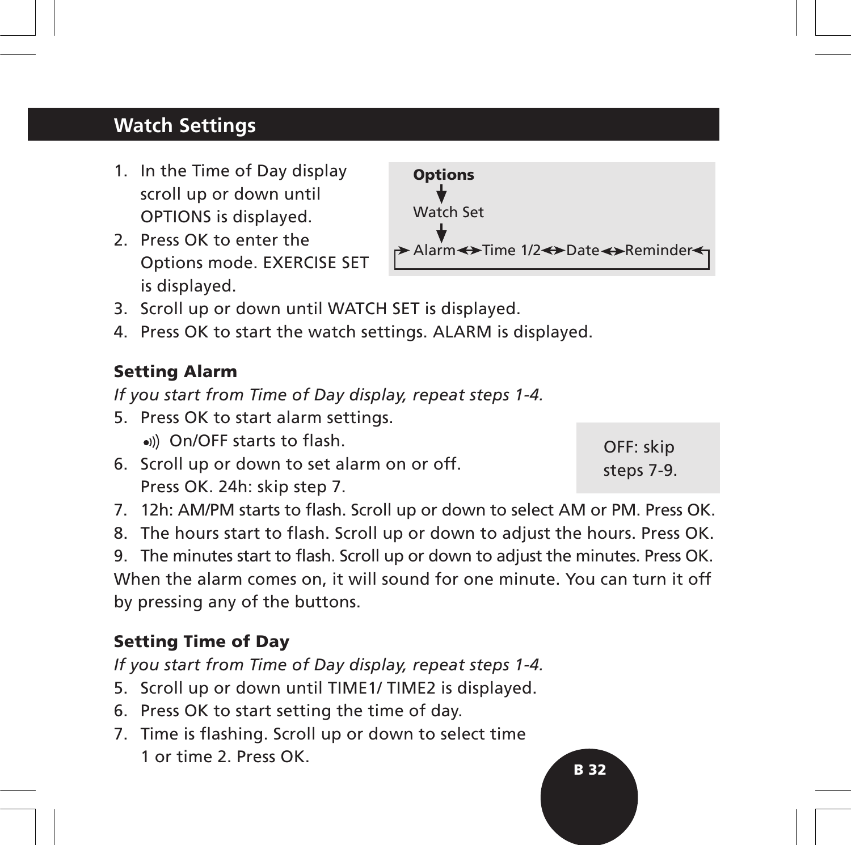## **Watch Settings**

- 1. In the Time of Day display scroll up or down until OPTIONS is displayed.
- 2. Press OK to enter the Options mode. EXERCISE SET is displayed.
- 3. Scroll up or down until WATCH SET is displayed.
- 4. Press OK to start the watch settings. ALARM is displayed.

#### **Setting Alarm**

*If you start from Time of Day display, repeat steps 1-4.*

- 5. Press OK to start alarm settings.
	- On/OFF starts to flash.
- 6. Scroll up or down to set alarm on or off. Press OK. 24h: skip step 7.
- 7. 12h: AM/PM starts to flash. Scroll up or down to select AM or PM. Press OK.
- 8. The hours start to flash. Scroll up or down to adjust the hours. Press OK.

9. The minutes start to flash. Scroll up or down to adjust the minutes. Press OK. When the alarm comes on, it will sound for one minute. You can turn it off by pressing any of the buttons.

#### **Setting Time of Day**

*If you start from Time of Day display, repeat steps 1-4.*

- 5. Scroll up or down until TIME1/ TIME2 is displayed.
- 6. Press OK to start setting the time of day.
- 7. Time is flashing. Scroll up or down to select time 1 or time 2. Press OK.



OFF: skip steps 7-9.

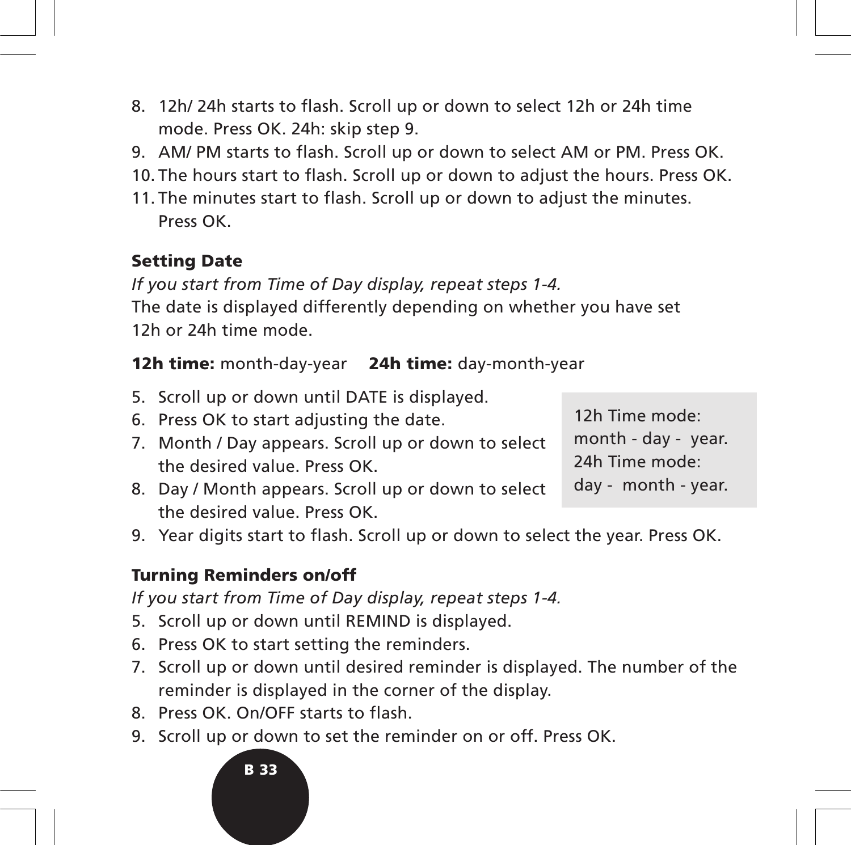- 8. 12h/ 24h starts to flash. Scroll up or down to select 12h or 24h time mode. Press OK. 24h: skip step 9.
- 9. AM/ PM starts to flash. Scroll up or down to select AM or PM. Press OK.
- 10. The hours start to flash. Scroll up or down to adjust the hours. Press OK.
- 11. The minutes start to flash. Scroll up or down to adjust the minutes. Press OK.

#### **Setting Date**

*If you start from Time of Day display, repeat steps 1-4.* The date is displayed differently depending on whether you have set 12h or 24h time mode.

#### **12h time:** month-day-year **24h time:** day-month-year

- 5. Scroll up or down until DATE is displayed.
- 6. Press OK to start adjusting the date.
- 7. Month / Day appears. Scroll up or down to select the desired value. Press OK.
- 8. Day / Month appears. Scroll up or down to select the desired value. Press OK.

12h Time mode: month - day - year. 24h Time mode: day - month - year.

9. Year digits start to flash. Scroll up or down to select the year. Press OK.

#### **Turning Reminders on/off**

*If you start from Time of Day display, repeat steps 1-4.*

- 5. Scroll up or down until REMIND is displayed.
- 6. Press OK to start setting the reminders.
- 7. Scroll up or down until desired reminder is displayed. The number of the reminder is displayed in the corner of the display.
- 8. Press OK. On/OFF starts to flash.
- 9. Scroll up or down to set the reminder on or off. Press OK.

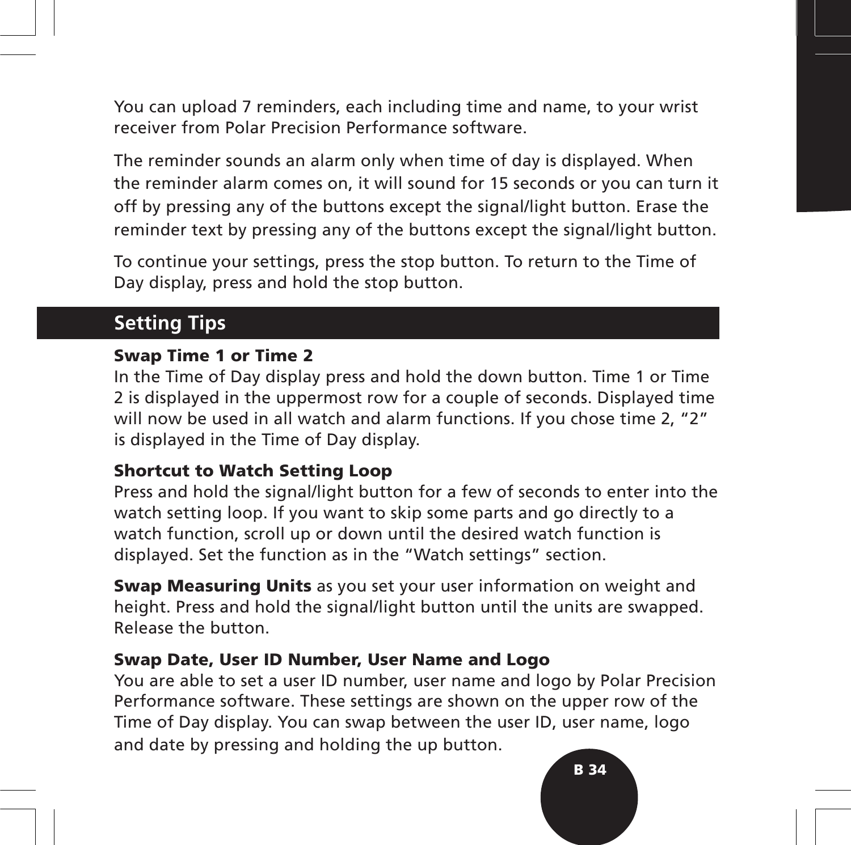You can upload 7 reminders, each including time and name, to your wrist receiver from Polar Precision Performance software.

The reminder sounds an alarm only when time of day is displayed. When the reminder alarm comes on, it will sound for 15 seconds or you can turn it off by pressing any of the buttons except the signal/light button. Erase the reminder text by pressing any of the buttons except the signal/light button.

To continue your settings, press the stop button. To return to the Time of Day display, press and hold the stop button.

## **Setting Tips**

#### **Swap Time 1 or Time 2**

In the Time of Day display press and hold the down button. Time 1 or Time 2 is displayed in the uppermost row for a couple of seconds. Displayed time will now be used in all watch and alarm functions. If you chose time 2, "2" is displayed in the Time of Day display.

#### **Shortcut to Watch Setting Loop**

Press and hold the signal/light button for a few of seconds to enter into the watch setting loop. If you want to skip some parts and go directly to a watch function, scroll up or down until the desired watch function is displayed. Set the function as in the "Watch settings" section.

**Swap Measuring Units** as you set your user information on weight and height. Press and hold the signal/light button until the units are swapped. Release the button.

#### **Swap Date, User ID Number, User Name and Logo**

You are able to set a user ID number, user name and logo by Polar Precision Performance software. These settings are shown on the upper row of the Time of Day display. You can swap between the user ID, user name, logo and date by pressing and holding the up button.

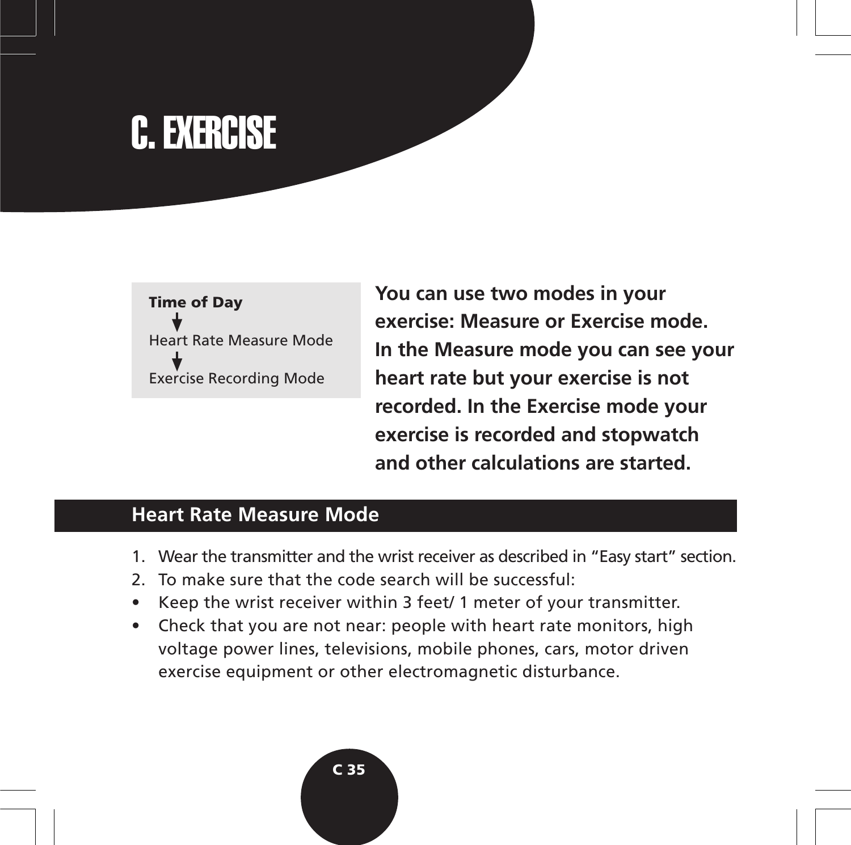# C. EXERCISE

# **Time of Day** Heart Rate Measure Mode Exercise Recording Mode

**You can use two modes in your exercise: Measure or Exercise mode. In the Measure mode you can see your heart rate but your exercise is not recorded. In the Exercise mode your exercise is recorded and stopwatch and other calculations are started.**

# **Heart Rate Measure Mode**

- 1. Wear the transmitter and the wrist receiver as described in "Easy start" section.
- 2. To make sure that the code search will be successful:
- Keep the wrist receiver within 3 feet/ 1 meter of your transmitter.
- Check that you are not near: people with heart rate monitors, high voltage power lines, televisions, mobile phones, cars, motor driven exercise equipment or other electromagnetic disturbance.

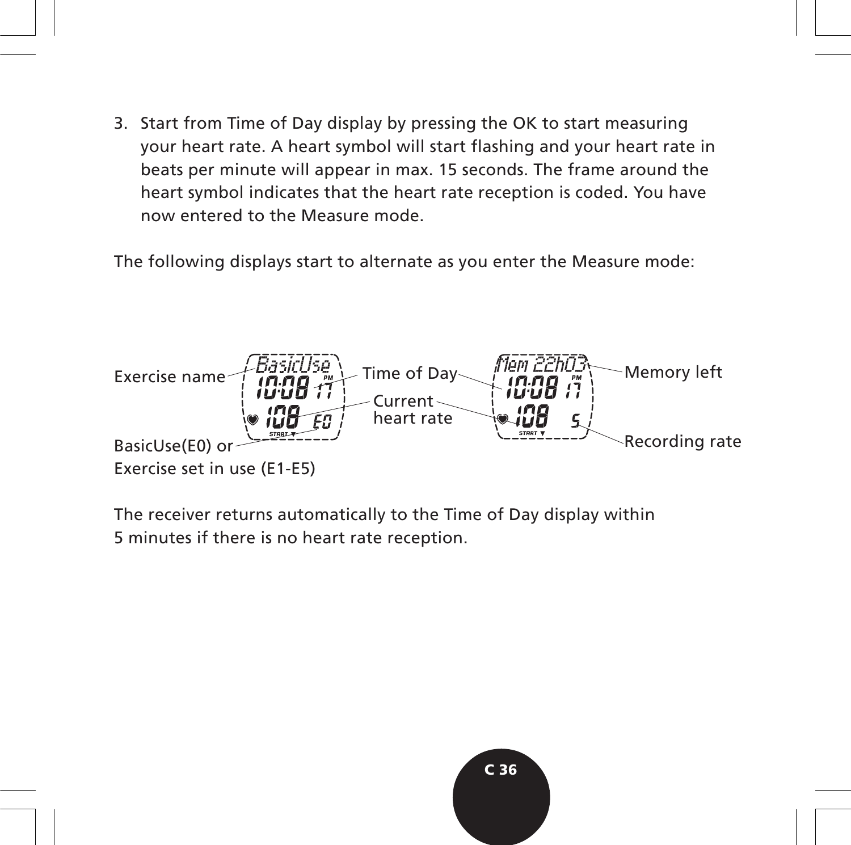3. Start from Time of Day display by pressing the OK to start measuring your heart rate. A heart symbol will start flashing and your heart rate in beats per minute will appear in max. 15 seconds. The frame around the heart symbol indicates that the heart rate reception is coded. You have now entered to the Measure mode.

The following displays start to alternate as you enter the Measure mode:



The receiver returns automatically to the Time of Day display within 5 minutes if there is no heart rate reception.

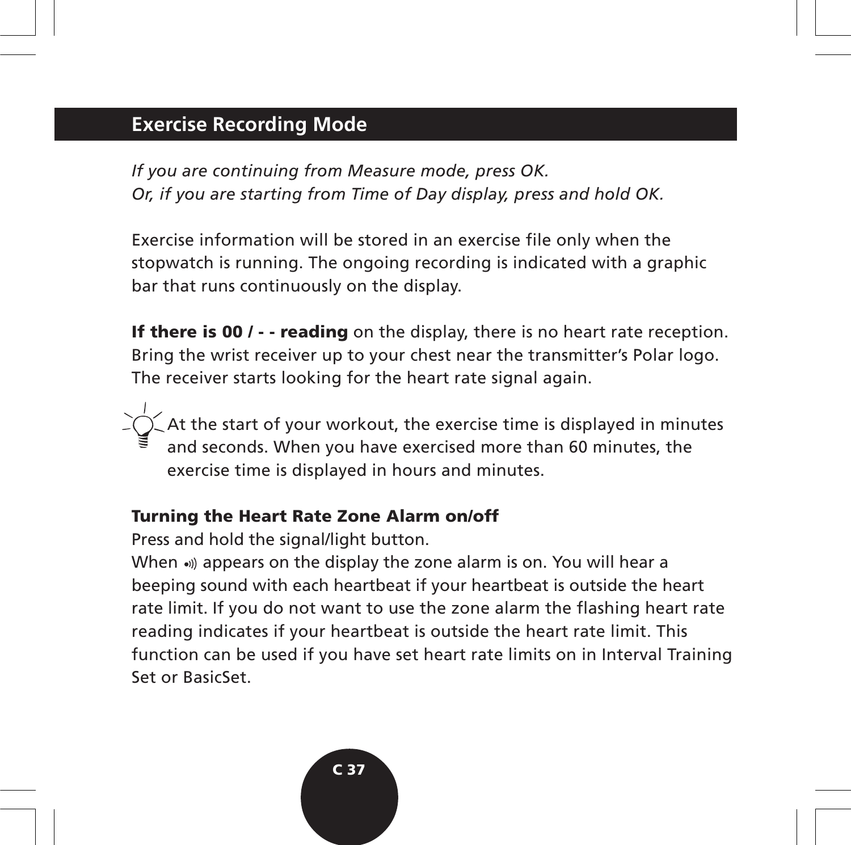# **Exercise Recording Mode**

*If you are continuing from Measure mode, press OK. Or, if you are starting from Time of Day display, press and hold OK.*

Exercise information will be stored in an exercise file only when the stopwatch is running. The ongoing recording is indicated with a graphic bar that runs continuously on the display.

**If there is 00 / - - reading** on the display, there is no heart rate reception. Bring the wrist receiver up to your chest near the transmitter's Polar logo. The receiver starts looking for the heart rate signal again.

At the start of your workout, the exercise time is displayed in minutes and seconds. When you have exercised more than 60 minutes, the exercise time is displayed in hours and minutes.

#### **Turning the Heart Rate Zone Alarm on/off**

Press and hold the signal/light button.

When .) appears on the display the zone alarm is on. You will hear a beeping sound with each heartbeat if your heartbeat is outside the heart rate limit. If you do not want to use the zone alarm the flashing heart rate reading indicates if your heartbeat is outside the heart rate limit. This function can be used if you have set heart rate limits on in Interval Training Set or BasicSet.

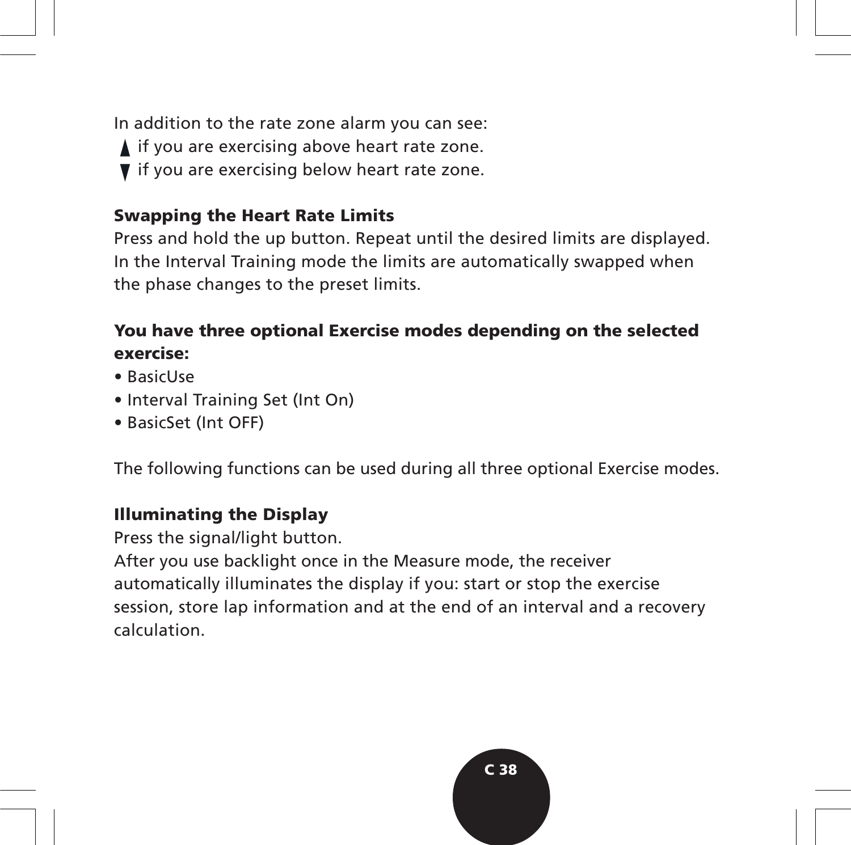In addition to the rate zone alarm you can see:  $\blacktriangle$  if you are exercising above heart rate zone. ▼ if you are exercising below heart rate zone.

#### **Swapping the Heart Rate Limits**

Press and hold the up button. Repeat until the desired limits are displayed. In the Interval Training mode the limits are automatically swapped when the phase changes to the preset limits.

### **You have three optional Exercise modes depending on the selected exercise:**

- BasicUse
- Interval Training Set (Int On)
- BasicSet (Int OFF)

The following functions can be used during all three optional Exercise modes.

#### **Illuminating the Display**

Press the signal/light button.

After you use backlight once in the Measure mode, the receiver automatically illuminates the display if you: start or stop the exercise session, store lap information and at the end of an interval and a recovery calculation.

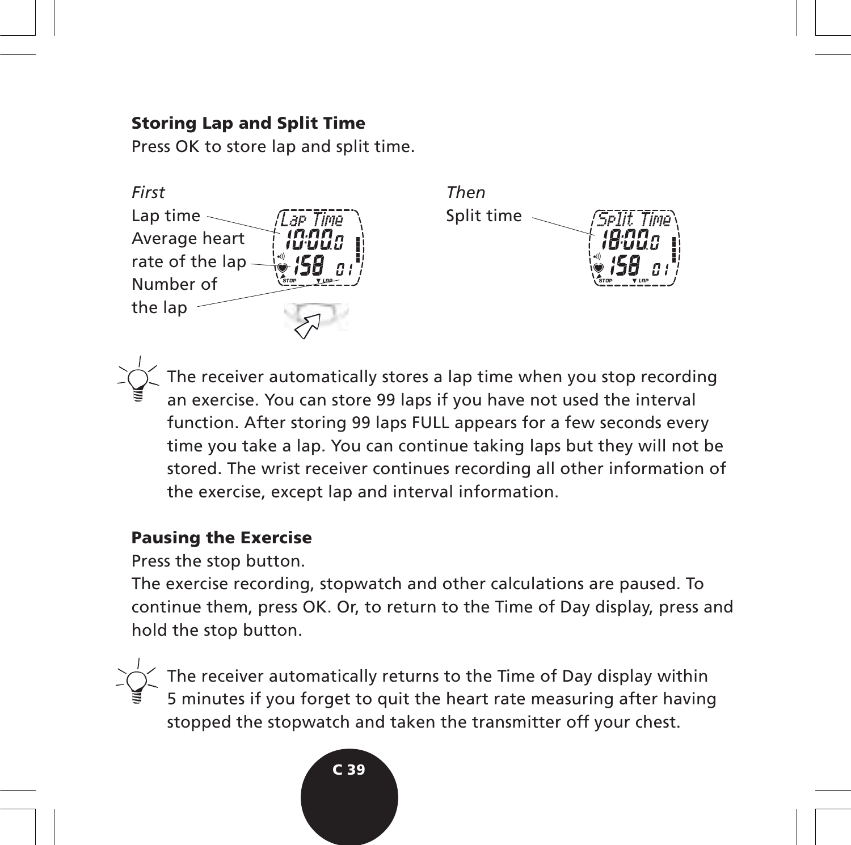#### **Storing Lap and Split Time**

Press OK to store lap and split time.



The receiver automatically stores a lap time when you stop recording an exercise. You can store 99 laps if you have not used the interval function. After storing 99 laps FULL appears for a few seconds every time you take a lap. You can continue taking laps but they will not be stored. The wrist receiver continues recording all other information of the exercise, except lap and interval information.

#### **Pausing the Exercise**

Press the stop button.

The exercise recording, stopwatch and other calculations are paused. To continue them, press OK. Or, to return to the Time of Day display, press and hold the stop button.

The receiver automatically returns to the Time of Day display within 5 minutes if you forget to quit the heart rate measuring after having stopped the stopwatch and taken the transmitter off your chest.

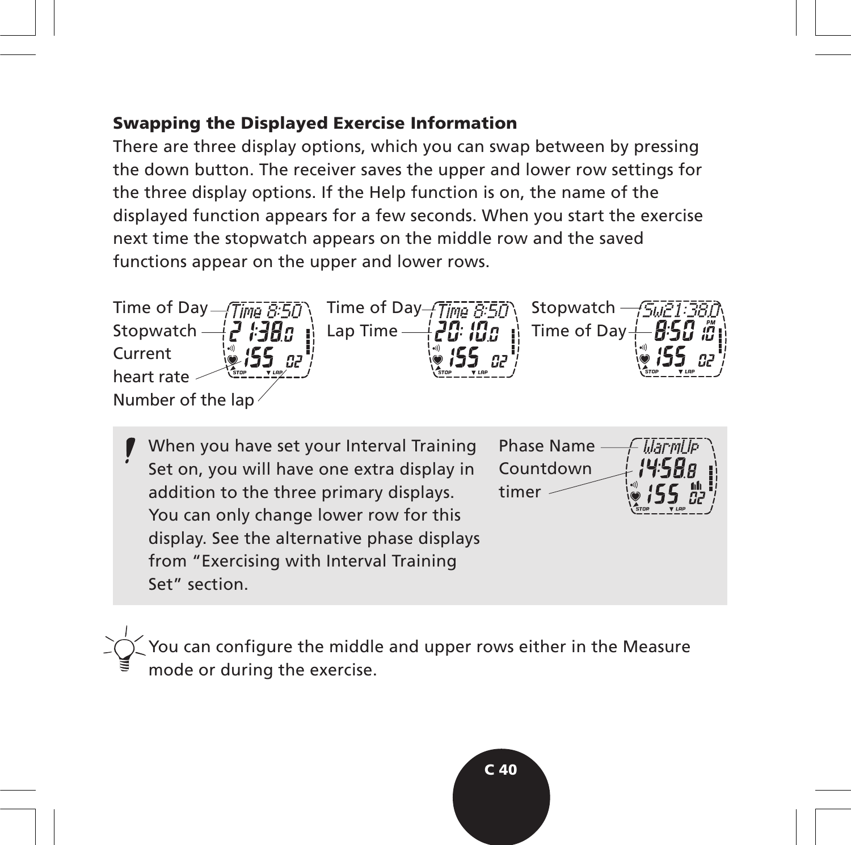#### **Swapping the Displayed Exercise Information**

There are three display options, which you can swap between by pressing the down button. The receiver saves the upper and lower row settings for the three display options. If the Help function is on, the name of the displayed function appears for a few seconds. When you start the exercise next time the stopwatch appears on the middle row and the saved functions appear on the upper and lower rows.



When you have set your Interval Training Set on, you will have one extra display in addition to the three primary displays. You can only change lower row for this display. See the alternative phase displays from "Exercising with Interval Training Set" section.



You can configure the middle and upper rows either in the Measure mode or during the exercise.

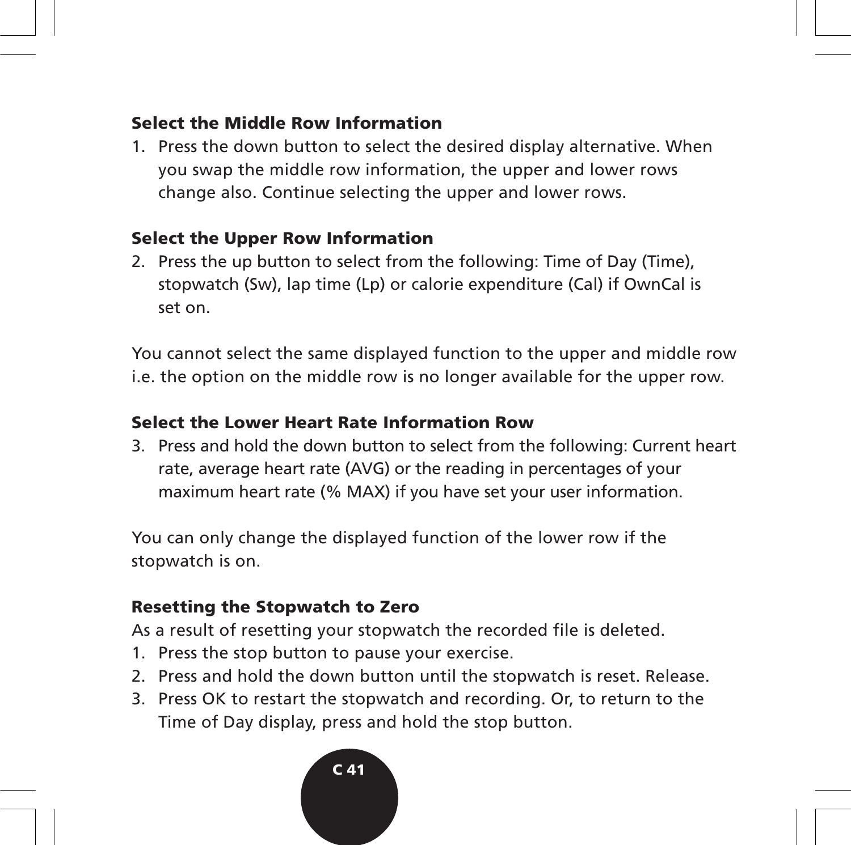#### **Select the Middle Row Information**

1. Press the down button to select the desired display alternative. When you swap the middle row information, the upper and lower rows change also. Continue selecting the upper and lower rows.

# **Select the Upper Row Information**

2. Press the up button to select from the following: Time of Day (Time), stopwatch (Sw), lap time (Lp) or calorie expenditure (Cal) if OwnCal is set on.

You cannot select the same displayed function to the upper and middle row i.e. the option on the middle row is no longer available for the upper row.

# **Select the Lower Heart Rate Information Row**

3. Press and hold the down button to select from the following: Current heart rate, average heart rate (AVG) or the reading in percentages of your maximum heart rate (% MAX) if you have set your user information.

You can only change the displayed function of the lower row if the stopwatch is on.

# **Resetting the Stopwatch to Zero**

As a result of resetting your stopwatch the recorded file is deleted.

- 1. Press the stop button to pause your exercise.
- 2. Press and hold the down button until the stopwatch is reset. Release.
- 3. Press OK to restart the stopwatch and recording. Or, to return to the Time of Day display, press and hold the stop button.

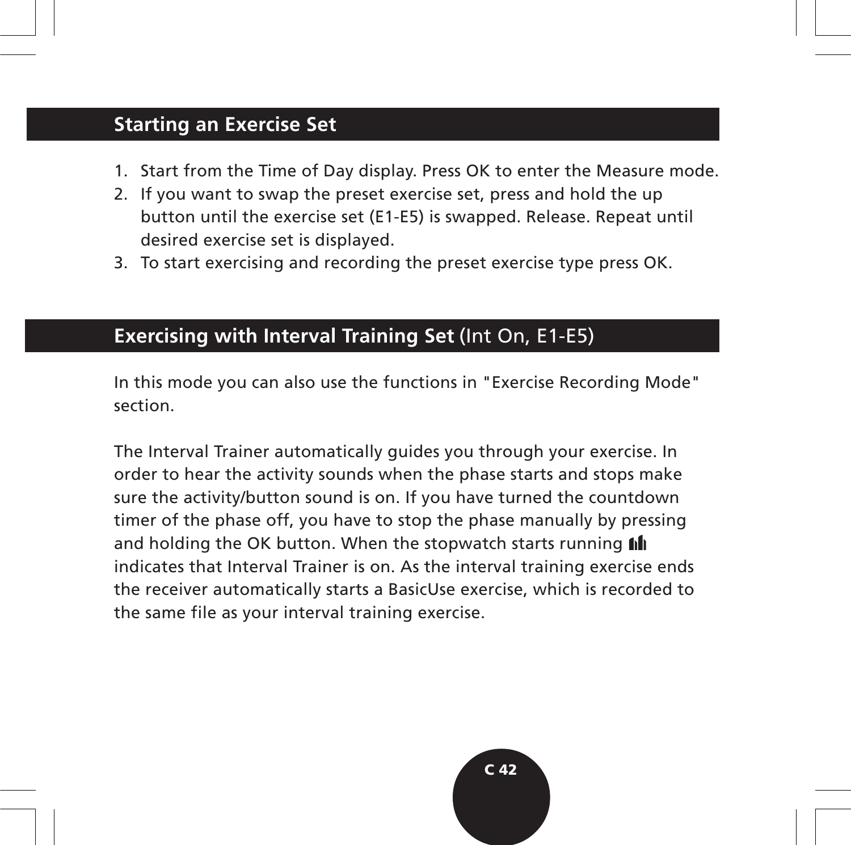# **Starting an Exercise Set**

- 1. Start from the Time of Day display. Press OK to enter the Measure mode.
- 2. If you want to swap the preset exercise set, press and hold the up button until the exercise set (E1-E5) is swapped. Release. Repeat until desired exercise set is displayed.
- 3. To start exercising and recording the preset exercise type press OK.

#### **Exercising with Interval Training Set** (Int On, E1-E5)

In this mode you can also use the functions in "Exercise Recording Mode" section.

The Interval Trainer automatically guides you through your exercise. In order to hear the activity sounds when the phase starts and stops make sure the activity/button sound is on. If you have turned the countdown timer of the phase off, you have to stop the phase manually by pressing and holding the OK button. When the stopwatch starts running *fill* indicates that Interval Trainer is on. As the interval training exercise ends the receiver automatically starts a BasicUse exercise, which is recorded to the same file as your interval training exercise.

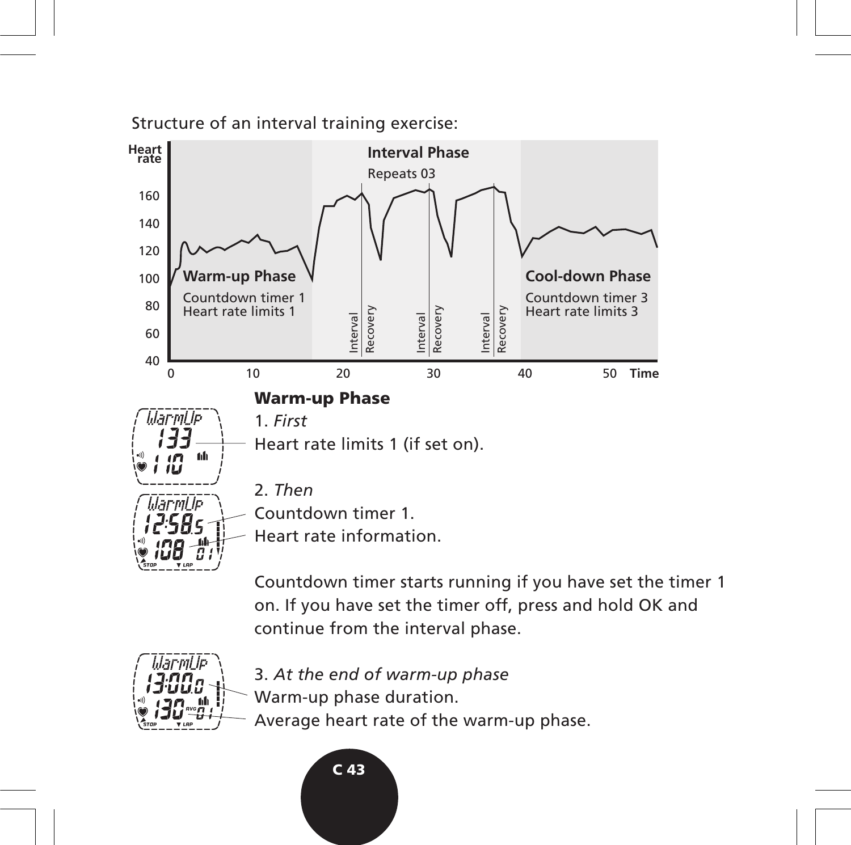Structure of an interval training exercise:



Countdown timer starts running if you have set the timer 1 on. If you have set the timer off, press and hold OK and continue from the interval phase.



3. *At the end of warm-up phase*

- Warm-up phase duration.
	- Average heart rate of the warm-up phase.

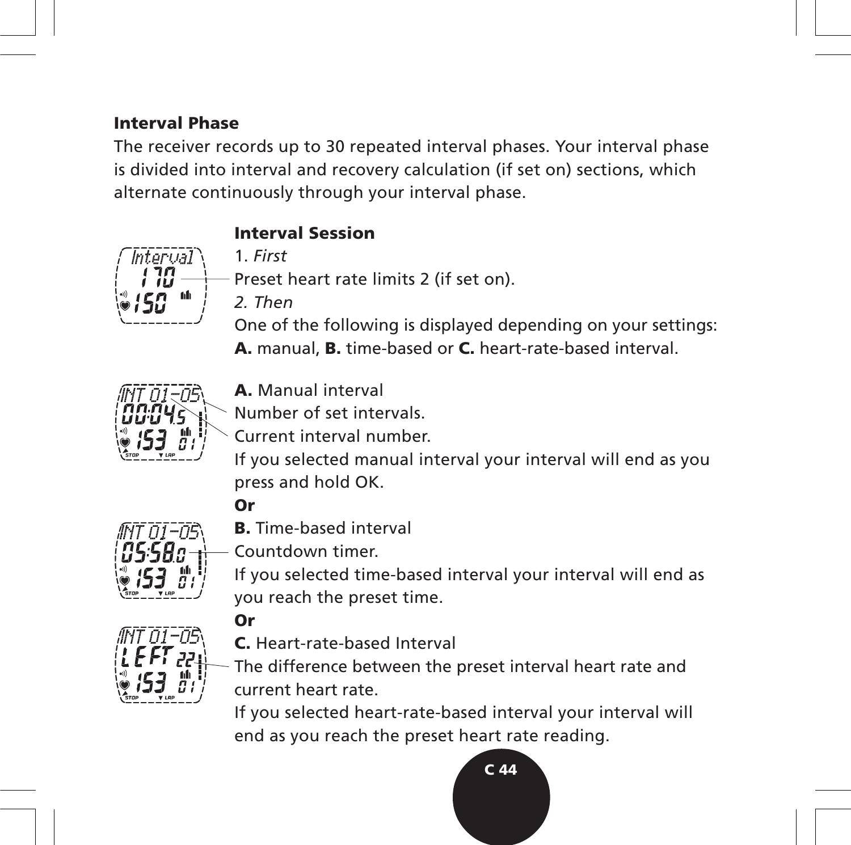### **Interval Phase**

The receiver records up to 30 repeated interval phases. Your interval phase is divided into interval and recovery calculation (if set on) sections, which alternate continuously through your interval phase.



# **Interval Session**

1. *First*

Preset heart rate limits 2 (if set on).

*2. Then*

One of the following is displayed depending on your settings: **A.** manual, **B.** time-based or **C.** heart-rate-based interval.



**A.** Manual interval

Number of set intervals.

Current interval number.

If you selected manual interval your interval will end as you press and hold OK.

# **Or**

**Or**



**B.** Time-based interval

Countdown timer.

If you selected time-based interval your interval will end as you reach the preset time.



**C.** Heart-rate-based Interval

The difference between the preset interval heart rate and current heart rate.

If you selected heart-rate-based interval your interval will end as you reach the preset heart rate reading.

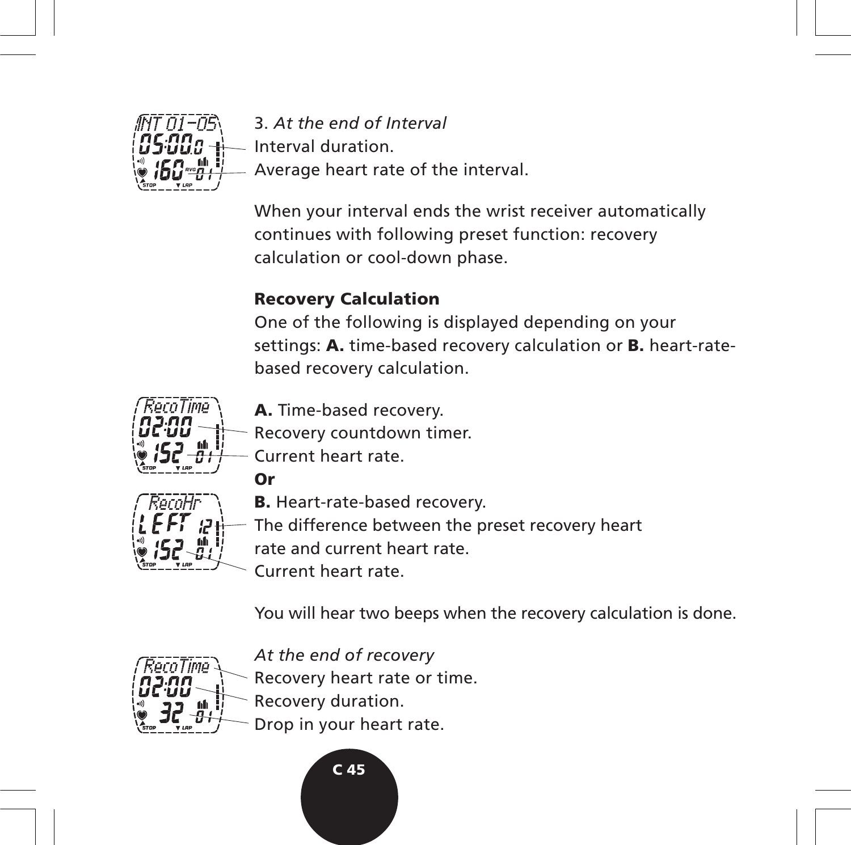

3. *At the end of Interval* Interval duration. Average heart rate of the interval.

When your interval ends the wrist receiver automatically continues with following preset function: recovery calculation or cool-down phase.

# **Recovery Calculation**

One of the following is displayed depending on your settings: **A.** time-based recovery calculation or **B.** heart-ratebased recovery calculation.



**A.** Time-based recovery.

Recovery countdown timer.





**B.** Heart-rate-based recovery.

The difference between the preset recovery heart

rate and current heart rate.

Current heart rate.

You will hear two beeps when the recovery calculation is done.



*At the end of recovery*

Recovery heart rate or time.

- Recovery duration.
- Drop in your heart rate.

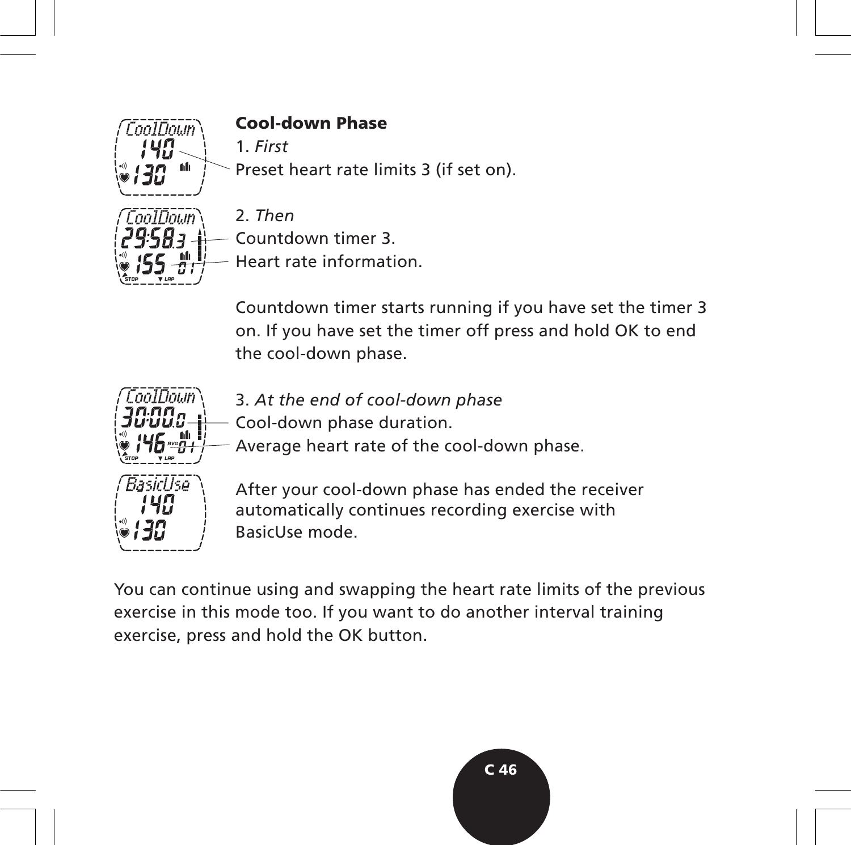

Countdown timer 3.

Heart rate information.

Countdown timer starts running if you have set the timer 3 on. If you have set the timer off press and hold OK to end the cool-down phase.



Average heart rate of the cool-down phase.

3. *At the end of cool-down phase* Cool-down phase duration.

After your cool-down phase has ended the receiver automatically continues recording exercise with BasicUse mode.

You can continue using and swapping the heart rate limits of the previous exercise in this mode too. If you want to do another interval training exercise, press and hold the OK button.

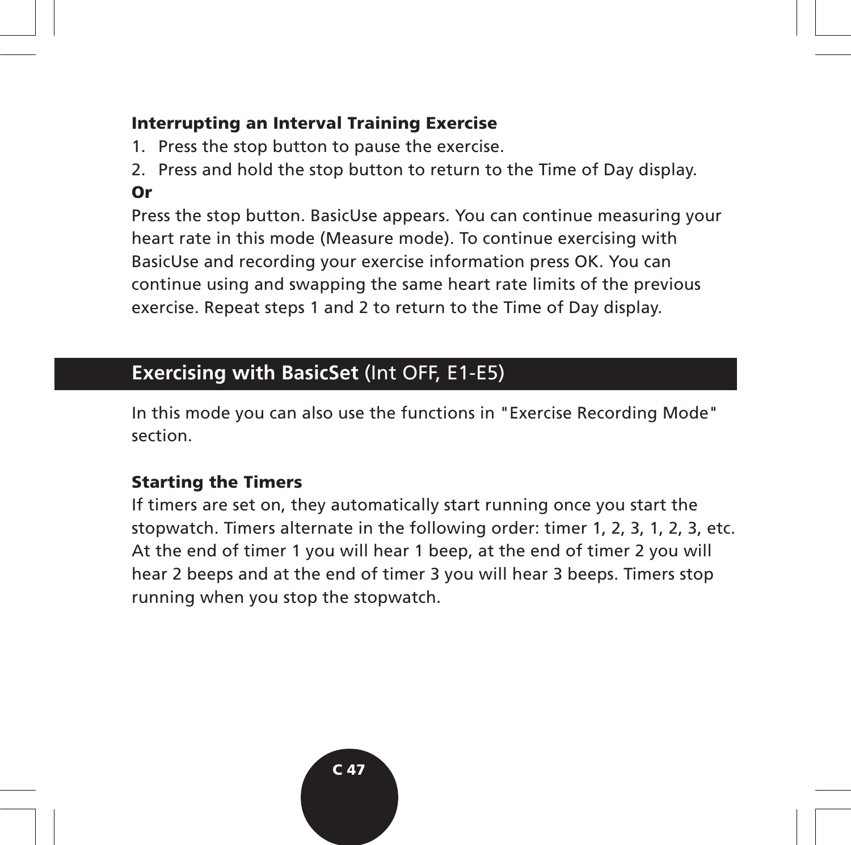#### **Interrupting an Interval Training Exercise**

- 1. Press the stop button to pause the exercise.
- 2. Press and hold the stop button to return to the Time of Day display. **Or**

Press the stop button. BasicUse appears. You can continue measuring your heart rate in this mode (Measure mode). To continue exercising with BasicUse and recording your exercise information press OK. You can continue using and swapping the same heart rate limits of the previous exercise. Repeat steps 1 and 2 to return to the Time of Day display.

# **Exercising with BasicSet** (Int OFF, E1-E5)

In this mode you can also use the functions in "Exercise Recording Mode" section.

# **Starting the Timers**

If timers are set on, they automatically start running once you start the stopwatch. Timers alternate in the following order: timer 1, 2, 3, 1, 2, 3, etc. At the end of timer 1 you will hear 1 beep, at the end of timer 2 you will hear 2 beeps and at the end of timer 3 you will hear 3 beeps. Timers stop running when you stop the stopwatch.

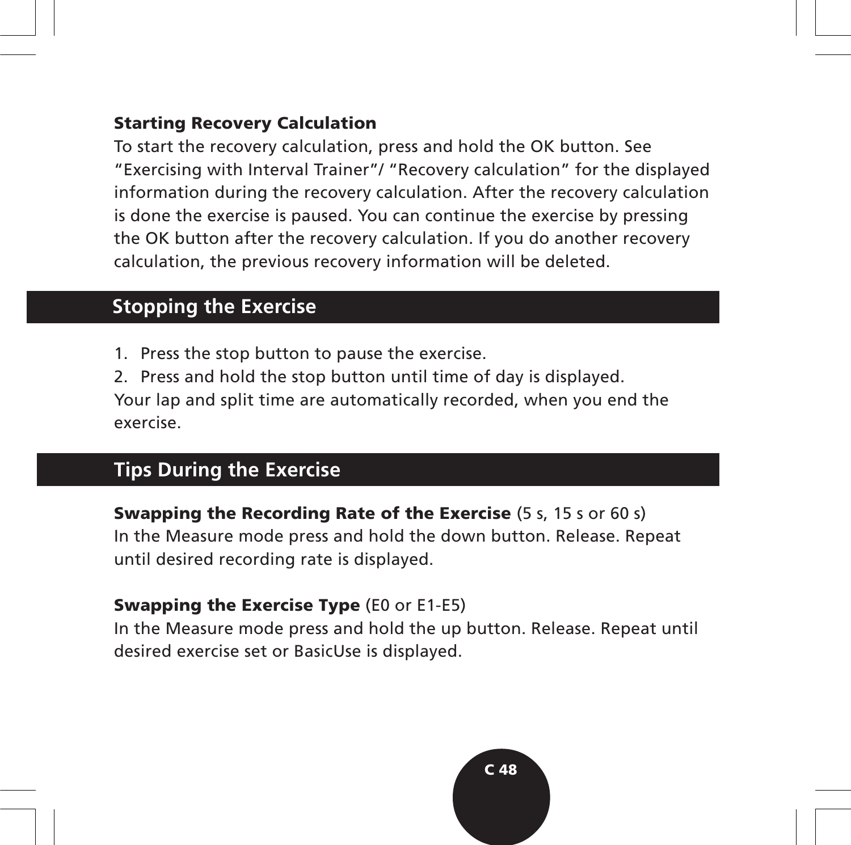#### **Starting Recovery Calculation**

To start the recovery calculation, press and hold the OK button. See "Exercising with Interval Trainer"/ "Recovery calculation" for the displayed information during the recovery calculation. After the recovery calculation is done the exercise is paused. You can continue the exercise by pressing the OK button after the recovery calculation. If you do another recovery calculation, the previous recovery information will be deleted.

# **Stopping the Exercise**

1. Press the stop button to pause the exercise.

2. Press and hold the stop button until time of day is displayed. Your lap and split time are automatically recorded, when you end the exercise.

# **Tips During the Exercise**

**Swapping the Recording Rate of the Exercise** (5 s, 15 s or 60 s) In the Measure mode press and hold the down button. Release. Repeat until desired recording rate is displayed.

#### **Swapping the Exercise Type** (E0 or E1-E5)

In the Measure mode press and hold the up button. Release. Repeat until desired exercise set or BasicUse is displayed.

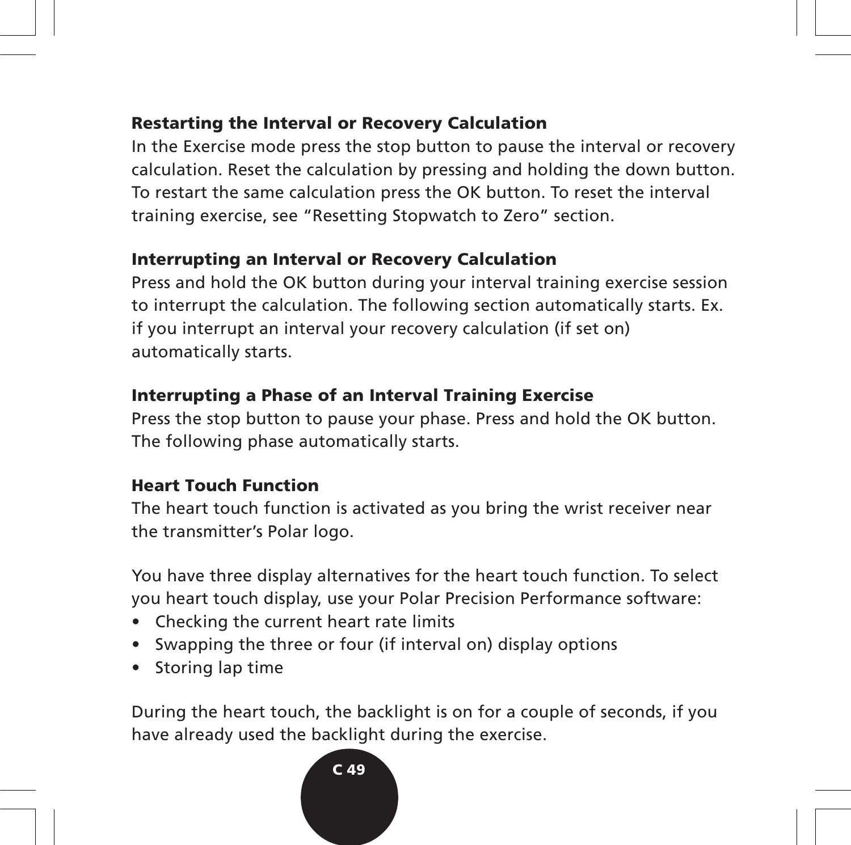#### **Restarting the Interval or Recovery Calculation**

In the Exercise mode press the stop button to pause the interval or recovery calculation. Reset the calculation by pressing and holding the down button. To restart the same calculation press the OK button. To reset the interval training exercise, see "Resetting Stopwatch to Zero" section.

# **Interrupting an Interval or Recovery Calculation**

Press and hold the OK button during your interval training exercise session to interrupt the calculation. The following section automatically starts. Ex. if you interrupt an interval your recovery calculation (if set on) automatically starts.

# **Interrupting a Phase of an Interval Training Exercise**

Press the stop button to pause your phase. Press and hold the OK button. The following phase automatically starts.

#### **Heart Touch Function**

The heart touch function is activated as you bring the wrist receiver near the transmitter's Polar logo.

You have three display alternatives for the heart touch function. To select you heart touch display, use your Polar Precision Performance software:

- Checking the current heart rate limits
- Swapping the three or four (if interval on) display options
- Storing lap time

During the heart touch, the backlight is on for a couple of seconds, if you have already used the backlight during the exercise.

#### **C 49**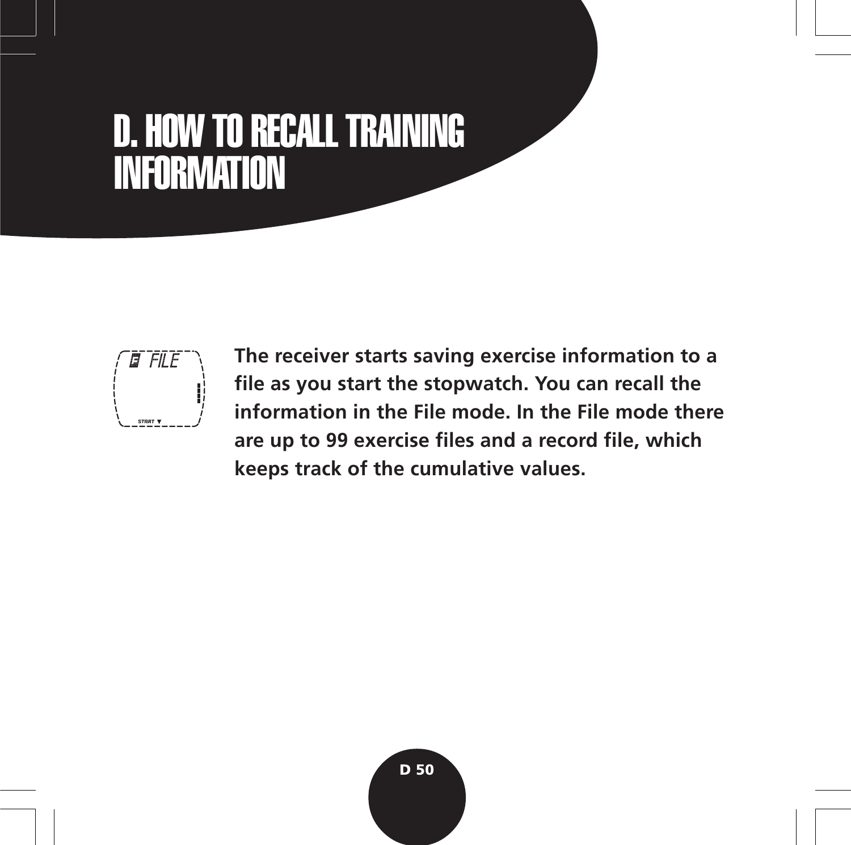# D. HOW TO RECALL TRAINING INFORMATION



**The receiver starts saving exercise information to a file as you start the stopwatch. You can recall the information in the File mode. In the File mode there are up to 99 exercise files and a record file, which keeps track of the cumulative values.**

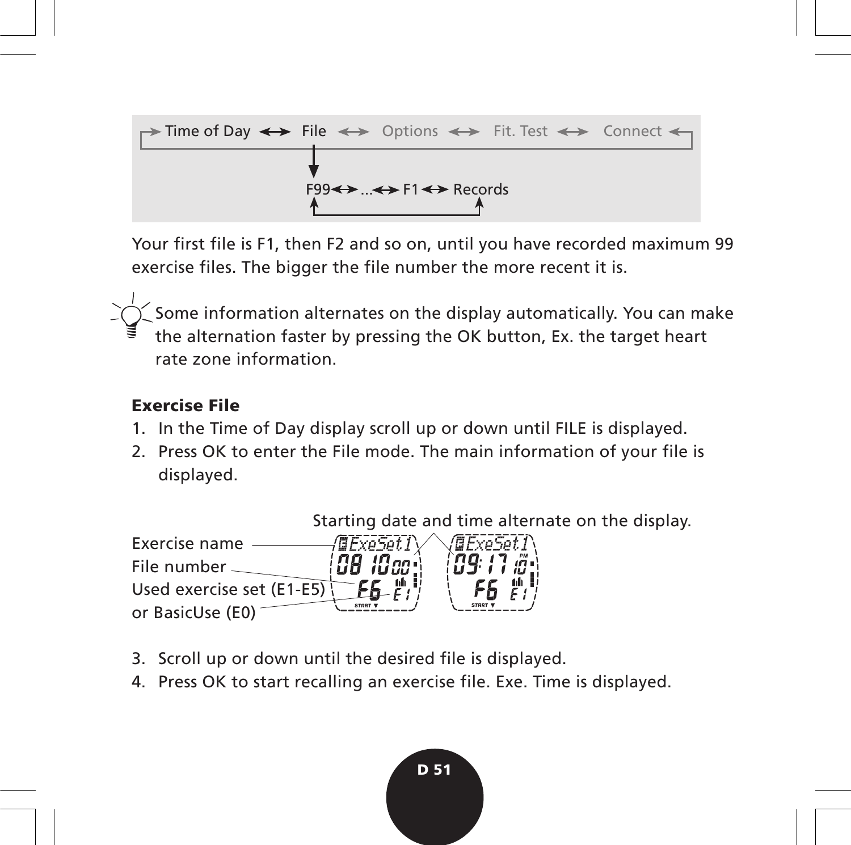

Your first file is F1, then F2 and so on, until you have recorded maximum 99 exercise files. The bigger the file number the more recent it is.

Some information alternates on the display automatically. You can make the alternation faster by pressing the OK button, Ex. the target heart rate zone information.

#### **Exercise File**

- 1. In the Time of Day display scroll up or down until FILE is displayed.
- 2. Press OK to enter the File mode. The main information of your file is displayed.

Starting date and time alternate on the display.



- 3. Scroll up or down until the desired file is displayed.
- 4. Press OK to start recalling an exercise file. Exe. Time is displayed.

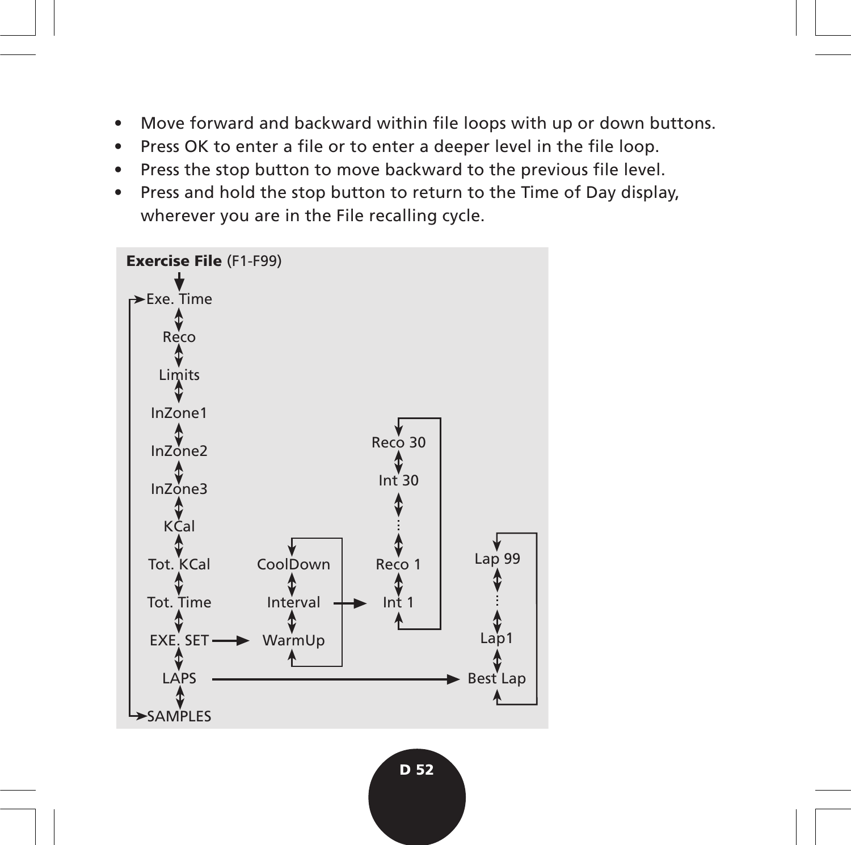- Move forward and backward within file loops with up or down buttons.
- Press OK to enter a file or to enter a deeper level in the file loop.
- Press the stop button to move backward to the previous file level.
- Press and hold the stop button to return to the Time of Day display, wherever you are in the File recalling cycle.

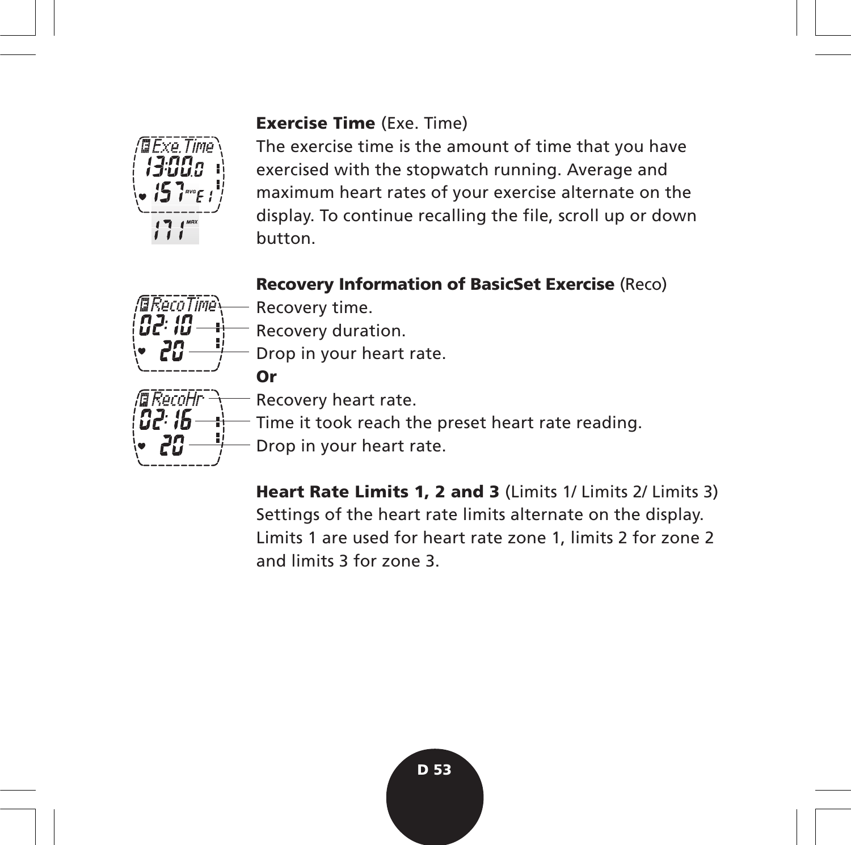#### **Exercise Time** (Exe. Time)



The exercise time is the amount of time that you have exercised with the stopwatch running. Average and maximum heart rates of your exercise alternate on the display. To continue recalling the file, scroll up or down button.

### **Recovery Information of BasicSet Exercise** (Reco)



- Recovery time.
- Recovery duration.
- Drop in your heart rate.
	- Recovery heart rate.
		- Time it took reach the preset heart rate reading.
- Drop in your heart rate.

**Heart Rate Limits 1, 2 and 3** (Limits 1/ Limits 2/ Limits 3) Settings of the heart rate limits alternate on the display. Limits 1 are used for heart rate zone 1, limits 2 for zone 2 and limits 3 for zone 3.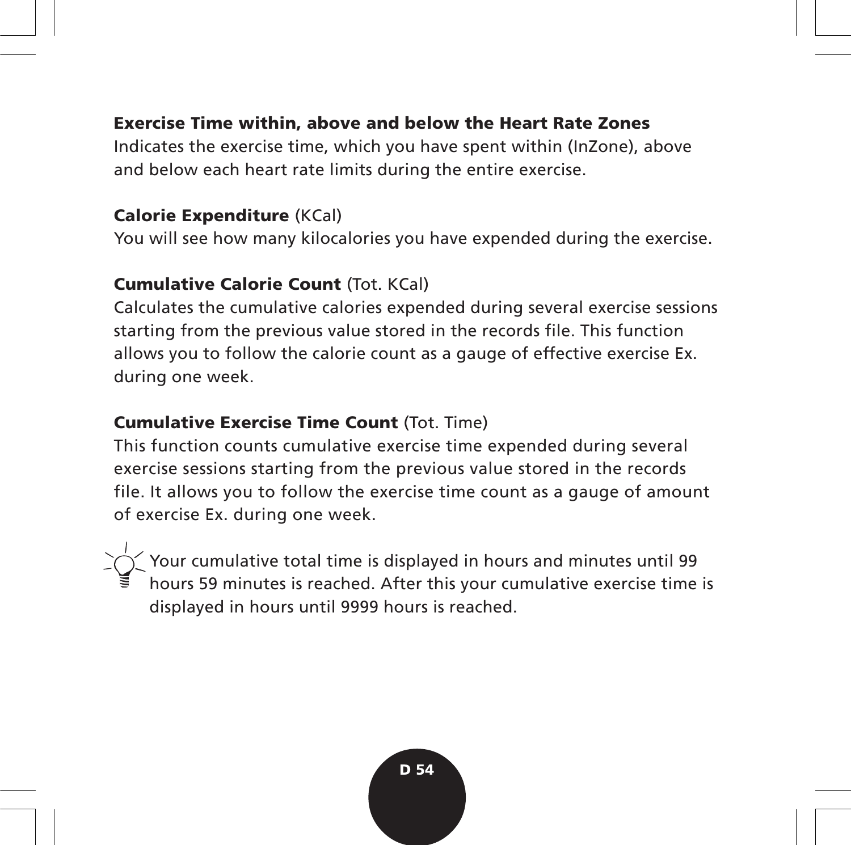#### **Exercise Time within, above and below the Heart Rate Zones**

Indicates the exercise time, which you have spent within (InZone), above and below each heart rate limits during the entire exercise.

#### **Calorie Expenditure** (KCal)

You will see how many kilocalories you have expended during the exercise.

#### **Cumulative Calorie Count** (Tot. KCal)

Calculates the cumulative calories expended during several exercise sessions starting from the previous value stored in the records file. This function allows you to follow the calorie count as a gauge of effective exercise Ex. during one week.

#### **Cumulative Exercise Time Count** (Tot. Time)

This function counts cumulative exercise time expended during several exercise sessions starting from the previous value stored in the records file. It allows you to follow the exercise time count as a gauge of amount of exercise Ex. during one week.

Your cumulative total time is displayed in hours and minutes until 99 hours 59 minutes is reached. After this your cumulative exercise time is displayed in hours until 9999 hours is reached.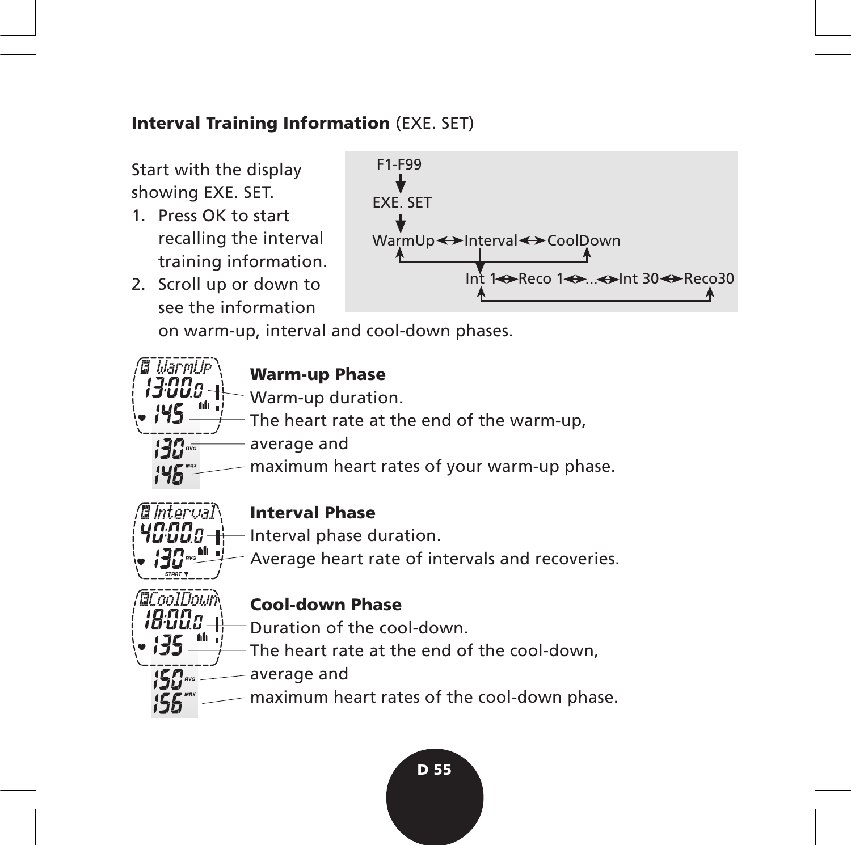#### **Interval Training Information** (EXE. SET)

Start with the display showing EXE. SET.

- 1. Press OK to start recalling the interval training information.
- 2. Scroll up or down to see the information



on warm-up, interval and cool-down phases.

# **Warm-up Phase**

- Warm-up duration.
- The heart rate at the end of the warm-up,
- average and ייΩהי
- maximum heart rates of your warm-up phase.



**Marmi** le

# **Interval Phase**

- Interval phase duration.
- Average heart rate of intervals and recoveries.



#### **Cool-down Phase**

- Duration of the cool-down.
- The heart rate at the end of the cool-down,
- average and
- maximum heart rates of the cool-down phase.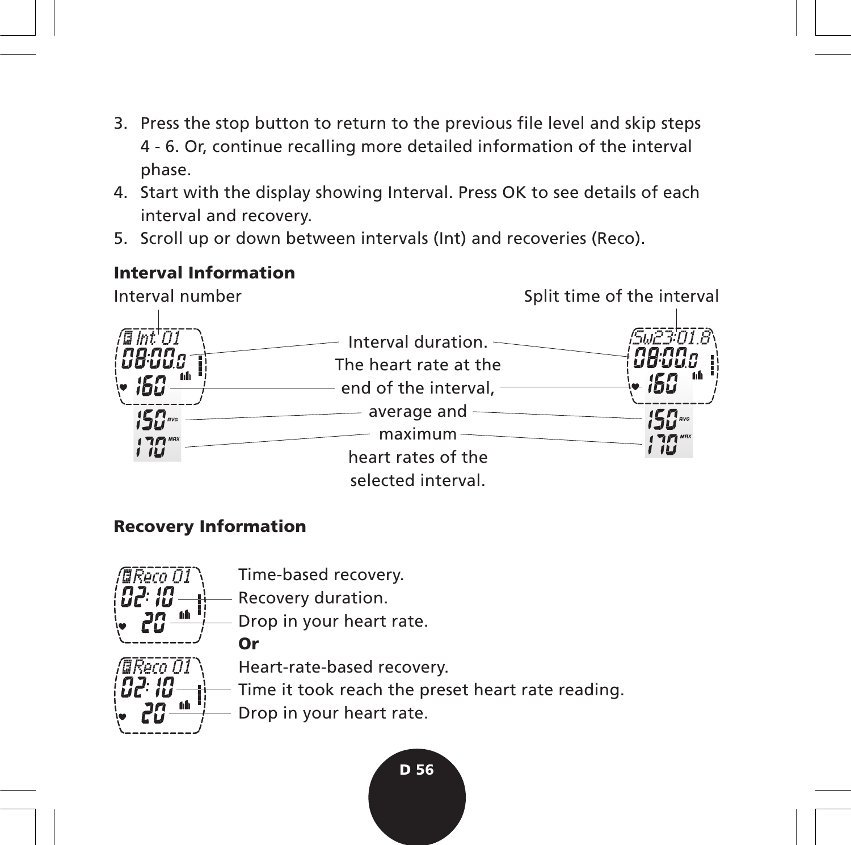- 3. Press the stop button to return to the previous file level and skip steps 4 - 6. Or, continue recalling more detailed information of the interval phase.
- 4. Start with the display showing Interval. Press OK to see details of each interval and recovery.
- 5. Scroll up or down between intervals (Int) and recoveries (Reco).

#### **Interval Information**



#### **Recovery Information**

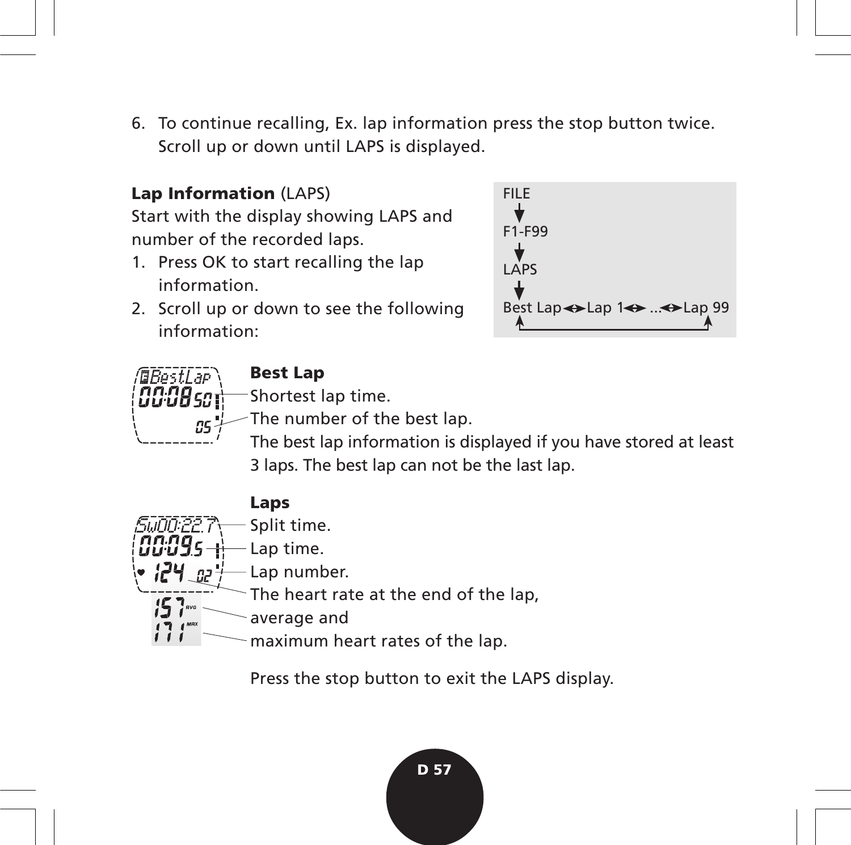6. To continue recalling, Ex. lap information press the stop button twice. Scroll up or down until LAPS is displayed.

# **Lap Information** (LAPS)

Start with the display showing LAPS and number of the recorded laps.

- 1. Press OK to start recalling the lap information.
- 2. Scroll up or down to see the following information:





# **Best Lap**

Shortest lap time.

- The number of the best lap.
	- The best lap information is displayed if you have stored at least 3 laps. The best lap can not be the last lap.



Press the stop button to exit the LAPS display.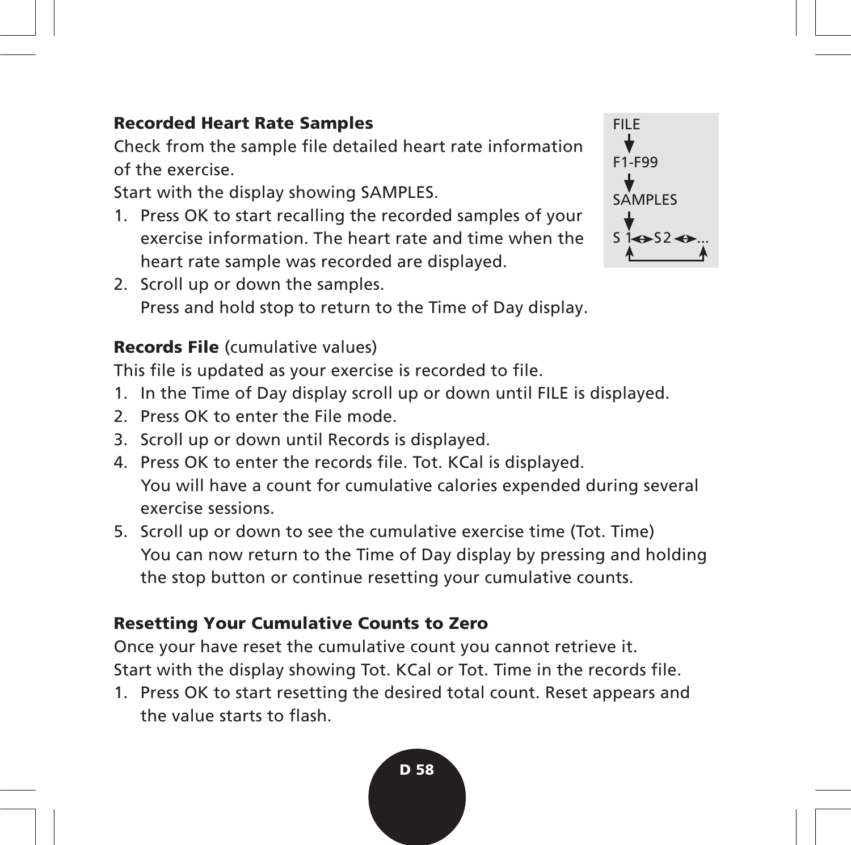#### **Recorded Heart Rate Samples**

Check from the sample file detailed heart rate information of the exercise.

Start with the display showing SAMPLES.

- 1. Press OK to start recalling the recorded samples of your exercise information. The heart rate and time when the heart rate sample was recorded are displayed.
- 2. Scroll up or down the samples. Press and hold stop to return to the Time of Day display.

# **Records File** (cumulative values)

This file is updated as your exercise is recorded to file.

- 1. In the Time of Day display scroll up or down until FILE is displayed.
- 2. Press OK to enter the File mode
- 3. Scroll up or down until Records is displayed.
- 4. Press OK to enter the records file. Tot. KCal is displayed. You will have a count for cumulative calories expended during several exercise sessions.
- 5. Scroll up or down to see the cumulative exercise time (Tot. Time) You can now return to the Time of Day display by pressing and holding the stop button or continue resetting your cumulative counts.

#### **Resetting Your Cumulative Counts to Zero**

Once your have reset the cumulative count you cannot retrieve it. Start with the display showing Tot. KCal or Tot. Time in the records file.

1. Press OK to start resetting the desired total count. Reset appears and the value starts to flash.

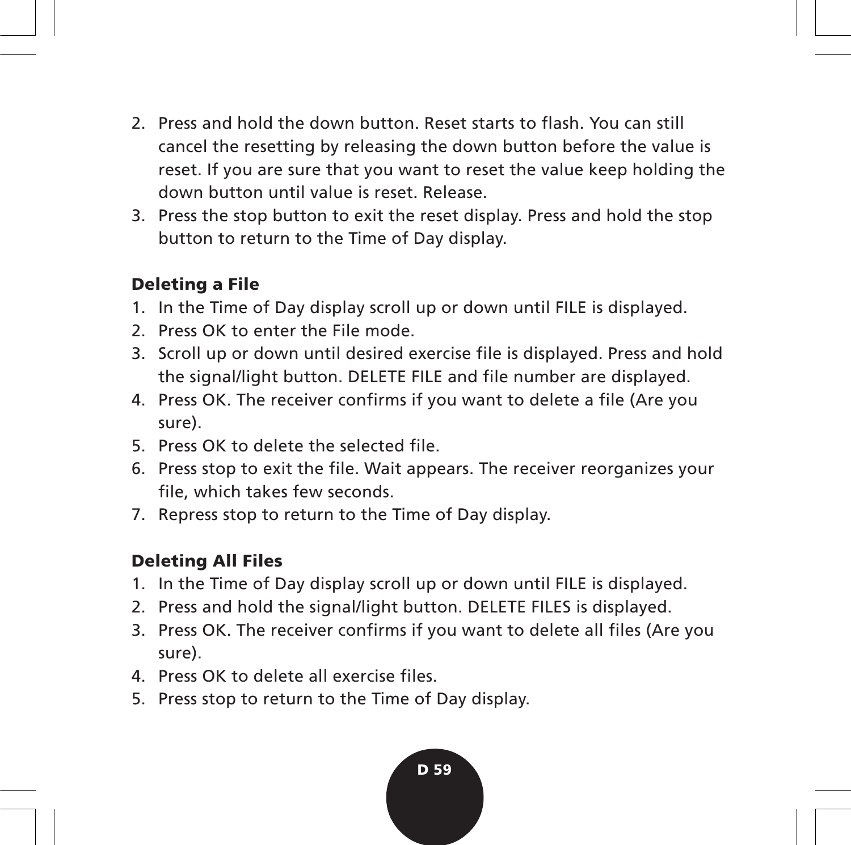- 2. Press and hold the down button. Reset starts to flash. You can still cancel the resetting by releasing the down button before the value is reset. If you are sure that you want to reset the value keep holding the down button until value is reset. Release.
- 3. Press the stop button to exit the reset display. Press and hold the stop button to return to the Time of Day display.

#### **Deleting a File**

- 1. In the Time of Day display scroll up or down until FILE is displayed.
- 2. Press OK to enter the File mode.
- 3. Scroll up or down until desired exercise file is displayed. Press and hold the signal/light button. DELETE FILE and file number are displayed.
- 4. Press OK. The receiver confirms if you want to delete a file (Are you sure).
- 5. Press OK to delete the selected file.
- 6. Press stop to exit the file. Wait appears. The receiver reorganizes your file, which takes few seconds.
- 7. Repress stop to return to the Time of Day display.

# **Deleting All Files**

- 1. In the Time of Day display scroll up or down until FILE is displayed.
- 2. Press and hold the signal/light button. DELETE FILES is displayed.
- 3. Press OK. The receiver confirms if you want to delete all files (Are you sure).
- 4. Press OK to delete all exercise files.
- 5. Press stop to return to the Time of Day display.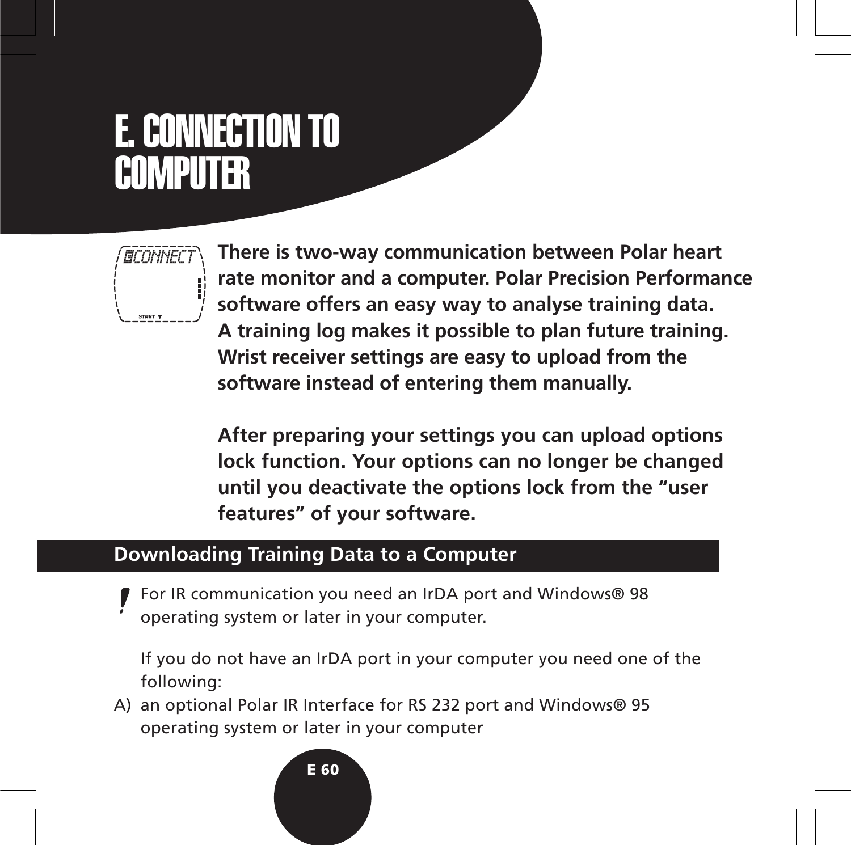# E. CONNECTION TO **COMPUTER**



**There is two-way communication between Polar heart rate monitor and a computer. Polar Precision Performance software offers an easy way to analyse training data. A training log makes it possible to plan future training. Wrist receiver settings are easy to upload from the software instead of entering them manually.**

**After preparing your settings you can upload options lock function. Your options can no longer be changed until you deactivate the options lock from the "user features" of your software.**

# **Downloading Training Data to a Computer**

For IR communication you need an IrDA port and Windows® 98 operating system or later in your computer.

If you do not have an IrDA port in your computer you need one of the following:

A) an optional Polar IR Interface for RS 232 port and Windows® 95 operating system or later in your computer

#### **E 60**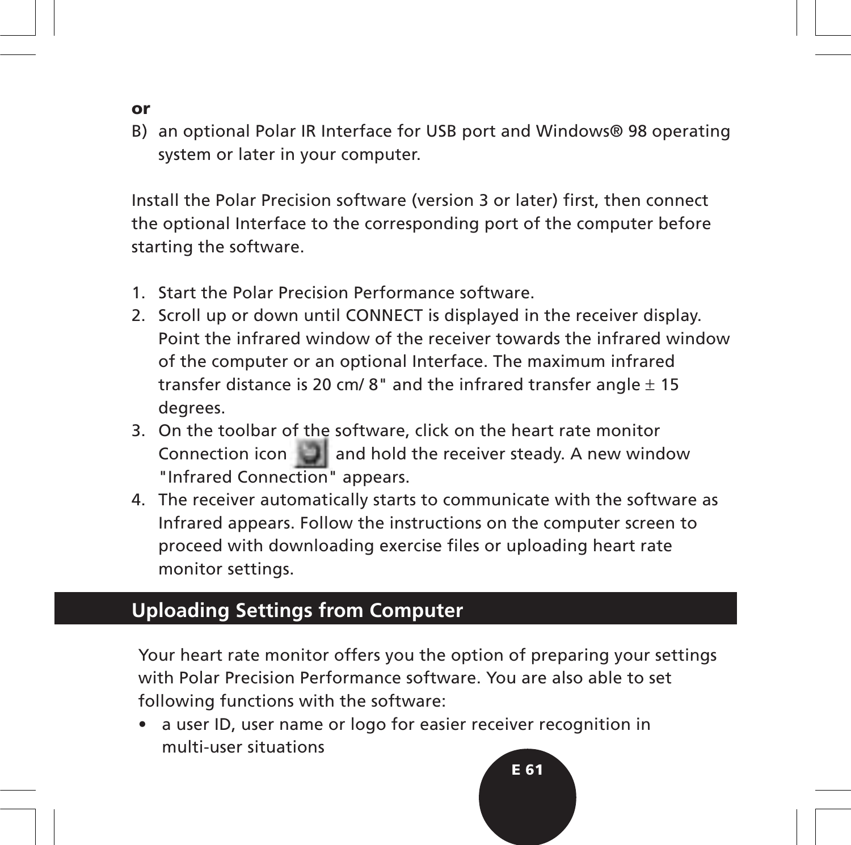- **or**
- B) an optional Polar IR Interface for USB port and Windows® 98 operating system or later in your computer.

Install the Polar Precision software (version 3 or later) first, then connect the optional Interface to the corresponding port of the computer before starting the software.

- 1. Start the Polar Precision Performance software.
- 2. Scroll up or down until CONNECT is displayed in the receiver display. Point the infrared window of the receiver towards the infrared window of the computer or an optional Interface. The maximum infrared transfer distance is 20 cm/8" and the infrared transfer angle  $\pm$  15 degrees.
- 3. On the toolbar of the software, click on the heart rate monitor Connection icon **and hold the receiver steady.** A new window "Infrared Connection" appears.
- 4. The receiver automatically starts to communicate with the software as Infrared appears. Follow the instructions on the computer screen to proceed with downloading exercise files or uploading heart rate monitor settings.

# **Uploading Settings from Computer**

Your heart rate monitor offers you the option of preparing your settings with Polar Precision Performance software. You are also able to set following functions with the software:

• a user ID, user name or logo for easier receiver recognition in multi-user situations

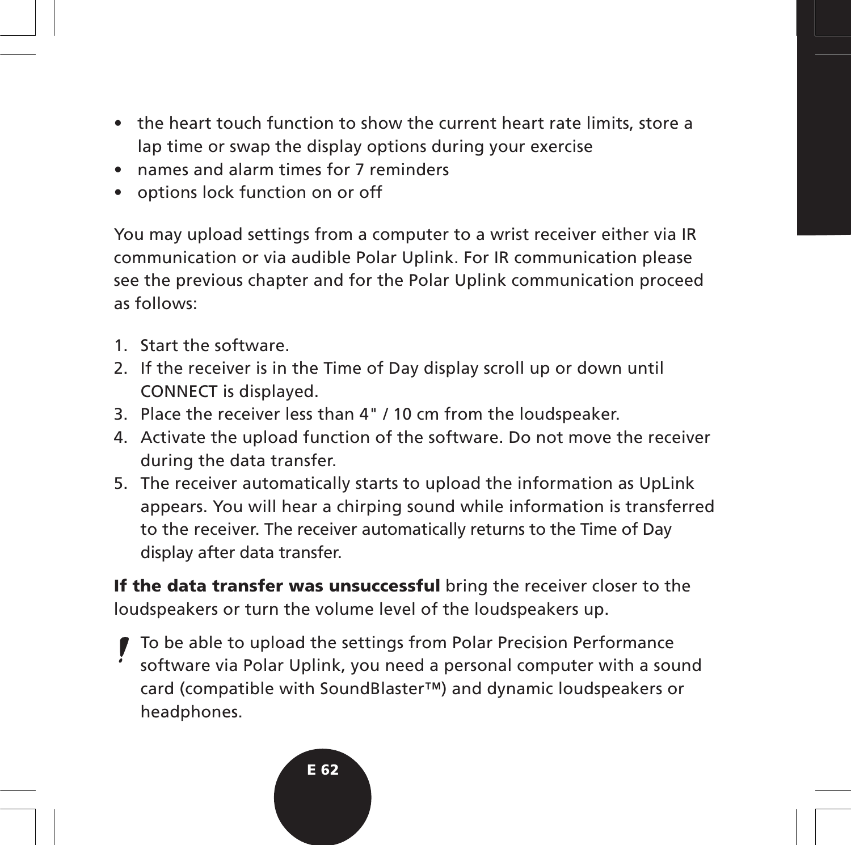- the heart touch function to show the current heart rate limits, store a lap time or swap the display options during your exercise
- names and alarm times for 7 reminders
- options lock function on or off

You may upload settings from a computer to a wrist receiver either via IR communication or via audible Polar Uplink. For IR communication please see the previous chapter and for the Polar Uplink communication proceed as follows:

- 1. Start the software.
- 2. If the receiver is in the Time of Day display scroll up or down until CONNECT is displayed.
- 3. Place the receiver less than 4" / 10 cm from the loudspeaker.
- 4. Activate the upload function of the software. Do not move the receiver during the data transfer.
- 5. The receiver automatically starts to upload the information as UpLink appears. You will hear a chirping sound while information is transferred to the receiver. The receiver automatically returns to the Time of Day display after data transfer.

**If the data transfer was unsuccessful** bring the receiver closer to the loudspeakers or turn the volume level of the loudspeakers up.

To be able to upload the settings from Polar Precision Performance software via Polar Uplink, you need a personal computer with a sound card (compatible with SoundBlaster™) and dynamic loudspeakers or headphones.

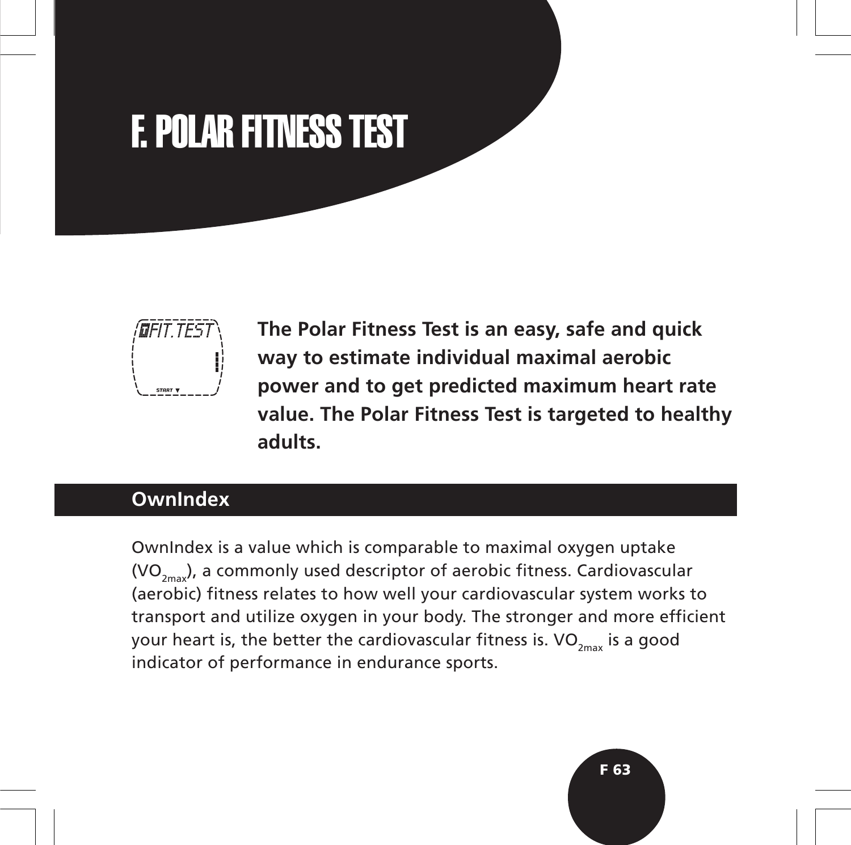# F. POLAR FITNESS TEST



**The Polar Fitness Test is an easy, safe and quick way to estimate individual maximal aerobic power and to get predicted maximum heart rate value. The Polar Fitness Test is targeted to healthy adults.**

# **OwnIndex**

OwnIndex is a value which is comparable to maximal oxygen uptake  $(VO_{2m}$ , a commonly used descriptor of aerobic fitness. Cardiovascular (aerobic) fitness relates to how well your cardiovascular system works to transport and utilize oxygen in your body. The stronger and more efficient your heart is, the better the cardiovascular fitness is.  $VO_{2m}$  is a good indicator of performance in endurance sports.

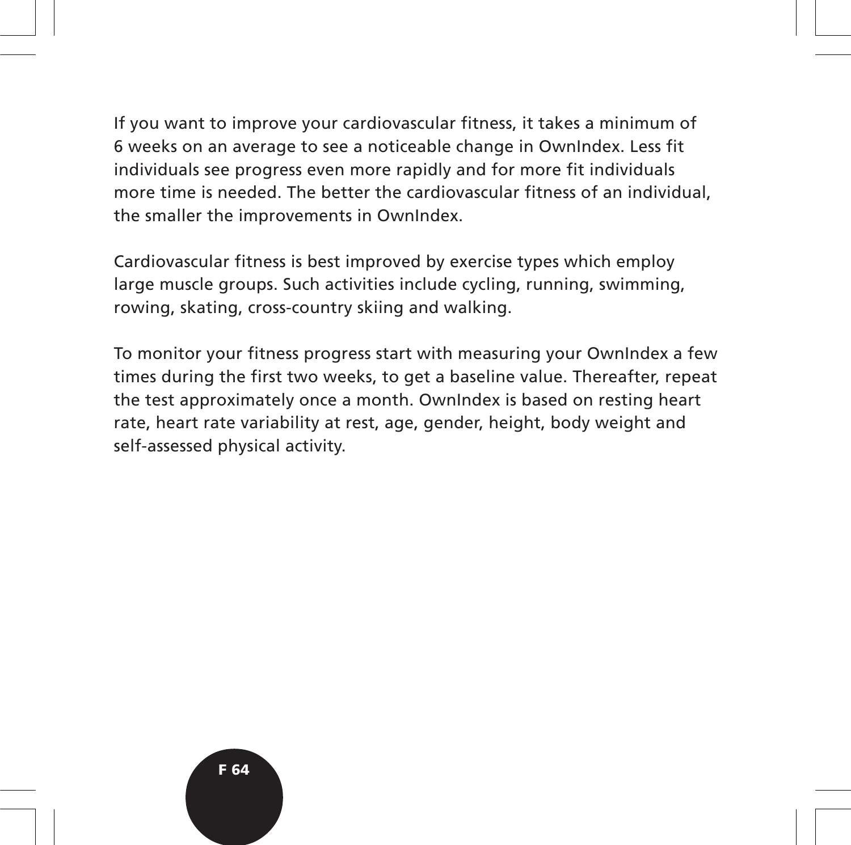If you want to improve your cardiovascular fitness, it takes a minimum of 6 weeks on an average to see a noticeable change in OwnIndex. Less fit individuals see progress even more rapidly and for more fit individuals more time is needed. The better the cardiovascular fitness of an individual, the smaller the improvements in OwnIndex.

Cardiovascular fitness is best improved by exercise types which employ large muscle groups. Such activities include cycling, running, swimming, rowing, skating, cross-country skiing and walking.

To monitor your fitness progress start with measuring your OwnIndex a few times during the first two weeks, to get a baseline value. Thereafter, repeat the test approximately once a month. OwnIndex is based on resting heart rate, heart rate variability at rest, age, gender, height, body weight and self-assessed physical activity.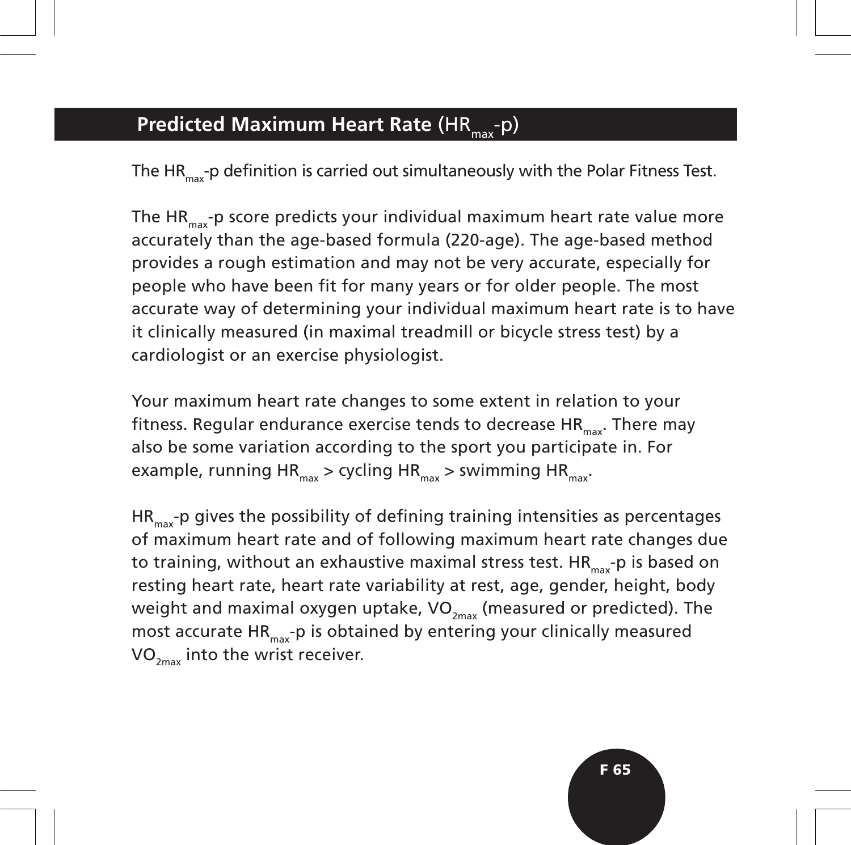# **Predicted Maximum Heart Rate (HR<sub>max</sub>-p)**

The HR<sub>max</sub>-p definition is carried out simultaneously with the Polar Fitness Test.

The HR<sub>max</sub>-p score predicts your individual maximum heart rate value more accurately than the age-based formula (220-age). The age-based method provides a rough estimation and may not be very accurate, especially for people who have been fit for many years or for older people. The most accurate way of determining your individual maximum heart rate is to have it clinically measured (in maximal treadmill or bicycle stress test) by a cardiologist or an exercise physiologist.

Your maximum heart rate changes to some extent in relation to your fitness. Regular endurance exercise tends to decrease  $HR_{\text{max}}$ . There may also be some variation according to the sport you participate in. For example, running HR<sub>max</sub> > cycling HR<sub>max</sub> > swimming HR<sub>max</sub>.

 $HR_{\text{max}}$ -p gives the possibility of defining training intensities as percentages of maximum heart rate and of following maximum heart rate changes due to training, without an exhaustive maximal stress test.  $HR_{max}$ -p is based on resting heart rate, heart rate variability at rest, age, gender, height, body weight and maximal oxygen uptake,  $VO_{2m}$  (measured or predicted). The most accurate  $HR_{max}$ -p is obtained by entering your clinically measured  $VO_{2m}$  into the wrist receiver.

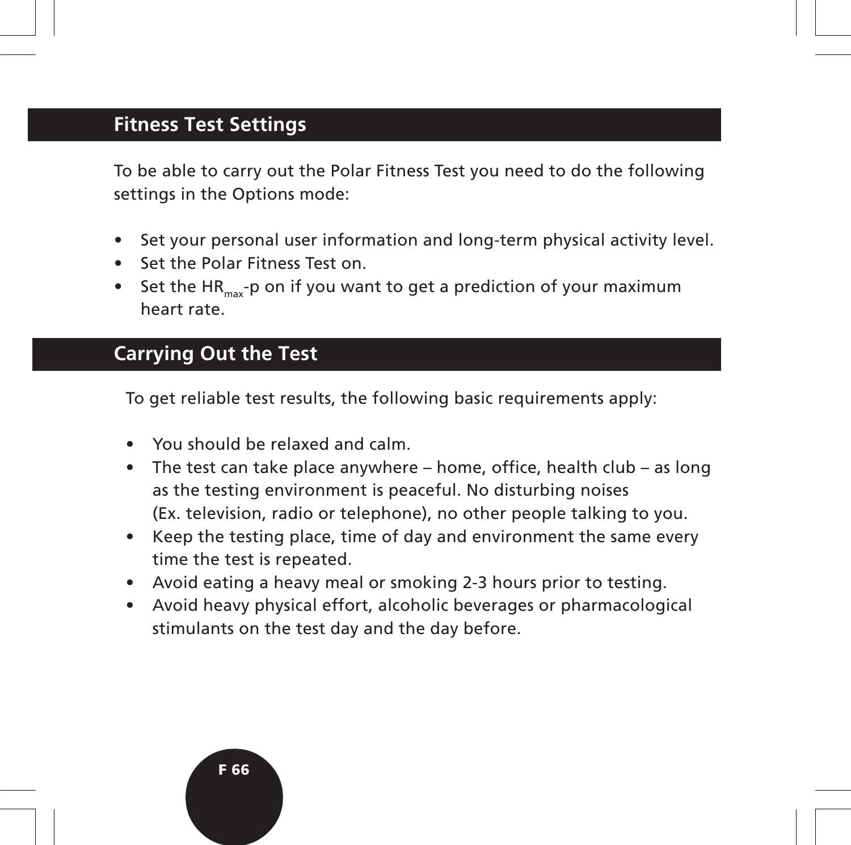# **Fitness Test Settings**

To be able to carry out the Polar Fitness Test you need to do the following settings in the Options mode:

- Set your personal user information and long-term physical activity level.
- Set the Polar Fitness Test on.
- Set the HR<sub>max</sub>-p on if you want to get a prediction of your maximum heart rate.

# **Carrying Out the Test**

To get reliable test results, the following basic requirements apply:

- You should be relaxed and calm.
- The test can take place anywhere home, office, health club as long as the testing environment is peaceful. No disturbing noises (Ex. television, radio or telephone), no other people talking to you.
- Keep the testing place, time of day and environment the same every time the test is repeated.
- Avoid eating a heavy meal or smoking 2-3 hours prior to testing.
- Avoid heavy physical effort, alcoholic beverages or pharmacological stimulants on the test day and the day before.

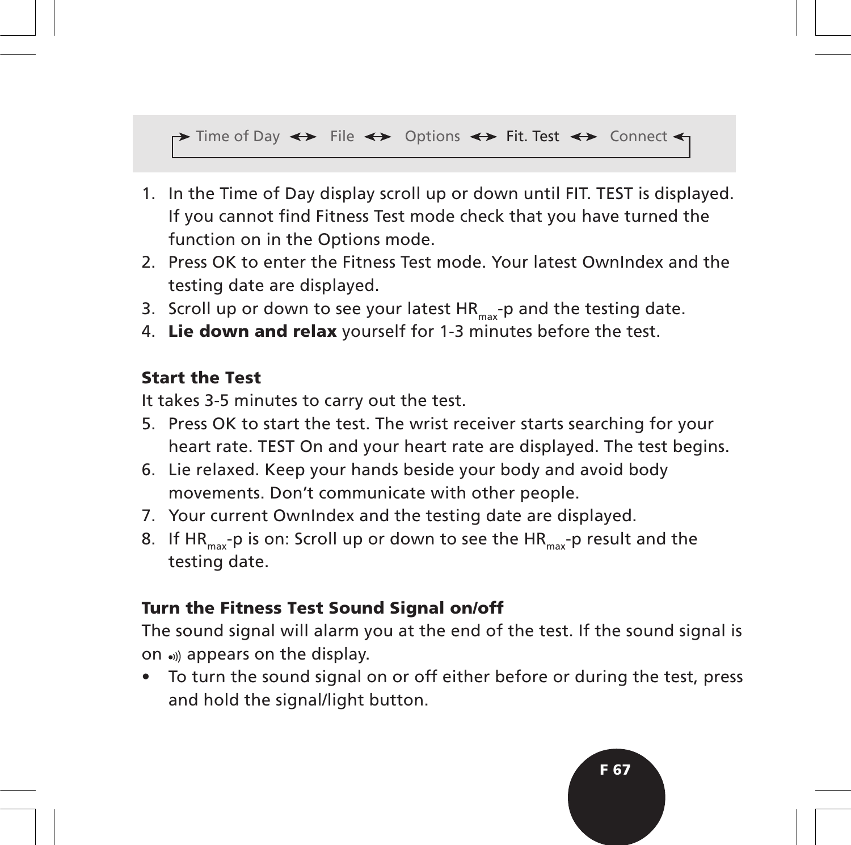#### $\rightarrow$  Time of Day  $\leftrightarrow$  File  $\leftrightarrow$  Options  $\leftrightarrow$  Fit. Test  $\leftrightarrow$  Connect  $\leftarrow$

- 1. In the Time of Day display scroll up or down until FIT. TEST is displayed. If you cannot find Fitness Test mode check that you have turned the function on in the Options mode.
- 2. Press OK to enter the Fitness Test mode. Your latest OwnIndex and the testing date are displayed.
- 3. Scroll up or down to see your latest  $HR_{max}$ -p and the testing date.
- 4. **Lie down and relax** yourself for 1-3 minutes before the test.

#### **Start the Test**

It takes 3-5 minutes to carry out the test.

- 5. Press OK to start the test. The wrist receiver starts searching for your heart rate. TEST On and your heart rate are displayed. The test begins.
- 6. Lie relaxed. Keep your hands beside your body and avoid body movements. Don't communicate with other people.
- 7. Your current OwnIndex and the testing date are displayed.
- 8. If HR<sub>max</sub>-p is on: Scroll up or down to see the HR<sub>max</sub>-p result and the testing date.

#### **Turn the Fitness Test Sound Signal on/off**

The sound signal will alarm you at the end of the test. If the sound signal is on appears on the display.

• To turn the sound signal on or off either before or during the test, press and hold the signal/light button.

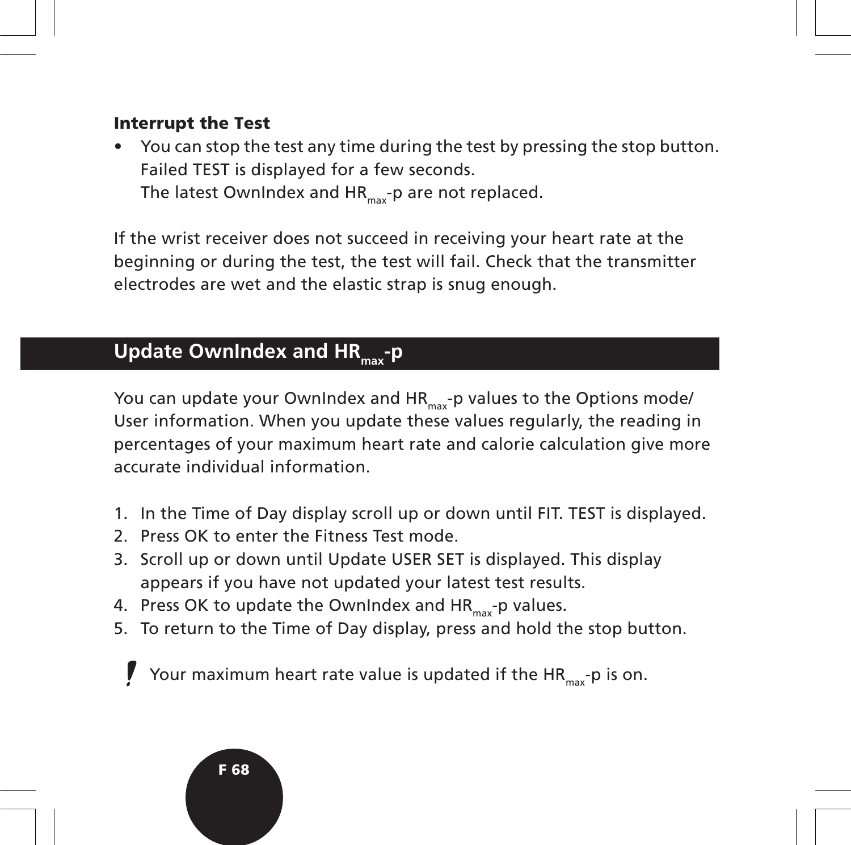#### **Interrupt the Test**

• You can stop the test any time during the test by pressing the stop button. Failed TEST is displayed for a few seconds. The latest OwnIndex and  $HR_{max}$ -p are not replaced.

If the wrist receiver does not succeed in receiving your heart rate at the beginning or during the test, the test will fail. Check that the transmitter electrodes are wet and the elastic strap is snug enough.

# **Update OwnIndex and HR<sub>max</sub>-p**

You can update your OwnIndex and  $HR_{max}$ -p values to the Options mode/ User information. When you update these values regularly, the reading in percentages of your maximum heart rate and calorie calculation give more accurate individual information.

- 1. In the Time of Day display scroll up or down until FIT. TEST is displayed.
- 2. Press OK to enter the Fitness Test mode.
- 3. Scroll up or down until Update USER SET is displayed. This display appears if you have not updated your latest test results.
- 4. Press OK to update the OwnIndex and  $HR_{max}$ -p values.
- 5. To return to the Time of Day display, press and hold the stop button.

Your maximum heart rate value is updated if the  $HR_{max}$ -p is on.

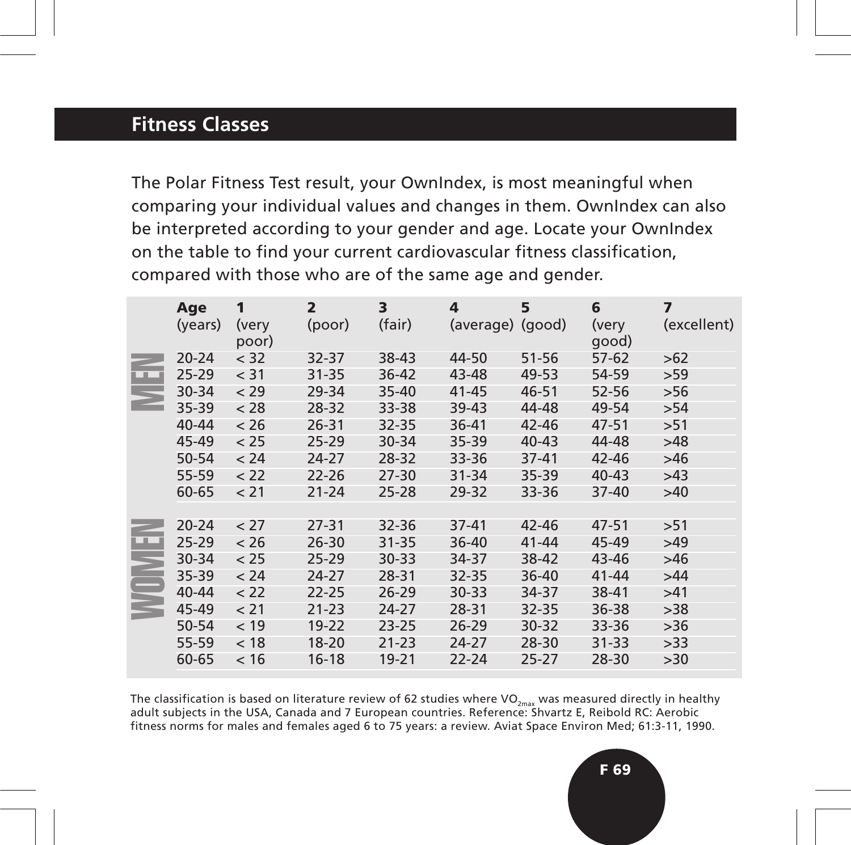# **Fitness Classes**

The Polar Fitness Test result, your OwnIndex, is most meaningful when comparing your individual values and changes in them. OwnIndex can also be interpreted according to your gender and age. Locate your OwnIndex on the table to find your current cardiovascular fitness classification, compared with those who are of the same age and gender.

|                                                                                                                                                                                                                                                                                                                                                                      | Age<br>(years) | 1<br>(very<br>poor) | $\overline{2}$<br>(poor) | 3<br>(fair) | 4<br>(average) (good) | 5         | 6<br>(very<br>good) | $\overline{\mathbf{z}}$<br>(excellent) |
|----------------------------------------------------------------------------------------------------------------------------------------------------------------------------------------------------------------------------------------------------------------------------------------------------------------------------------------------------------------------|----------------|---------------------|--------------------------|-------------|-----------------------|-----------|---------------------|----------------------------------------|
| أتبين                                                                                                                                                                                                                                                                                                                                                                | $20 - 24$      | < 32                | 32-37                    | 38-43       | 44-50                 | $51 - 56$ | $57-62$             | >62                                    |
|                                                                                                                                                                                                                                                                                                                                                                      | $25 - 29$      | < 31                | 31-35                    | 36-42       | 43-48                 | 49-53     | 54-59               | >59                                    |
|                                                                                                                                                                                                                                                                                                                                                                      | $30 - 34$      | < 29                | 29-34                    | $35 - 40$   | $41 - 45$             | 46-51     | 52-56               | $>56$                                  |
|                                                                                                                                                                                                                                                                                                                                                                      | $35 - 39$      | < 28                | 28-32                    | 33-38       | 39-43                 | 44-48     | 49-54               | >54                                    |
|                                                                                                                                                                                                                                                                                                                                                                      | 40-44          | < 26                | 26-31                    | 32-35       | 36-41                 | 42-46     | 47-51               | >51                                    |
|                                                                                                                                                                                                                                                                                                                                                                      | 45-49          | < 25                | $25 - 29$                | 30-34       | 35-39                 | $40 - 43$ | 44-48               | >48                                    |
|                                                                                                                                                                                                                                                                                                                                                                      | 50-54          | < 24                | 24-27                    | 28-32       | 33-36                 | $37 - 41$ | 42-46               | >46                                    |
|                                                                                                                                                                                                                                                                                                                                                                      | 55-59          | < 22                | $22 - 26$                | 27-30       | 31-34                 | 35-39     | 40-43               | >43                                    |
|                                                                                                                                                                                                                                                                                                                                                                      | 60-65          | < 21                | $21 - 24$                | $25 - 28$   | 29-32                 | 33-36     | $37 - 40$           | >40                                    |
|                                                                                                                                                                                                                                                                                                                                                                      |                |                     |                          |             |                       |           |                     |                                        |
| Œ                                                                                                                                                                                                                                                                                                                                                                    | $20 - 24$      | < 27                | 27-31                    | 32-36       | $37 - 41$             | 42-46     | 47-51               | >51                                    |
|                                                                                                                                                                                                                                                                                                                                                                      | $25 - 29$      | < 26                | $26 - 30$                | $31 - 35$   | 36-40                 | $41 - 44$ | 45-49               | $>49$                                  |
|                                                                                                                                                                                                                                                                                                                                                                      | 30-34          | < 25                | $25 - 29$                | $30 - 33$   | 34-37                 | 38-42     | 43-46               | >46                                    |
|                                                                                                                                                                                                                                                                                                                                                                      | 35-39          | < 24                | 24-27                    | 28-31       | 32-35                 | 36-40     | $41 - 44$           | >44                                    |
|                                                                                                                                                                                                                                                                                                                                                                      | $40 - 44$      | < 22                | $22 - 25$                | $26 - 29$   | $30 - 33$             | 34-37     | 38-41               | >41                                    |
|                                                                                                                                                                                                                                                                                                                                                                      | 45-49          | < 21                | $21 - 23$                | 24-27       | 28-31                 | 32-35     | 36-38               | >38                                    |
|                                                                                                                                                                                                                                                                                                                                                                      | 50-54          | < 19                | $19 - 22$                | $23 - 25$   | 26-29                 | 30-32     | 33-36               | >36                                    |
|                                                                                                                                                                                                                                                                                                                                                                      | 55-59          | < 18                | $18 - 20$                | $21 - 23$   | 24-27                 | 28-30     | $31 - 33$           | >33                                    |
|                                                                                                                                                                                                                                                                                                                                                                      | 60-65          | < 16                | $16 - 18$                | 19-21       | 22-24                 | $25 - 27$ | 28-30               | >30                                    |
|                                                                                                                                                                                                                                                                                                                                                                      |                |                     |                          |             |                       |           |                     |                                        |
| The classification is based on literature review of 62 studies where VO <sub><math>_{\text{max}}</math></sub> was measured directly in healthy<br>adult subjects in the USA, Canada and 7 European countries. Reference: Shvartz E, Reibold RC: Aerobic<br>fitness norms for males and females aged 6 to 75 years: a review. Aviat Space Environ Med; 61:3-11, 1990. |                |                     |                          |             |                       |           |                     |                                        |

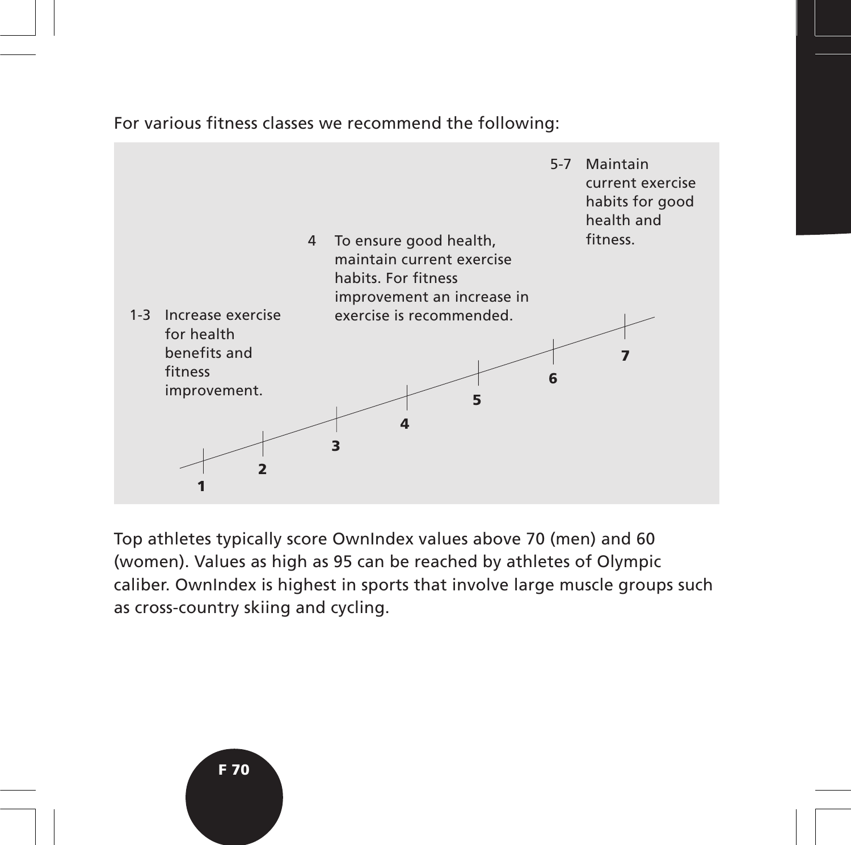#### For various fitness classes we recommend the following:



Top athletes typically score OwnIndex values above 70 (men) and 60 (women). Values as high as 95 can be reached by athletes of Olympic caliber. OwnIndex is highest in sports that involve large muscle groups such as cross-country skiing and cycling.

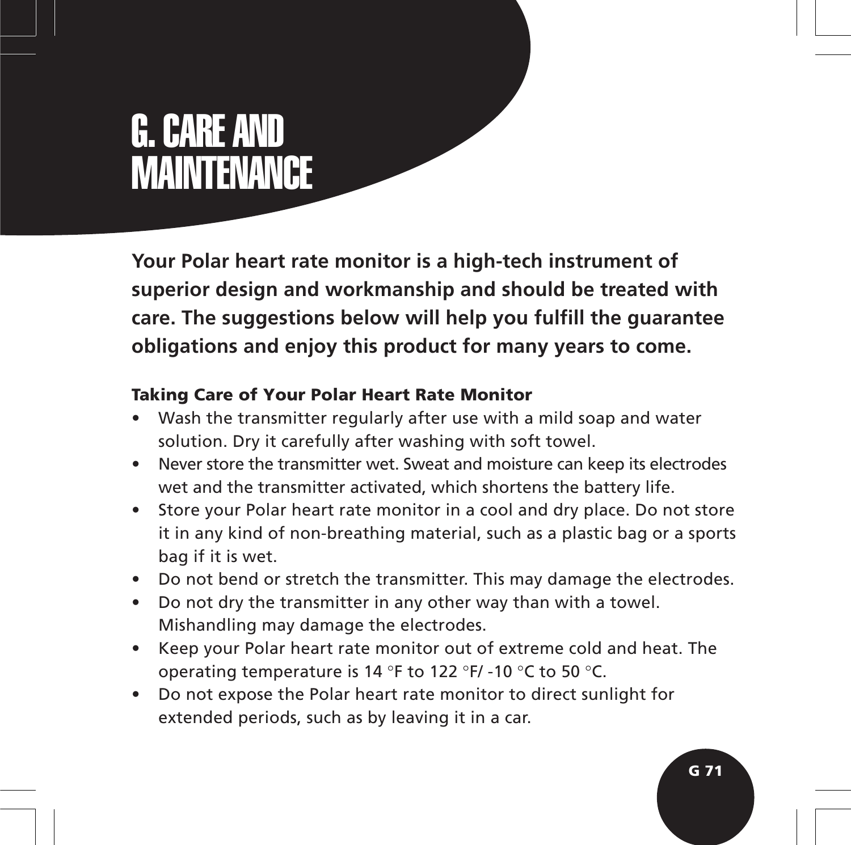# G. CARE AND **MAINTENANCE**

**Your Polar heart rate monitor is a high-tech instrument of superior design and workmanship and should be treated with care. The suggestions below will help you fulfill the guarantee obligations and enjoy this product for many years to come.**

## **Taking Care of Your Polar Heart Rate Monitor**

- Wash the transmitter regularly after use with a mild soap and water solution. Dry it carefully after washing with soft towel.
- Never store the transmitter wet. Sweat and moisture can keep its electrodes wet and the transmitter activated, which shortens the battery life.
- Store your Polar heart rate monitor in a cool and dry place. Do not store it in any kind of non-breathing material, such as a plastic bag or a sports bag if it is wet.
- Do not bend or stretch the transmitter. This may damage the electrodes.
- Do not dry the transmitter in any other way than with a towel. Mishandling may damage the electrodes.
- Keep your Polar heart rate monitor out of extreme cold and heat. The operating temperature is 14 °F to 122 °F/ -10 °C to 50 °C.
- Do not expose the Polar heart rate monitor to direct sunlight for extended periods, such as by leaving it in a car.

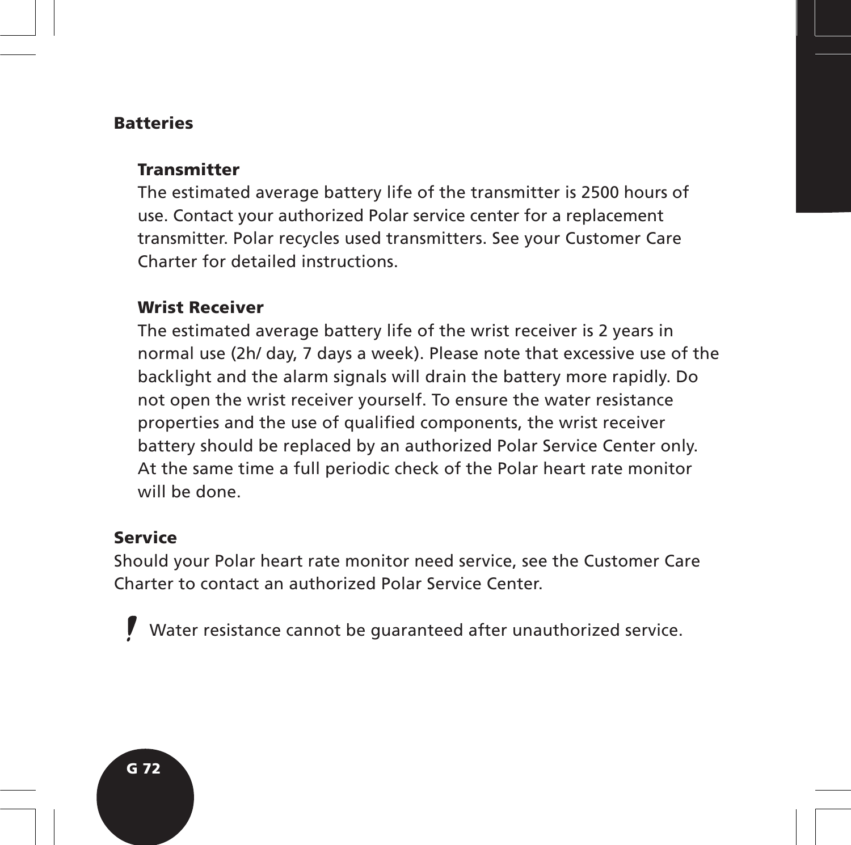#### **Batteries**

## **Transmitter**

The estimated average battery life of the transmitter is 2500 hours of use. Contact your authorized Polar service center for a replacement transmitter. Polar recycles used transmitters. See your Customer Care Charter for detailed instructions.

## **Wrist Receiver**

The estimated average battery life of the wrist receiver is 2 years in normal use (2h/ day, 7 days a week). Please note that excessive use of the backlight and the alarm signals will drain the battery more rapidly. Do not open the wrist receiver yourself. To ensure the water resistance properties and the use of qualified components, the wrist receiver battery should be replaced by an authorized Polar Service Center only. At the same time a full periodic check of the Polar heart rate monitor will be done.

## **Service**

Should your Polar heart rate monitor need service, see the Customer Care Charter to contact an authorized Polar Service Center.

Water resistance cannot be guaranteed after unauthorized service.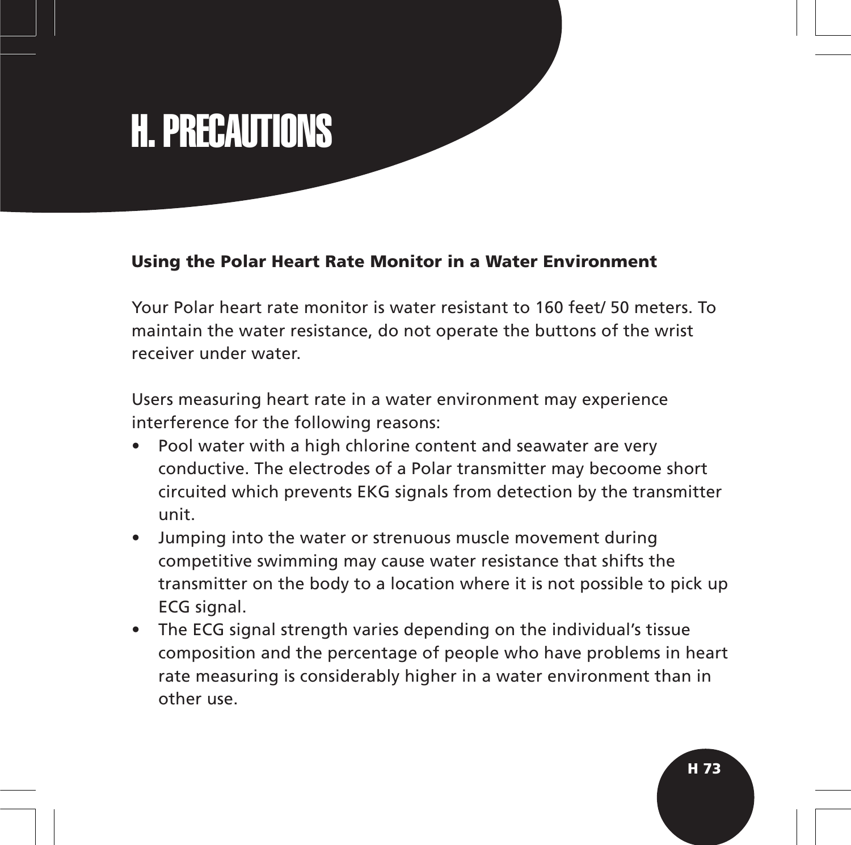# H. PRECAUTIONS

### **Using the Polar Heart Rate Monitor in a Water Environment**

Your Polar heart rate monitor is water resistant to 160 feet/ 50 meters. To maintain the water resistance, do not operate the buttons of the wrist receiver under water.

Users measuring heart rate in a water environment may experience interference for the following reasons:

- Pool water with a high chlorine content and seawater are very conductive. The electrodes of a Polar transmitter may becoome short circuited which prevents EKG signals from detection by the transmitter unit.
- Jumping into the water or strenuous muscle movement during competitive swimming may cause water resistance that shifts the transmitter on the body to a location where it is not possible to pick up ECG signal.
- The ECG signal strength varies depending on the individual's tissue composition and the percentage of people who have problems in heart rate measuring is considerably higher in a water environment than in other use.

**H 73**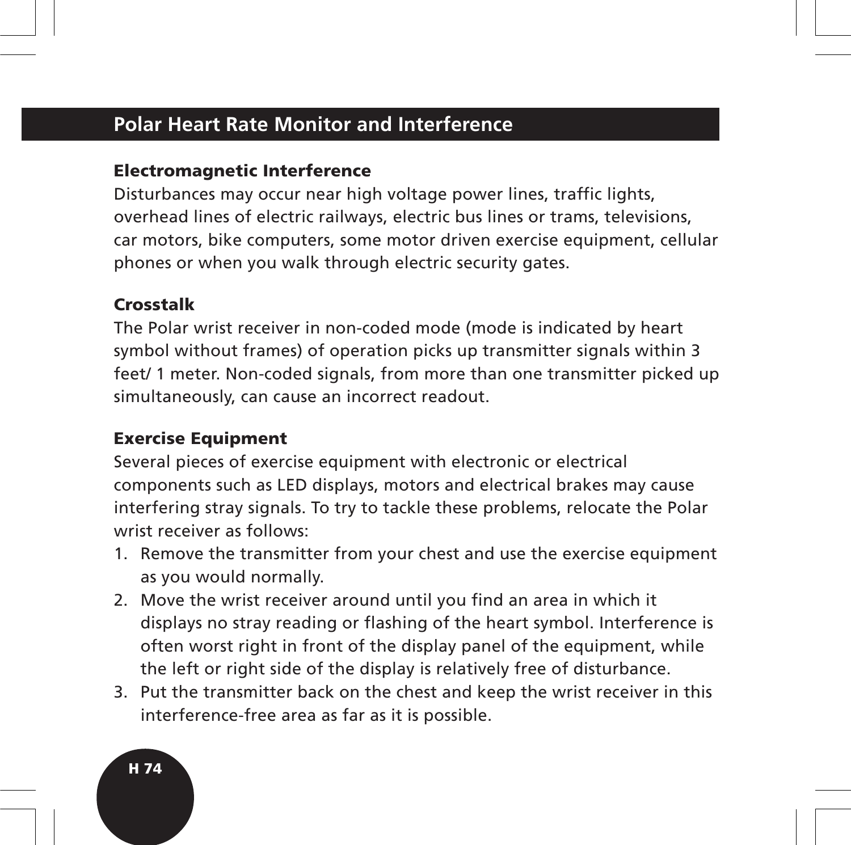## **Polar Heart Rate Monitor and Interference**

### **Electromagnetic Interference**

Disturbances may occur near high voltage power lines, traffic lights, overhead lines of electric railways, electric bus lines or trams, televisions, car motors, bike computers, some motor driven exercise equipment, cellular phones or when you walk through electric security gates.

## **Crosstalk**

The Polar wrist receiver in non-coded mode (mode is indicated by heart symbol without frames) of operation picks up transmitter signals within 3 feet/ 1 meter. Non-coded signals, from more than one transmitter picked up simultaneously, can cause an incorrect readout.

## **Exercise Equipment**

Several pieces of exercise equipment with electronic or electrical components such as LED displays, motors and electrical brakes may cause interfering stray signals. To try to tackle these problems, relocate the Polar wrist receiver as follows:

- 1. Remove the transmitter from your chest and use the exercise equipment as you would normally.
- 2. Move the wrist receiver around until you find an area in which it displays no stray reading or flashing of the heart symbol. Interference is often worst right in front of the display panel of the equipment, while the left or right side of the display is relatively free of disturbance.
- 3. Put the transmitter back on the chest and keep the wrist receiver in this interference-free area as far as it is possible.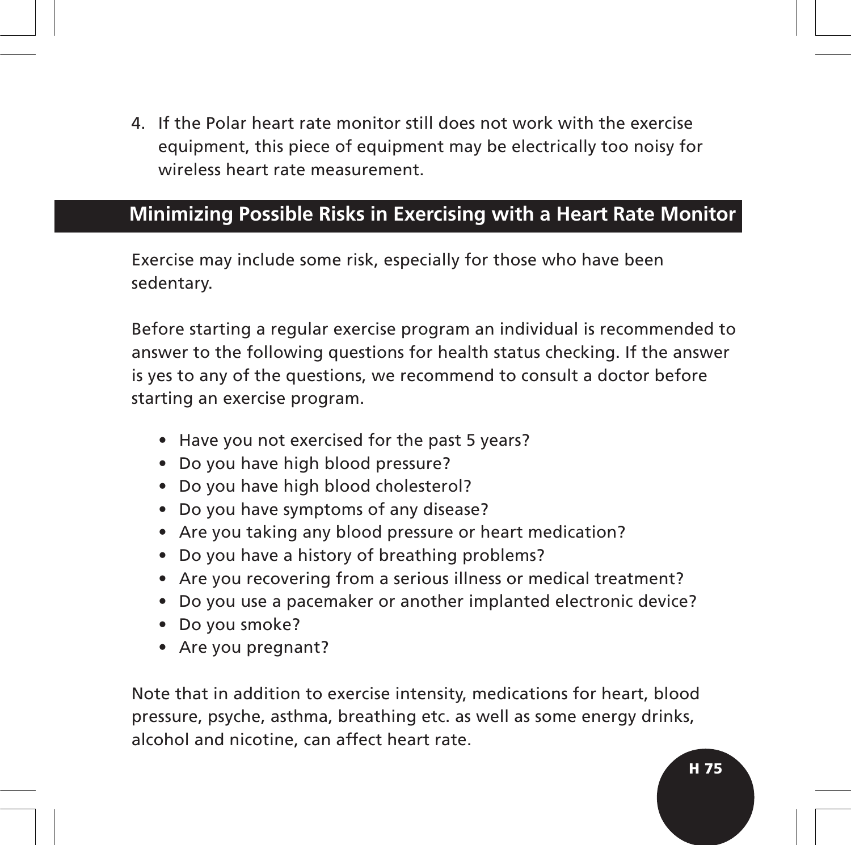4. If the Polar heart rate monitor still does not work with the exercise equipment, this piece of equipment may be electrically too noisy for wireless heart rate measurement.

## **Minimizing Possible Risks in Exercising with a Heart Rate Monitor**

Exercise may include some risk, especially for those who have been sedentary.

Before starting a regular exercise program an individual is recommended to answer to the following questions for health status checking. If the answer is yes to any of the questions, we recommend to consult a doctor before starting an exercise program.

- Have you not exercised for the past 5 years?
- Do you have high blood pressure?
- Do you have high blood cholesterol?
- Do you have symptoms of any disease?
- Are you taking any blood pressure or heart medication?
- Do you have a history of breathing problems?
- Are you recovering from a serious illness or medical treatment?
- Do you use a pacemaker or another implanted electronic device?
- Do you smoke?
- Are you pregnant?

Note that in addition to exercise intensity, medications for heart, blood pressure, psyche, asthma, breathing etc. as well as some energy drinks, alcohol and nicotine, can affect heart rate.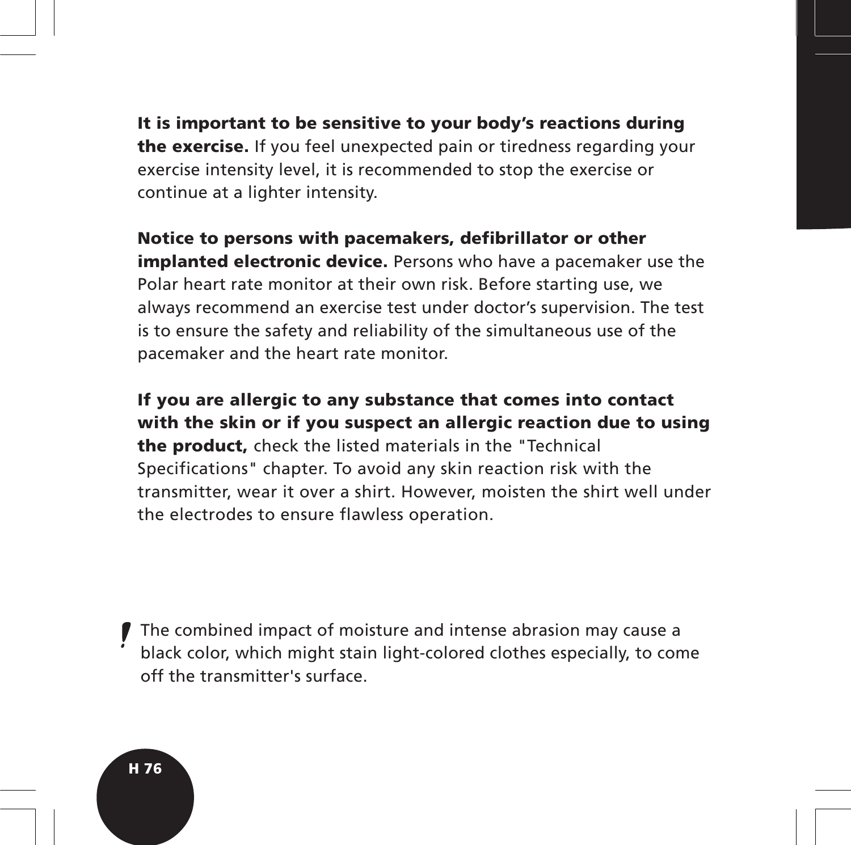**It is important to be sensitive to your body's reactions during the exercise.** If you feel unexpected pain or tiredness regarding your exercise intensity level, it is recommended to stop the exercise or continue at a lighter intensity.

**Notice to persons with pacemakers, defibrillator or other implanted electronic device.** Persons who have a pacemaker use the Polar heart rate monitor at their own risk. Before starting use, we always recommend an exercise test under doctor's supervision. The test is to ensure the safety and reliability of the simultaneous use of the pacemaker and the heart rate monitor.

**If you are allergic to any substance that comes into contact with the skin or if you suspect an allergic reaction due to using the product,** check the listed materials in the "Technical Specifications" chapter. To avoid any skin reaction risk with the transmitter, wear it over a shirt. However, moisten the shirt well under the electrodes to ensure flawless operation.

The combined impact of moisture and intense abrasion may cause a black color, which might stain light-colored clothes especially, to come off the transmitter's surface.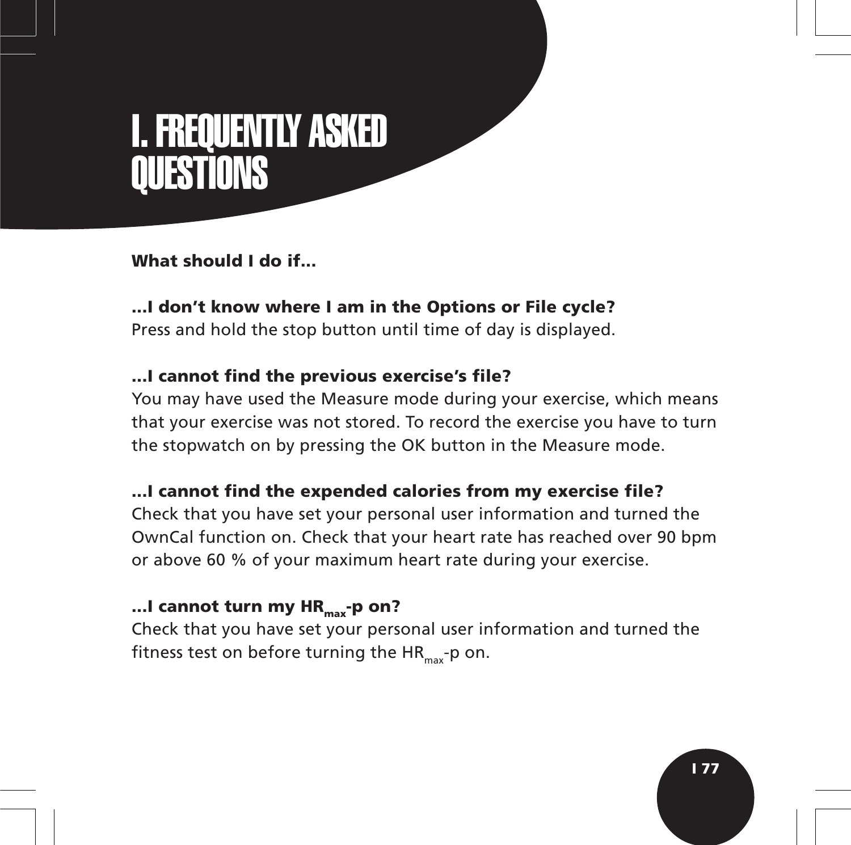## I. FREQUENTLY ASKED **QUESTIONS**

## **What should I do if...**

**...I don't know where I am in the Options or File cycle?** Press and hold the stop button until time of day is displayed.

## **...I cannot find the previous exercise's file?**

You may have used the Measure mode during your exercise, which means that your exercise was not stored. To record the exercise you have to turn the stopwatch on by pressing the OK button in the Measure mode.

## **...I cannot find the expended calories from my exercise file?**

Check that you have set your personal user information and turned the OwnCal function on. Check that your heart rate has reached over 90 bpm or above 60 % of your maximum heart rate during your exercise.

## ...I cannot turn my HR<sub>max</sub>-p on?

Check that you have set your personal user information and turned the fitness test on before turning the  $HR_{\text{max}}$ -p on.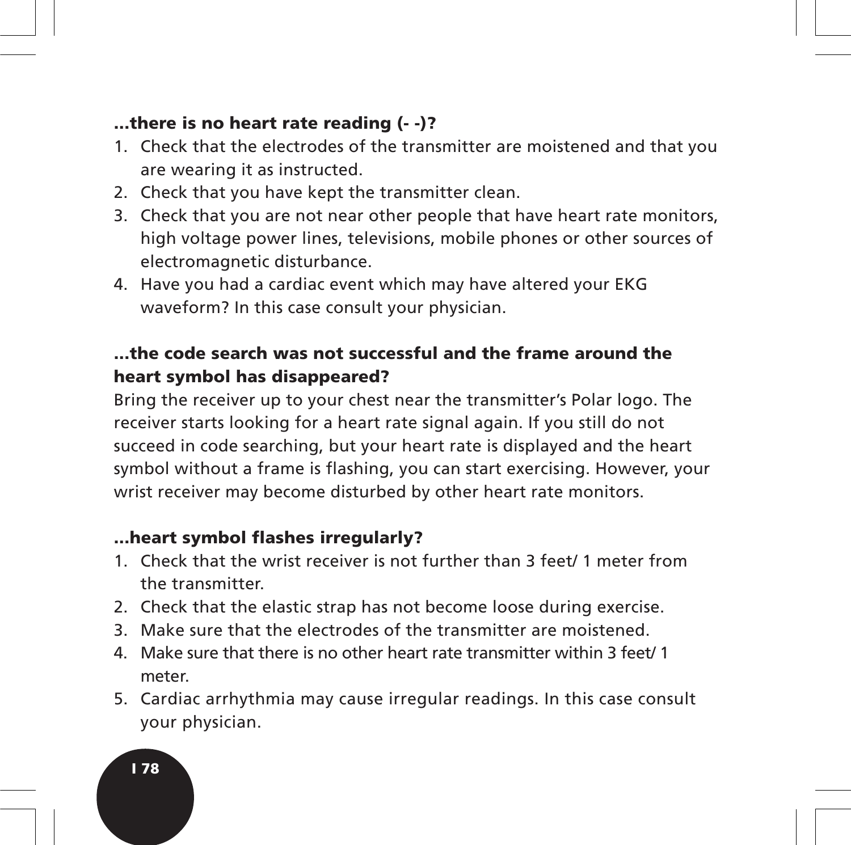## **...there is no heart rate reading (- -)?**

- 1. Check that the electrodes of the transmitter are moistened and that you are wearing it as instructed.
- 2. Check that you have kept the transmitter clean.
- 3. Check that you are not near other people that have heart rate monitors, high voltage power lines, televisions, mobile phones or other sources of electromagnetic disturbance.
- 4. Have you had a cardiac event which may have altered your EKG waveform? In this case consult your physician.

## **...the code search was not successful and the frame around the heart symbol has disappeared?**

Bring the receiver up to your chest near the transmitter's Polar logo. The receiver starts looking for a heart rate signal again. If you still do not succeed in code searching, but your heart rate is displayed and the heart symbol without a frame is flashing, you can start exercising. However, your wrist receiver may become disturbed by other heart rate monitors.

## **...heart symbol flashes irregularly?**

- 1. Check that the wrist receiver is not further than 3 feet/ 1 meter from the transmitter.
- 2. Check that the elastic strap has not become loose during exercise.
- 3. Make sure that the electrodes of the transmitter are moistened.
- 4. Make sure that there is no other heart rate transmitter within 3 feet/ 1 meter.
- 5. Cardiac arrhythmia may cause irregular readings. In this case consult your physician.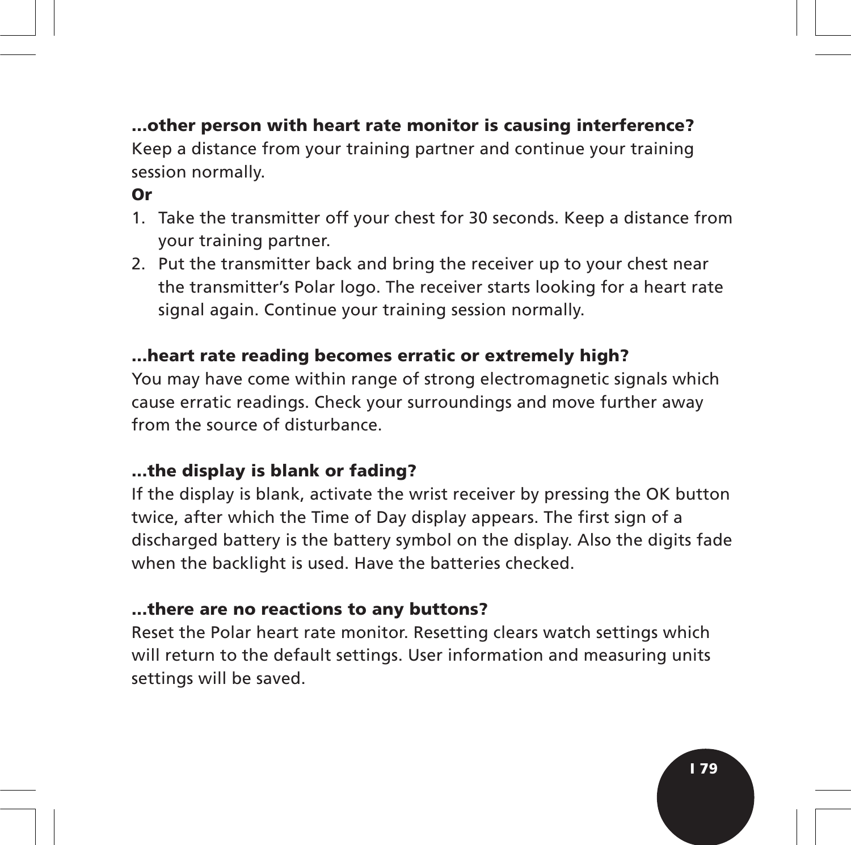## **...other person with heart rate monitor is causing interference?**

Keep a distance from your training partner and continue your training session normally.

## **Or**

- 1. Take the transmitter off your chest for 30 seconds. Keep a distance from your training partner.
- 2. Put the transmitter back and bring the receiver up to your chest near the transmitter's Polar logo. The receiver starts looking for a heart rate signal again. Continue your training session normally.

## **...heart rate reading becomes erratic or extremely high?**

You may have come within range of strong electromagnetic signals which cause erratic readings. Check your surroundings and move further away from the source of disturbance.

## **...the display is blank or fading?**

If the display is blank, activate the wrist receiver by pressing the OK button twice, after which the Time of Day display appears. The first sign of a discharged battery is the battery symbol on the display. Also the digits fade when the backlight is used. Have the batteries checked.

### **...there are no reactions to any buttons?**

Reset the Polar heart rate monitor. Resetting clears watch settings which will return to the default settings. User information and measuring units settings will be saved.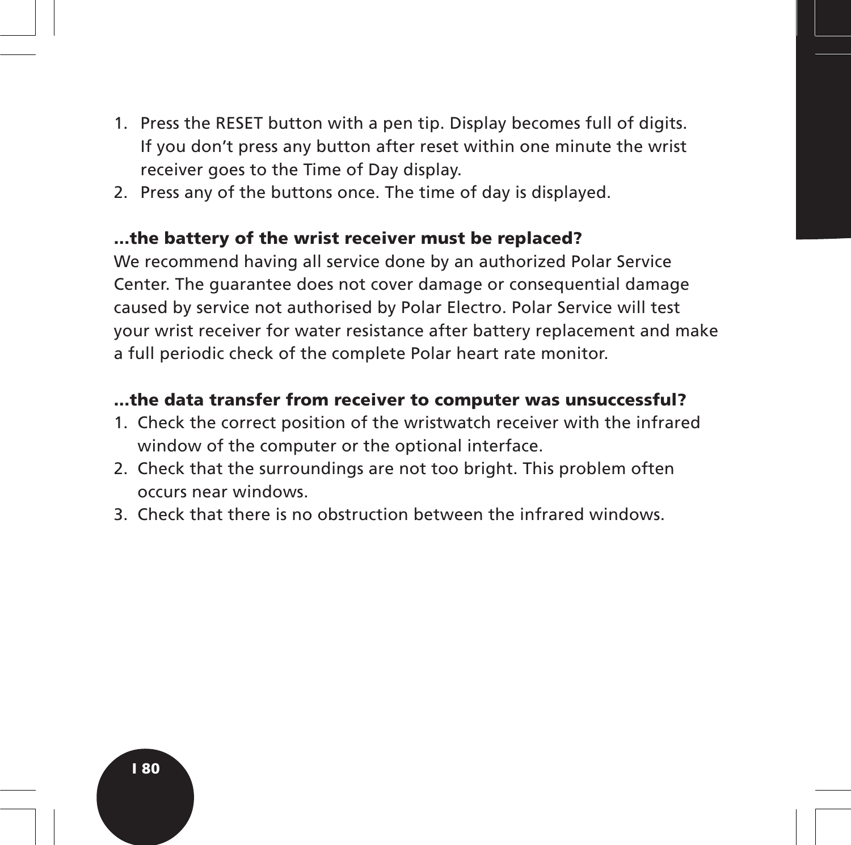- 1. Press the RESET button with a pen tip. Display becomes full of digits. If you don't press any button after reset within one minute the wrist receiver goes to the Time of Day display.
- 2. Press any of the buttons once. The time of day is displayed.

#### **...the battery of the wrist receiver must be replaced?**

We recommend having all service done by an authorized Polar Service Center. The guarantee does not cover damage or consequential damage caused by service not authorised by Polar Electro. Polar Service will test your wrist receiver for water resistance after battery replacement and make a full periodic check of the complete Polar heart rate monitor.

### **...the data transfer from receiver to computer was unsuccessful?**

- 1. Check the correct position of the wristwatch receiver with the infrared window of the computer or the optional interface.
- 2. Check that the surroundings are not too bright. This problem often occurs near windows.
- 3. Check that there is no obstruction between the infrared windows.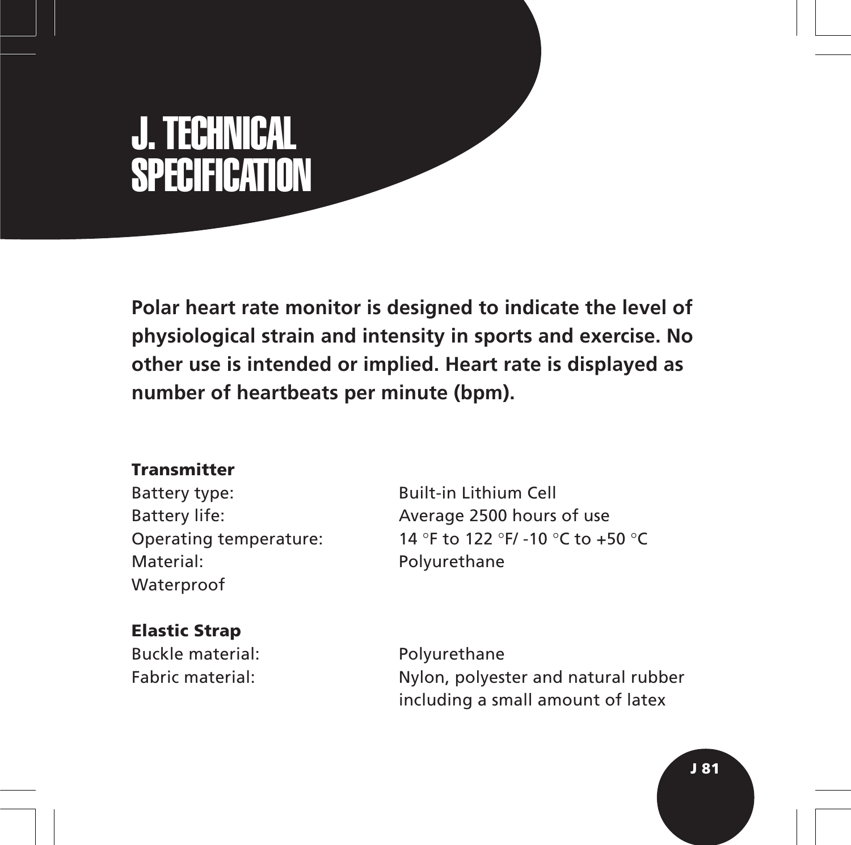# J. TECHNICAL **SPECIFICATION**

**Polar heart rate monitor is designed to indicate the level of physiological strain and intensity in sports and exercise. No other use is intended or implied. Heart rate is displayed as number of heartbeats per minute (bpm).**

## **Transmitter**

Battery type: Built-in Lithium Cell Material: Polyurethane Waterproof

## **Elastic Strap**

Buckle material: Polyurethane

Battery life: Average 2500 hours of use Operating temperature: 14 °F to 122 °F/ -10 °C to +50 °C

Fabric material: Nylon, polyester and natural rubber including a small amount of latex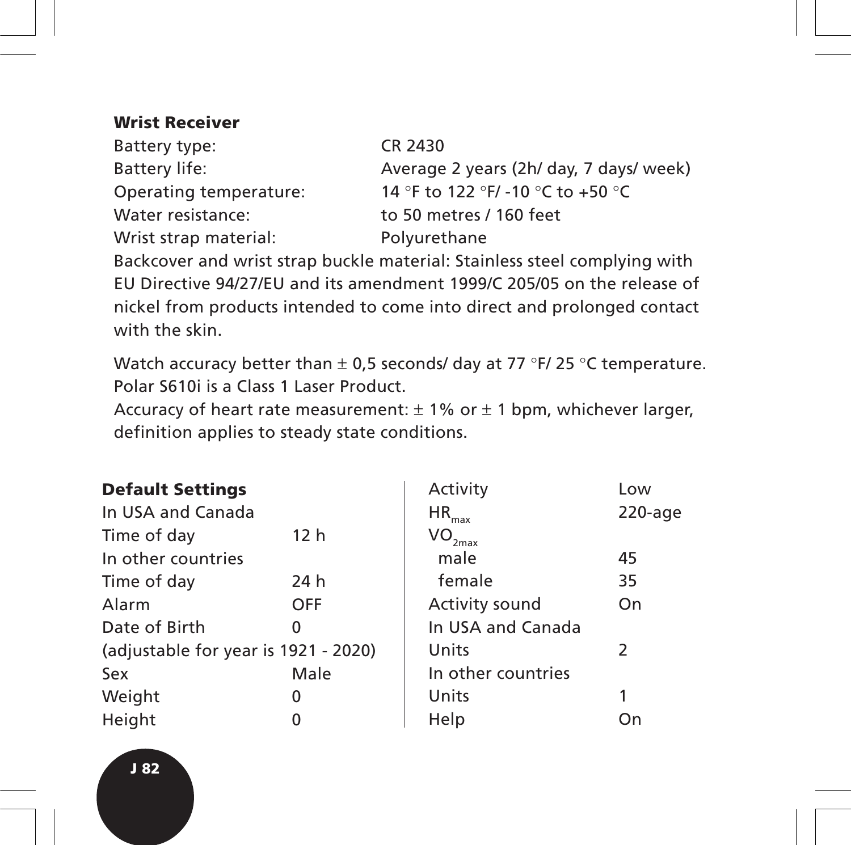## **Wrist Receiver**

| Battery type:          | CR 2430                                 |
|------------------------|-----------------------------------------|
| Battery life:          | Average 2 years (2h/ day, 7 days/ week) |
| Operating temperature: | 14 °F to 122 °F/ -10 °C to +50 °C       |
| Water resistance:      | to 50 metres / 160 feet                 |
| Wrist strap material:  | Polyurethane                            |

Backcover and wrist strap buckle material: Stainless steel complying with EU Directive 94/27/EU and its amendment 1999/C 205/05 on the release of nickel from products intended to come into direct and prolonged contact with the skin.

Watch accuracy better than  $\pm$  0,5 seconds/ day at 77 °F/ 25 °C temperature. Polar S610i is a Class 1 Laser Product.

Accuracy of heart rate measurement:  $\pm$  1% or  $\pm$  1 bpm, whichever larger, definition applies to steady state conditions.

| <b>Default Settings</b>              |                 | Activity                      | Low           |
|--------------------------------------|-----------------|-------------------------------|---------------|
| In USA and Canada                    |                 | $HR_{max}$                    | $220$ -age    |
| Time of day                          | 12 <sub>h</sub> | $\mathsf{VO}_{\mathsf{2max}}$ |               |
| In other countries                   |                 | male                          | 45            |
| Time of day                          | 24 h            | female                        | 35            |
| Alarm                                | <b>OFF</b>      | Activity sound                | On            |
| Date of Birth                        | ი               | In USA and Canada             |               |
| (adjustable for year is 1921 - 2020) |                 | Units                         | $\mathcal{L}$ |
| Sex                                  | Male            | In other countries            |               |
| Weight                               | 0               | Units                         |               |
| Height                               |                 | Help                          | On            |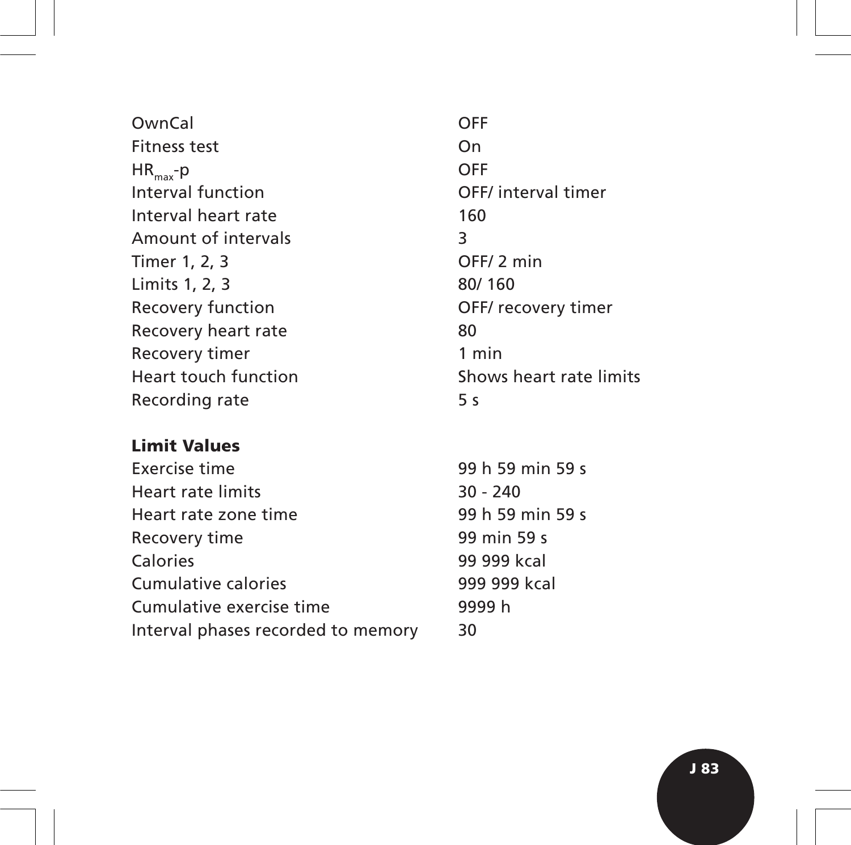OwnCal OFF Fitness test On  $HR_{max}$ -p OFF<br>Interval function  $QFF$ Interval heart rate 160 Amount of intervals 3 Timer 1, 2, 3 OFF/ 2 min Limits 1, 2, 3 80/ 160 Recovery function **CELC COVER 1999** OFF/ recovery timer Recovery heart rate 80 Recovery timer 1 min Recording rate 5 s

### **Limit Values**

| Exercise time                      | 99 h 59    |
|------------------------------------|------------|
| Heart rate limits                  | $30 - 240$ |
| Heart rate zone time               | 99 h 59    |
| Recovery time                      | 99 min!    |
| Calories                           | 99 999 k   |
| Cumulative calories                | 999 999    |
| Cumulative exercise time           | 9999 h     |
| Interval phases recorded to memory | 30         |
|                                    |            |

OFF/ interval timer Heart touch function Shows heart rate limits

> $h$  59 min 59 s  $h$  59 min 59 s  $min$  59 s 999 kcal 999 kcal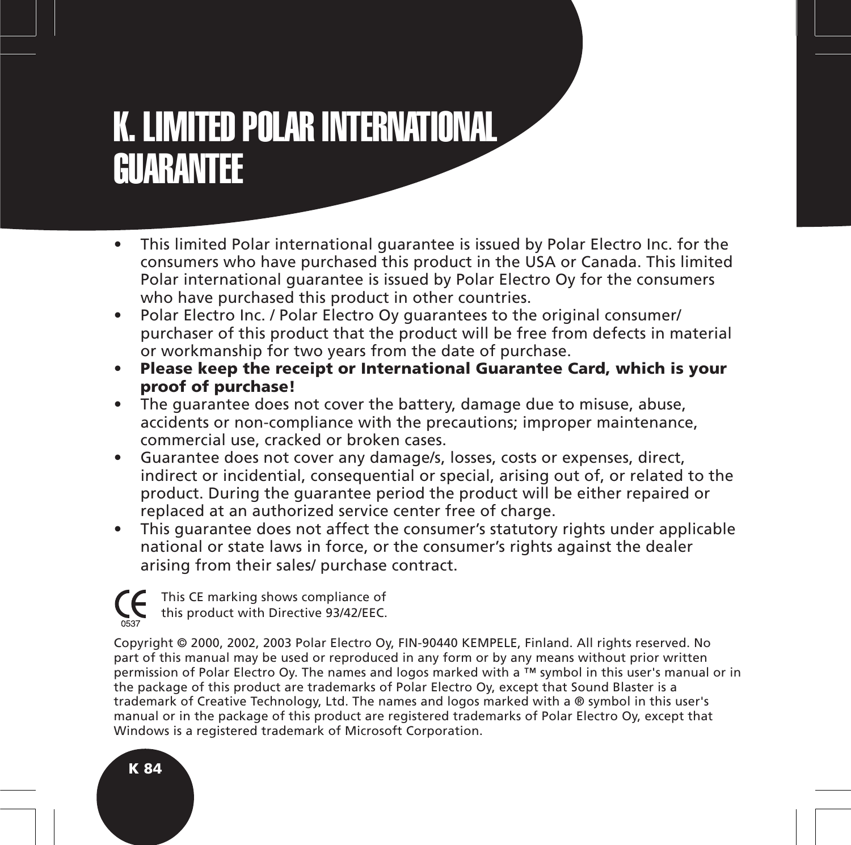## K. LIMITED POLAR INTERNATIONAL GUARANTEE

- This limited Polar international guarantee is issued by Polar Electro Inc. for the consumers who have purchased this product in the USA or Canada. This limited Polar international guarantee is issued by Polar Electro Oy for the consumers who have purchased this product in other countries.
- Polar Electro Inc. / Polar Electro Oy guarantees to the original consumer/ purchaser of this product that the product will be free from defects in material or workmanship for two years from the date of purchase.
- **Please keep the receipt or International Guarantee Card, which is your proof of purchase!**
- The guarantee does not cover the battery, damage due to misuse, abuse, accidents or non-compliance with the precautions; improper maintenance, commercial use, cracked or broken cases.
- Guarantee does not cover any damage/s, losses, costs or expenses, direct, indirect or incidential, consequential or special, arising out of, or related to the product. During the guarantee period the product will be either repaired or replaced at an authorized service center free of charge.
- This guarantee does not affect the consumer's statutory rights under applicable national or state laws in force, or the consumer's rights against the dealer arising from their sales/ purchase contract.

This CE marking shows compliance of this product with Directive 93/42/EEC.

Copyright © 2000, 2002, 2003 Polar Electro Oy, FIN-90440 KEMPELE, Finland. All rights reserved. No part of this manual may be used or reproduced in any form or by any means without prior written permission of Polar Electro Oy. The names and logos marked with a ™ symbol in this user's manual or in the package of this product are trademarks of Polar Electro Oy, except that Sound Blaster is a trademark of Creative Technology, Ltd. The names and logos marked with a ® symbol in this user's manual or in the package of this product are registered trademarks of Polar Electro Oy, except that Windows is a registered trademark of Microsoft Corporation.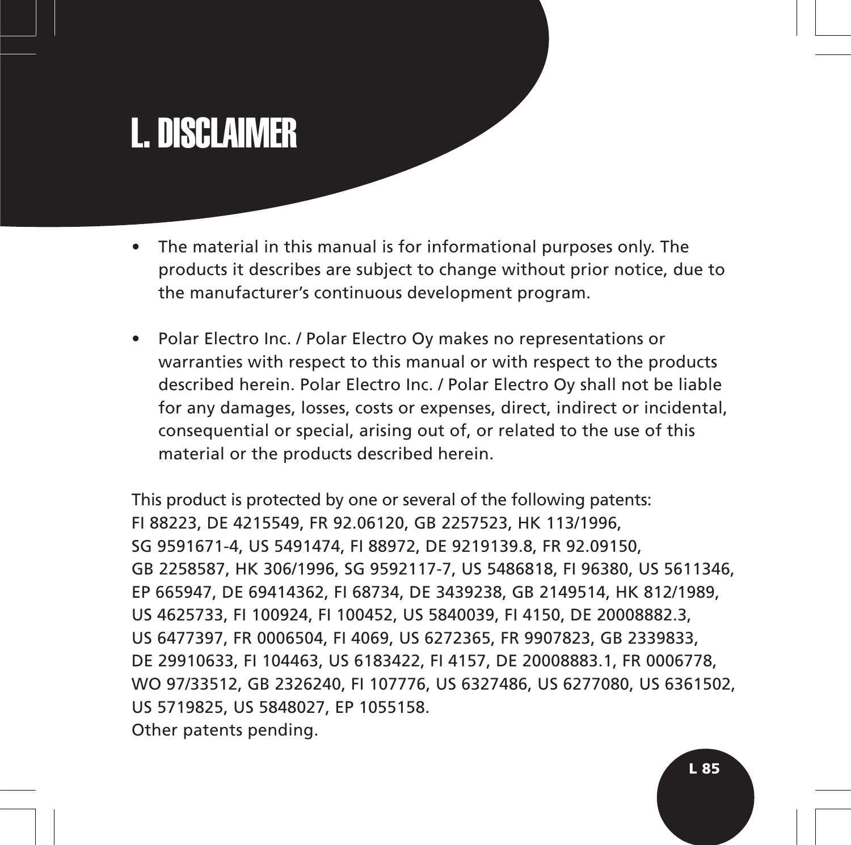# L. DISCLAIMER

- The material in this manual is for informational purposes only. The products it describes are subject to change without prior notice, due to the manufacturer's continuous development program.
- Polar Electro Inc. / Polar Electro Oy makes no representations or warranties with respect to this manual or with respect to the products described herein. Polar Electro Inc. / Polar Electro Oy shall not be liable for any damages, losses, costs or expenses, direct, indirect or incidental, consequential or special, arising out of, or related to the use of this material or the products described herein.

This product is protected by one or several of the following patents: FI 88223, DE 4215549, FR 92.06120, GB 2257523, HK 113/1996, SG 9591671-4, US 5491474, FI 88972, DE 9219139.8, FR 92.09150, GB 2258587, HK 306/1996, SG 9592117-7, US 5486818, FI 96380, US 5611346, EP 665947, DE 69414362, FI 68734, DE 3439238, GB 2149514, HK 812/1989, US 4625733, FI 100924, FI 100452, US 5840039, FI 4150, DE 20008882.3, US 6477397, FR 0006504, FI 4069, US 6272365, FR 9907823, GB 2339833, DE 29910633, FI 104463, US 6183422, FI 4157, DE 20008883.1, FR 0006778, WO 97/33512, GB 2326240, FI 107776, US 6327486, US 6277080, US 6361502, US 5719825, US 5848027, EP 1055158. Other patents pending.

**L 85**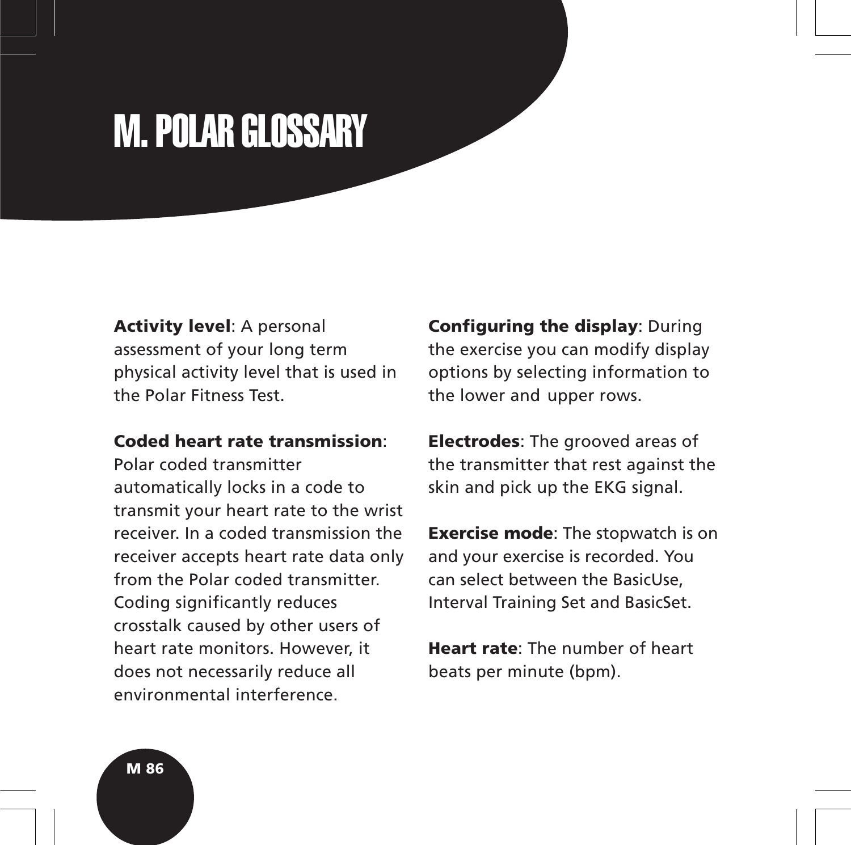# M. POLAR GLOSSARY

**Activity level**: A personal assessment of your long term physical activity level that is used in the Polar Fitness Test.

### **Coded heart rate transmission**:

Polar coded transmitter automatically locks in a code to transmit your heart rate to the wrist receiver. In a coded transmission the receiver accepts heart rate data only from the Polar coded transmitter. Coding significantly reduces crosstalk caused by other users of heart rate monitors. However, it does not necessarily reduce all environmental interference.

**Configuring the display**: During the exercise you can modify display options by selecting information to the lower and upper rows.

**Electrodes**: The grooved areas of the transmitter that rest against the skin and pick up the EKG signal.

**Exercise mode**: The stopwatch is on and your exercise is recorded. You can select between the BasicUse, Interval Training Set and BasicSet.

**Heart rate**: The number of heart beats per minute (bpm).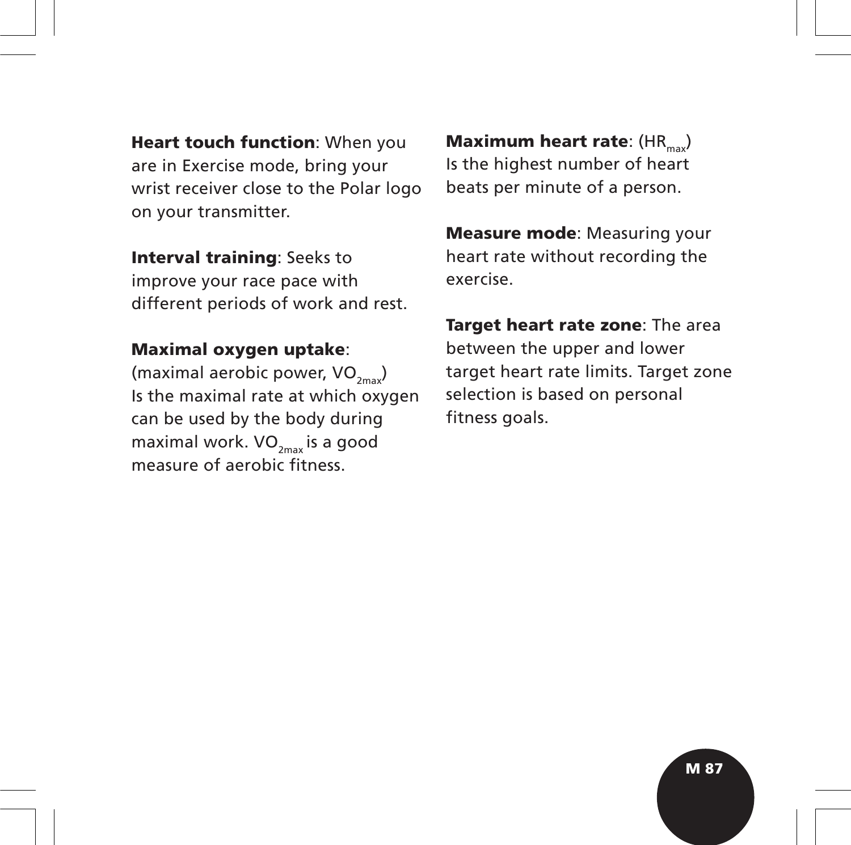**Heart touch function**: When you are in Exercise mode, bring your wrist receiver close to the Polar logo on your transmitter.

**Interval training**: Seeks to improve your race pace with different periods of work and rest.

#### **Maximal oxygen uptake**:

(maximal aerobic power,  $VO_{2m}$ ) Is the maximal rate at which oxygen can be used by the body during maximal work.  $VO_{2m}$  is a good measure of aerobic fitness.

**Maximum heart rate:** (HR<sub>max</sub>) Is the highest number of heart beats per minute of a person.

**Measure mode**: Measuring your heart rate without recording the exercise.

**Target heart rate zone**: The area between the upper and lower target heart rate limits. Target zone selection is based on personal fitness goals.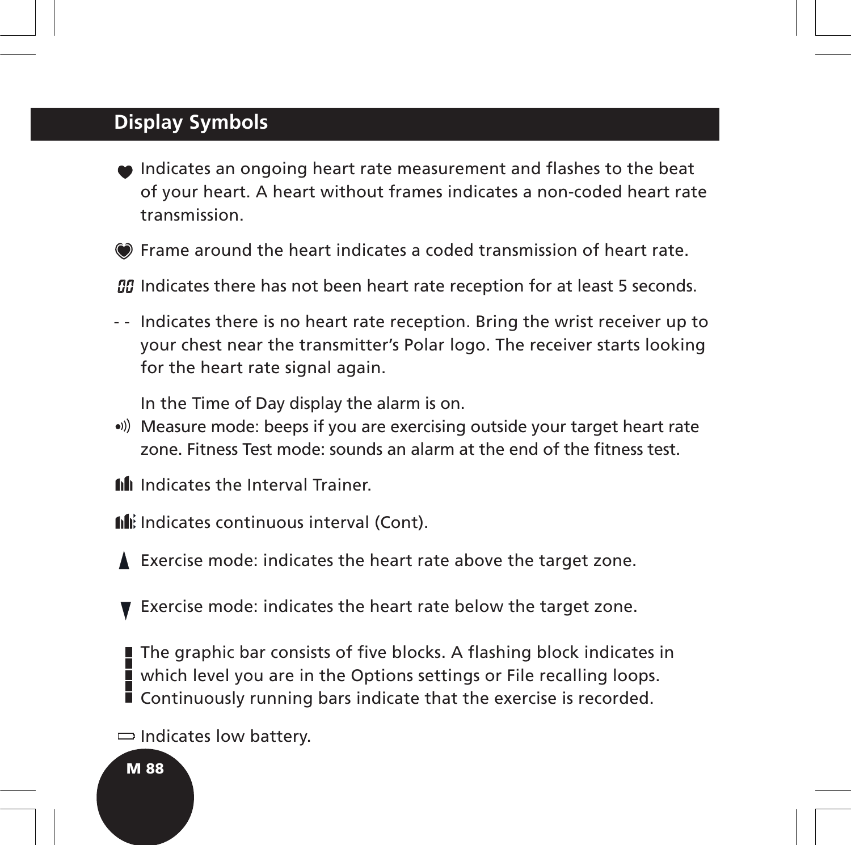## **Display Symbols**

- Indicates an ongoing heart rate measurement and flashes to the beat of your heart. A heart without frames indicates a non-coded heart rate transmission.
- Frame around the heart indicates a coded transmission of heart rate.

*OD* Indicates there has not been heart rate reception for at least 5 seconds.

- - Indicates there is no heart rate reception. Bring the wrist receiver up to your chest near the transmitter's Polar logo. The receiver starts looking for the heart rate signal again.

In the Time of Day display the alarm is on.

- Measure mode: beeps if you are exercising outside your target heart rate zone. Fitness Test mode: sounds an alarm at the end of the fitness test.
- **fill** Indicates the Interval Trainer.
- Indicates continuous interval (Cont).
- Exercise mode: indicates the heart rate above the target zone.
- Exercise mode: indicates the heart rate below the target zone.

The graphic bar consists of five blocks. A flashing block indicates in which level you are in the Options settings or File recalling loops. Continuously running bars indicate that the exercise is recorded.

 $\Rightarrow$  Indicates low battery.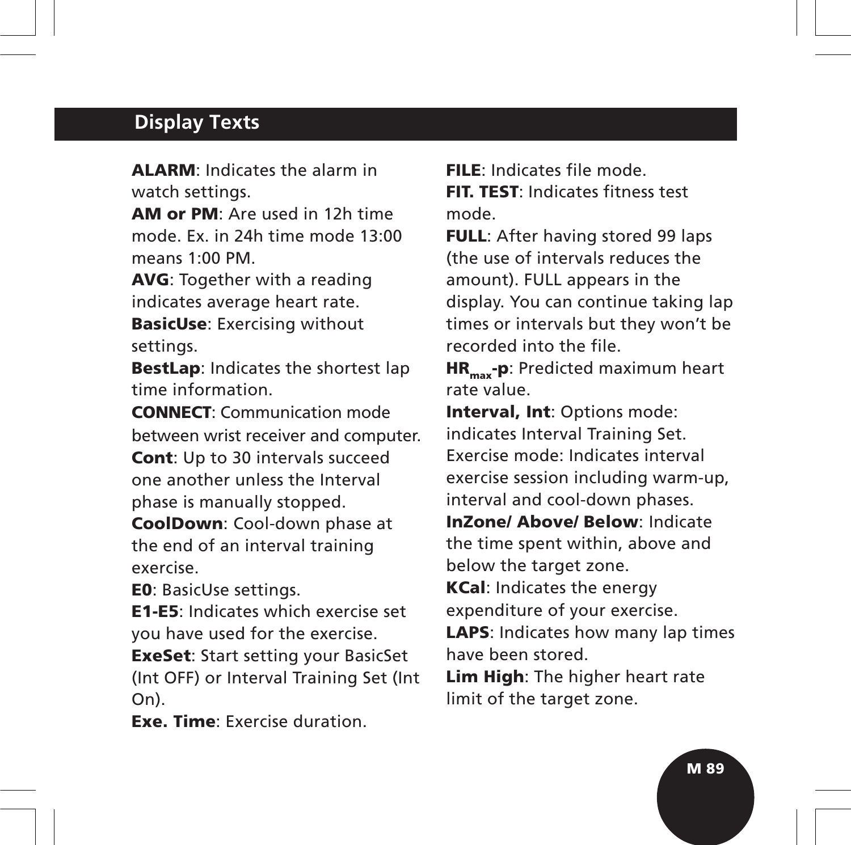## **Display Texts**

**ALARM**: Indicates the alarm in watch settings.

**AM or PM**: Are used in 12h time mode. Ex. in 24h time mode 13:00 means 1:00 PM.

**AVG**: Together with a reading indicates average heart rate.

**BasicUse**: Exercising without settings.

**BestLap**: Indicates the shortest lap time information.

**CONNECT**: Communication mode between wrist receiver and computer.

**Cont**: Up to 30 intervals succeed one another unless the Interval phase is manually stopped.

**CoolDown**: Cool-down phase at the end of an interval training exercise.

**E0**: BasicUse settings.

**E1-E5**: Indicates which exercise set you have used for the exercise.

**ExeSet**: Start setting your BasicSet (Int OFF) or Interval Training Set (Int On).

**Exe. Time**: Exercise duration.

**FILE**: Indicates file mode. **FIT. TEST**: Indicates fitness test mode.

**FULL**: After having stored 99 laps (the use of intervals reduces the amount). FULL appears in the display. You can continue taking lap times or intervals but they won't be recorded into the file.

**HR<sub>max</sub>-p**: Predicted maximum heart rate value.

**Interval, Int**: Options mode: indicates Interval Training Set. Exercise mode: Indicates interval exercise session including warm-up, interval and cool-down phases.

**InZone/ Above/ Below**: Indicate the time spent within, above and below the target zone.

**KCal**: Indicates the energy expenditure of your exercise.

**LAPS**: Indicates how many lap times have been stored.

**Lim High**: The higher heart rate limit of the target zone.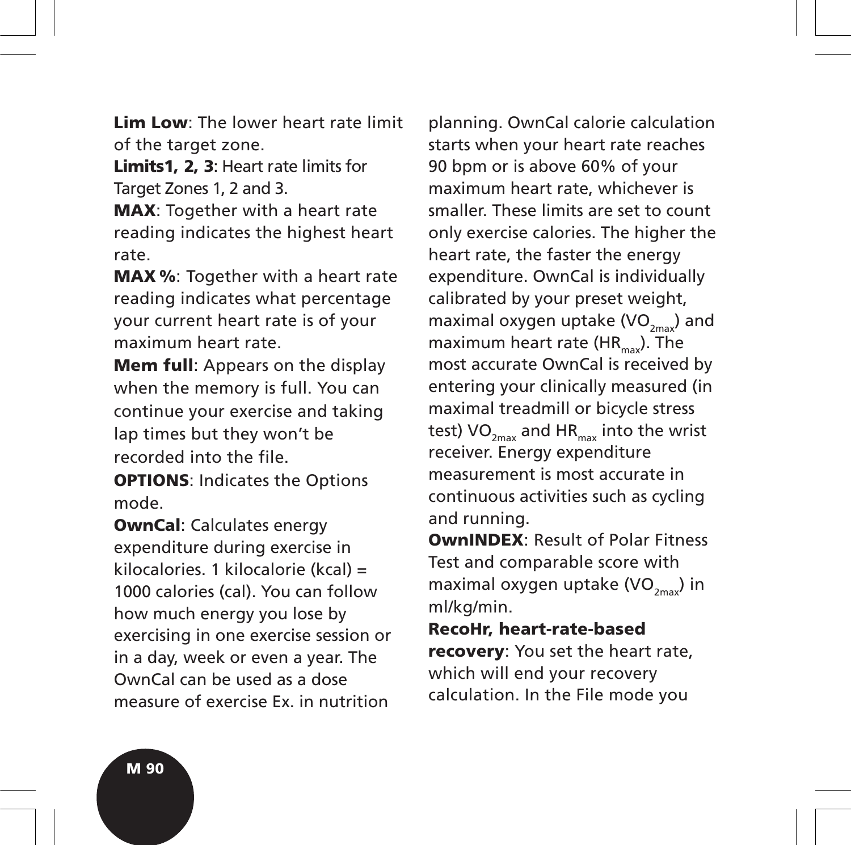**Lim Low**: The lower heart rate limit of the target zone.

**Limits1, 2, 3**: Heart rate limits for Target Zones 1, 2 and 3.

**MAX**: Together with a heart rate reading indicates the highest heart rate.

**MAX %**: Together with a heart rate reading indicates what percentage your current heart rate is of your maximum heart rate.

**Mem full**: Appears on the display when the memory is full. You can continue your exercise and taking lap times but they won't be recorded into the file.

**OPTIONS**: Indicates the Options mode.

**OwnCal**: Calculates energy expenditure during exercise in kilocalories. 1 kilocalorie (kcal) = 1000 calories (cal). You can follow how much energy you lose by exercising in one exercise session or in a day, week or even a year. The OwnCal can be used as a dose measure of exercise Ex. in nutrition

planning. OwnCal calorie calculation starts when your heart rate reaches 90 bpm or is above 60% of your maximum heart rate, whichever is smaller. These limits are set to count only exercise calories. The higher the heart rate, the faster the energy expenditure. OwnCal is individually calibrated by your preset weight, maximal oxygen uptake  $(VO_{2mn})$  and maximum heart rate ( $HR_{\text{max}}$ ). The most accurate OwnCal is received by entering your clinically measured (in maximal treadmill or bicycle stress test)  $VO_{2mav}$  and HR<sub>max</sub> into the wrist receiver. Energy expenditure measurement is most accurate in continuous activities such as cycling and running.

**OwnINDEX**: Result of Polar Fitness Test and comparable score with maximal oxygen uptake (VO $_{2\text{max}}$ ) in ml/kg/min.

**RecoHr, heart-rate-based recovery**: You set the heart rate, which will end your recovery calculation. In the File mode you